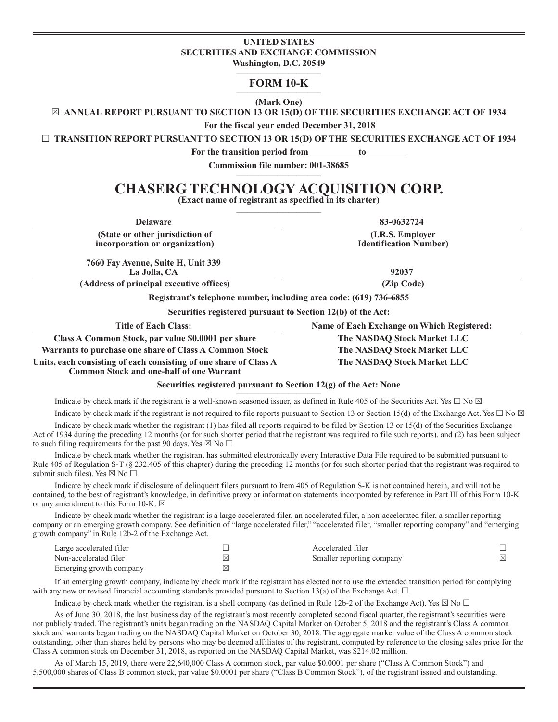# **UNITED STATES SECURITIES AND EXCHANGE COMMISSION**

**Washington, D.C. 20549 \_\_\_\_\_\_\_\_\_\_\_\_\_\_\_\_\_\_\_\_\_\_\_\_\_\_\_\_\_\_\_**

# **FORM 10-K \_\_\_\_\_\_\_\_\_\_\_\_\_\_\_\_\_\_\_\_\_\_\_\_\_\_\_\_\_\_\_**

**(Mark One)** 

**ANNUAL REPORT PURSUANT TO SECTION 13 OR 15(D) OF THE SECURITIES EXCHANGE ACT OF 1934**

**For the fiscal year ended December 31, 2018**

**TRANSITION REPORT PURSUANT TO SECTION 13 OR 15(D) OF THE SECURITIES EXCHANGE ACT OF 1934**

For the transition period from to

**Commission file number: 001-38685 \_\_\_\_\_\_\_\_\_\_\_\_\_\_\_\_\_\_\_\_\_\_\_\_\_\_\_\_\_\_\_**

# **CHASERG TECHNOLOGY ACQUISITION CORP.**

**(Exact name of registrant as specified in its charter)** 

| <b>Delaware</b>                                                                                                      | 83-0632724                                 |  |  |
|----------------------------------------------------------------------------------------------------------------------|--------------------------------------------|--|--|
| (State or other jurisdiction of                                                                                      | (I.R.S. Employer                           |  |  |
| incorporation or organization)                                                                                       | <b>Identification Number)</b>              |  |  |
| 7660 Fay Avenue, Suite H, Unit 339                                                                                   |                                            |  |  |
| La Jolla, CA                                                                                                         | 92037                                      |  |  |
| (Address of principal executive offices)                                                                             | (Zip Code)                                 |  |  |
| Registrant's telephone number, including area code: (619) 736-6855                                                   |                                            |  |  |
| Securities registered pursuant to Section 12(b) of the Act:                                                          |                                            |  |  |
| Title of Each Class:                                                                                                 | Name of Each Exchange on Which Registered: |  |  |
| Class A Common Stock, par value \$0.0001 per share                                                                   | The NASDAQ Stock Market LLC                |  |  |
| Warrants to purchase one share of Class A Common Stock                                                               | The NASDAQ Stock Market LLC                |  |  |
| Units, each consisting of each consisting of one share of Class A<br><b>Common Stock and one-half of one Warrant</b> | The NASDAQ Stock Market LLC                |  |  |
| Securities registered pursuant to Section $12(g)$ of the Act: None                                                   |                                            |  |  |

Indicate by check mark if the registrant is a well-known seasoned issuer, as defined in Rule 405 of the Securities Act. Yes  $\Box$  No  $\boxtimes$ 

to such filing requirements for the past 90 days. Yes  $\boxtimes$  No  $\Box$ 

Indicate by check mark if the registrant is not required to file reports pursuant to Section 13 or Section 15(d) of the Exchange Act. Yes  $\Box$  No  $\boxtimes$ Indicate by check mark whether the registrant (1) has filed all reports required to be filed by Section 13 or 15(d) of the Securities Exchange Act of 1934 during the preceding 12 months (or for such shorter period that the registrant was required to file such reports), and (2) has been subject

Indicate by check mark whether the registrant has submitted electronically every Interactive Data File required to be submitted pursuant to Rule 405 of Regulation S-T (§ 232.405 of this chapter) during the preceding 12 months (or for such shorter period that the registrant was required to submit such files). Yes  $\boxtimes$  No  $\Box$ 

Indicate by check mark if disclosure of delinquent filers pursuant to Item 405 of Regulation S-K is not contained herein, and will not be contained, to the best of registrant's knowledge, in definitive proxy or information statements incorporated by reference in Part III of this Form 10-K or any amendment to this Form 10-K.  $\boxtimes$ 

Indicate by check mark whether the registrant is a large accelerated filer, an accelerated filer, a non-accelerated filer, a smaller reporting company or an emerging growth company. See definition of "large accelerated filer," "accelerated filer, "smaller reporting company" and "emerging growth company" in Rule 12b-2 of the Exchange Act.

| Large accelerated filer |                     | Accelerated filer         |             |
|-------------------------|---------------------|---------------------------|-------------|
| Non-accelerated filer   | $\overline{\times}$ | Smaller reporting company | $\boxtimes$ |
| Emerging growth company | ⊠                   |                           |             |

If an emerging growth company, indicate by check mark if the registrant has elected not to use the extended transition period for complying with any new or revised financial accounting standards provided pursuant to Section 13(a) of the Exchange Act.  $\Box$ 

Indicate by check mark whether the registrant is a shell company (as defined in Rule 12b-2 of the Exchange Act). Yes  $\boxtimes$  No  $\Box$ 

As of June 30, 2018, the last business day of the registrant's most recently completed second fiscal quarter, the registrant's securities were not publicly traded. The registrant's units began trading on the NASDAQ Capital Market on October 5, 2018 and the registrant's Class A common stock and warrants began trading on the NASDAQ Capital Market on October 30, 2018. The aggregate market value of the Class A common stock outstanding, other than shares held by persons who may be deemed affiliates of the registrant, computed by reference to the closing sales price for the Class A common stock on December 31, 2018, as reported on the NASDAQ Capital Market, was \$214.02 million.

As of March 15, 2019, there were 22,640,000 Class A common stock, par value \$0.0001 per share ("Class A Common Stock") and 5,500,000 shares of Class B common stock, par value \$0.0001 per share ("Class B Common Stock"), of the registrant issued and outstanding.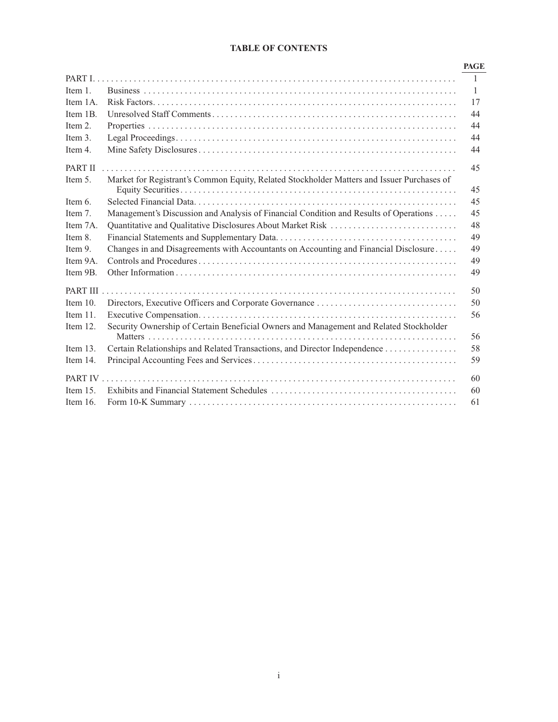# **TABLE OF CONTENTS**

|             |                                                                                            | <b>PAGE</b>  |
|-------------|--------------------------------------------------------------------------------------------|--------------|
|             |                                                                                            | $\mathbf{1}$ |
| Item 1.     |                                                                                            | 1            |
| Item 1A.    |                                                                                            | 17           |
| Item 1B.    |                                                                                            | 44           |
| Item $21$   |                                                                                            | 44           |
| Item 3.     |                                                                                            | 44           |
| Item 4.     |                                                                                            | 44           |
| PART II     |                                                                                            | 45           |
| Item 5.     | Market for Registrant's Common Equity, Related Stockholder Matters and Issuer Purchases of | 45           |
| Item 6.     |                                                                                            | 45           |
| Item 7.     | Management's Discussion and Analysis of Financial Condition and Results of Operations      | 45           |
| Item 7A.    | Quantitative and Qualitative Disclosures About Market Risk                                 | 48           |
| Item 8.     |                                                                                            | 49           |
| Item 9.     | Changes in and Disagreements with Accountants on Accounting and Financial Disclosure       | 49           |
| Item 9A.    |                                                                                            | 49           |
| Item 9B.    |                                                                                            | 49           |
| PART III    |                                                                                            | 50           |
| Item $10$ . |                                                                                            | 50           |
| Item $11$ . |                                                                                            | 56           |
| Item $12.$  | Security Ownership of Certain Beneficial Owners and Management and Related Stockholder     | 56           |
| Item $13.$  | Certain Relationships and Related Transactions, and Director Independence                  | 58           |
| Item 14.    |                                                                                            | 59           |
|             |                                                                                            | 60           |
| Item $15$ . |                                                                                            | 60           |
| Item $16$ . |                                                                                            | 61           |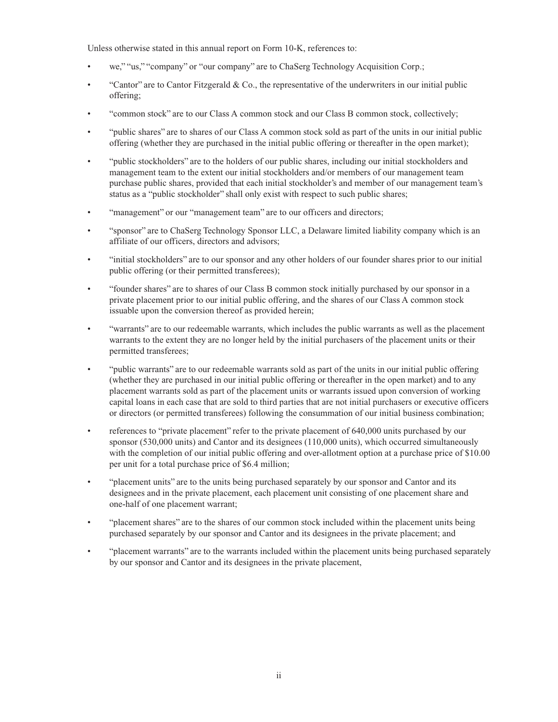Unless otherwise stated in this annual report on Form 10-K, references to:

- we," "us," "company" or "our company" are to ChaSerg Technology Acquisition Corp.;
- "Cantor" are to Cantor Fitzgerald & Co., the representative of the underwriters in our initial public offering;
- "common stock" are to our Class A common stock and our Class B common stock, collectively;
- "public shares" are to shares of our Class A common stock sold as part of the units in our initial public offering (whether they are purchased in the initial public offering or thereafter in the open market);
- "public stockholders" are to the holders of our public shares, including our initial stockholders and management team to the extent our initial stockholders and/or members of our management team purchase public shares, provided that each initial stockholder's and member of our management team's status as a "public stockholder" shall only exist with respect to such public shares;
- "management" or our "management team" are to our offıcers and directors;
- "sponsor" are to ChaSerg Technology Sponsor LLC, a Delaware limited liability company which is an affiliate of our officers, directors and advisors;
- "initial stockholders" are to our sponsor and any other holders of our founder shares prior to our initial public offering (or their permitted transferees);
- "founder shares" are to shares of our Class B common stock initially purchased by our sponsor in a private placement prior to our initial public offering, and the shares of our Class A common stock issuable upon the conversion thereof as provided herein;
- "warrants" are to our redeemable warrants, which includes the public warrants as well as the placement warrants to the extent they are no longer held by the initial purchasers of the placement units or their permitted transferees;
- "public warrants" are to our redeemable warrants sold as part of the units in our initial public offering (whether they are purchased in our initial public offering or thereafter in the open market) and to any placement warrants sold as part of the placement units or warrants issued upon conversion of working capital loans in each case that are sold to third parties that are not initial purchasers or executive officers or directors (or permitted transferees) following the consummation of our initial business combination;
- references to "private placement" refer to the private placement of 640,000 units purchased by our sponsor (530,000 units) and Cantor and its designees (110,000 units), which occurred simultaneously with the completion of our initial public offering and over-allotment option at a purchase price of \$10.00 per unit for a total purchase price of \$6.4 million;
- "placement units" are to the units being purchased separately by our sponsor and Cantor and its designees and in the private placement, each placement unit consisting of one placement share and one-half of one placement warrant;
- "placement shares" are to the shares of our common stock included within the placement units being purchased separately by our sponsor and Cantor and its designees in the private placement; and
- "placement warrants" are to the warrants included within the placement units being purchased separately by our sponsor and Cantor and its designees in the private placement,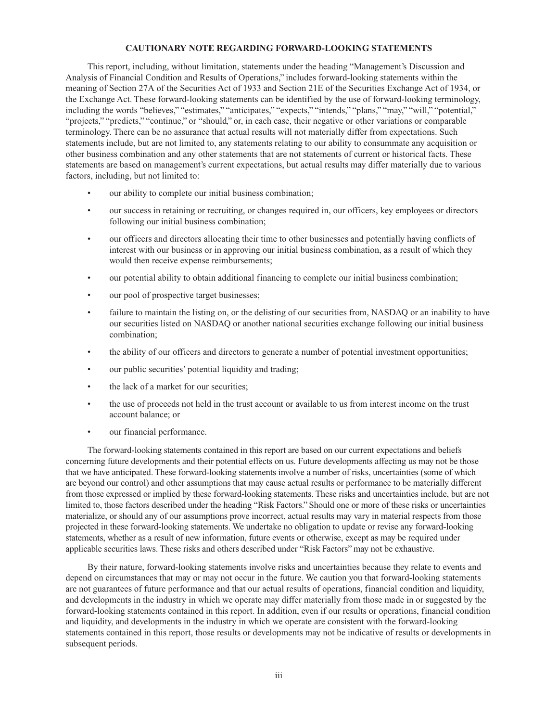#### **CAUTIONARY NOTE REGARDING FORWARD-LOOKING STATEMENTS**

This report, including, without limitation, statements under the heading "Management's Discussion and Analysis of Financial Condition and Results of Operations," includes forward-looking statements within the meaning of Section 27A of the Securities Act of 1933 and Section 21E of the Securities Exchange Act of 1934, or the Exchange Act. These forward-looking statements can be identified by the use of forward-looking terminology, including the words "believes," "estimates," "anticipates," "expects," "intends," "plans," "may," "will," "potential," "projects," "predicts," "continue," or "should," or, in each case, their negative or other variations or comparable terminology. There can be no assurance that actual results will not materially differ from expectations. Such statements include, but are not limited to, any statements relating to our ability to consummate any acquisition or other business combination and any other statements that are not statements of current or historical facts. These statements are based on management's current expectations, but actual results may differ materially due to various factors, including, but not limited to:

- our ability to complete our initial business combination;
- our success in retaining or recruiting, or changes required in, our officers, key employees or directors following our initial business combination;
- our officers and directors allocating their time to other businesses and potentially having conflicts of interest with our business or in approving our initial business combination, as a result of which they would then receive expense reimbursements;
- our potential ability to obtain additional financing to complete our initial business combination;
- our pool of prospective target businesses;
- failure to maintain the listing on, or the delisting of our securities from, NASDAQ or an inability to have our securities listed on NASDAQ or another national securities exchange following our initial business combination;
- the ability of our officers and directors to generate a number of potential investment opportunities;
- our public securities' potential liquidity and trading;
- the lack of a market for our securities;
- the use of proceeds not held in the trust account or available to us from interest income on the trust account balance; or
- our financial performance.

The forward-looking statements contained in this report are based on our current expectations and beliefs concerning future developments and their potential effects on us. Future developments affecting us may not be those that we have anticipated. These forward-looking statements involve a number of risks, uncertainties (some of which are beyond our control) and other assumptions that may cause actual results or performance to be materially different from those expressed or implied by these forward-looking statements. These risks and uncertainties include, but are not limited to, those factors described under the heading "Risk Factors." Should one or more of these risks or uncertainties materialize, or should any of our assumptions prove incorrect, actual results may vary in material respects from those projected in these forward-looking statements. We undertake no obligation to update or revise any forward-looking statements, whether as a result of new information, future events or otherwise, except as may be required under applicable securities laws. These risks and others described under "Risk Factors" may not be exhaustive.

By their nature, forward-looking statements involve risks and uncertainties because they relate to events and depend on circumstances that may or may not occur in the future. We caution you that forward-looking statements are not guarantees of future performance and that our actual results of operations, financial condition and liquidity, and developments in the industry in which we operate may differ materially from those made in or suggested by the forward-looking statements contained in this report. In addition, even if our results or operations, financial condition and liquidity, and developments in the industry in which we operate are consistent with the forward-looking statements contained in this report, those results or developments may not be indicative of results or developments in subsequent periods.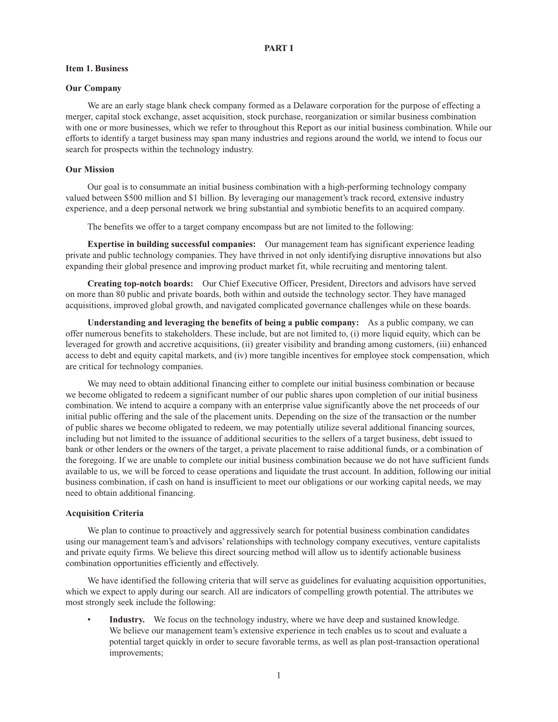#### **Item 1. Business**

#### **Our Company**

We are an early stage blank check company formed as a Delaware corporation for the purpose of effecting a merger, capital stock exchange, asset acquisition, stock purchase, reorganization or similar business combination with one or more businesses, which we refer to throughout this Report as our initial business combination. While our efforts to identify a target business may span many industries and regions around the world, we intend to focus our search for prospects within the technology industry.

#### **Our Mission**

Our goal is to consummate an initial business combination with a high-performing technology company valued between \$500 million and \$1 billion. By leveraging our management's track record, extensive industry experience, and a deep personal network we bring substantial and symbiotic benefits to an acquired company.

The benefits we offer to a target company encompass but are not limited to the following:

**Expertise in building successful companies:** Our management team has significant experience leading private and public technology companies. They have thrived in not only identifying disruptive innovations but also expanding their global presence and improving product market fit, while recruiting and mentoring talent.

**Creating top-notch boards:** Our Chief Executive Officer, President, Directors and advisors have served on more than 80 public and private boards, both within and outside the technology sector. They have managed acquisitions, improved global growth, and navigated complicated governance challenges while on these boards.

**Understanding and leveraging the benefits of being a public company:** As a public company, we can offer numerous benefits to stakeholders. These include, but are not limited to, (i) more liquid equity, which can be leveraged for growth and accretive acquisitions, (ii) greater visibility and branding among customers, (iii) enhanced access to debt and equity capital markets, and (iv) more tangible incentives for employee stock compensation, which are critical for technology companies.

We may need to obtain additional financing either to complete our initial business combination or because we become obligated to redeem a significant number of our public shares upon completion of our initial business combination. We intend to acquire a company with an enterprise value significantly above the net proceeds of our initial public offering and the sale of the placement units. Depending on the size of the transaction or the number of public shares we become obligated to redeem, we may potentially utilize several additional financing sources, including but not limited to the issuance of additional securities to the sellers of a target business, debt issued to bank or other lenders or the owners of the target, a private placement to raise additional funds, or a combination of the foregoing. If we are unable to complete our initial business combination because we do not have sufficient funds available to us, we will be forced to cease operations and liquidate the trust account. In addition, following our initial business combination, if cash on hand is insufficient to meet our obligations or our working capital needs, we may need to obtain additional financing.

#### **Acquisition Criteria**

We plan to continue to proactively and aggressively search for potential business combination candidates using our management team's and advisors' relationships with technology company executives, venture capitalists and private equity firms. We believe this direct sourcing method will allow us to identify actionable business combination opportunities efficiently and effectively.

We have identified the following criteria that will serve as guidelines for evaluating acquisition opportunities, which we expect to apply during our search. All are indicators of compelling growth potential. The attributes we most strongly seek include the following:

Industry. We focus on the technology industry, where we have deep and sustained knowledge. We believe our management team's extensive experience in tech enables us to scout and evaluate a potential target quickly in order to secure favorable terms, as well as plan post-transaction operational improvements;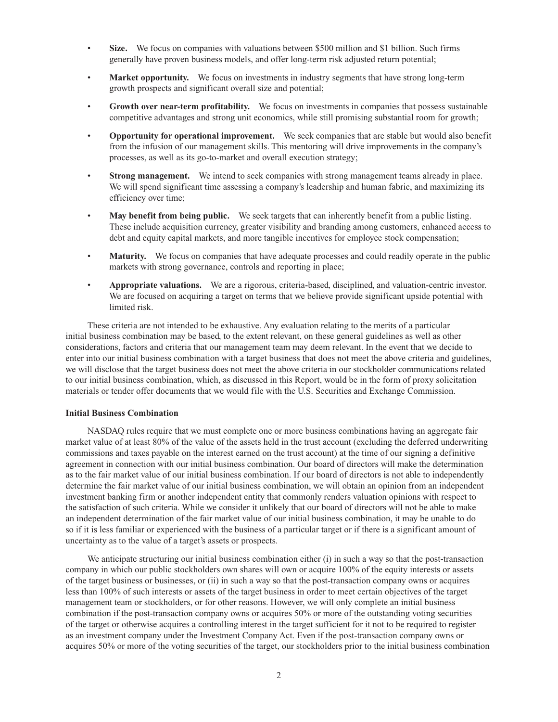- **Size.** We focus on companies with valuations between \$500 million and \$1 billion. Such firms generally have proven business models, and offer long-term risk adjusted return potential;
- **Market opportunity.** We focus on investments in industry segments that have strong long-term growth prospects and significant overall size and potential;
- **Growth over near-term profitability.** We focus on investments in companies that possess sustainable competitive advantages and strong unit economics, while still promising substantial room for growth;
- **Opportunity for operational improvement.** We seek companies that are stable but would also benefit from the infusion of our management skills. This mentoring will drive improvements in the company's processes, as well as its go-to-market and overall execution strategy;
- **Strong management.** We intend to seek companies with strong management teams already in place. We will spend significant time assessing a company's leadership and human fabric, and maximizing its efficiency over time;
- **May benefit from being public.** We seek targets that can inherently benefit from a public listing. These include acquisition currency, greater visibility and branding among customers, enhanced access to debt and equity capital markets, and more tangible incentives for employee stock compensation;
- **Maturity.** We focus on companies that have adequate processes and could readily operate in the public markets with strong governance, controls and reporting in place;
- **Appropriate valuations.** We are a rigorous, criteria-based, disciplined, and valuation-centric investor. We are focused on acquiring a target on terms that we believe provide significant upside potential with limited risk.

These criteria are not intended to be exhaustive. Any evaluation relating to the merits of a particular initial business combination may be based, to the extent relevant, on these general guidelines as well as other considerations, factors and criteria that our management team may deem relevant. In the event that we decide to enter into our initial business combination with a target business that does not meet the above criteria and guidelines, we will disclose that the target business does not meet the above criteria in our stockholder communications related to our initial business combination, which, as discussed in this Report, would be in the form of proxy solicitation materials or tender offer documents that we would file with the U.S. Securities and Exchange Commission.

### **Initial Business Combination**

NASDAQ rules require that we must complete one or more business combinations having an aggregate fair market value of at least 80% of the value of the assets held in the trust account (excluding the deferred underwriting commissions and taxes payable on the interest earned on the trust account) at the time of our signing a definitive agreement in connection with our initial business combination. Our board of directors will make the determination as to the fair market value of our initial business combination. If our board of directors is not able to independently determine the fair market value of our initial business combination, we will obtain an opinion from an independent investment banking firm or another independent entity that commonly renders valuation opinions with respect to the satisfaction of such criteria. While we consider it unlikely that our board of directors will not be able to make an independent determination of the fair market value of our initial business combination, it may be unable to do so if it is less familiar or experienced with the business of a particular target or if there is a significant amount of uncertainty as to the value of a target's assets or prospects.

We anticipate structuring our initial business combination either (i) in such a way so that the post-transaction company in which our public stockholders own shares will own or acquire 100% of the equity interests or assets of the target business or businesses, or (ii) in such a way so that the post-transaction company owns or acquires less than 100% of such interests or assets of the target business in order to meet certain objectives of the target management team or stockholders, or for other reasons. However, we will only complete an initial business combination if the post-transaction company owns or acquires 50% or more of the outstanding voting securities of the target or otherwise acquires a controlling interest in the target sufficient for it not to be required to register as an investment company under the Investment Company Act. Even if the post-transaction company owns or acquires 50% or more of the voting securities of the target, our stockholders prior to the initial business combination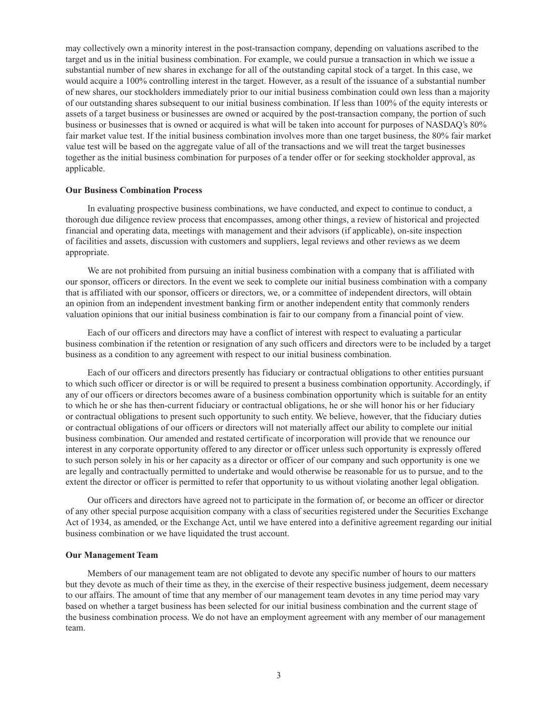may collectively own a minority interest in the post-transaction company, depending on valuations ascribed to the target and us in the initial business combination. For example, we could pursue a transaction in which we issue a substantial number of new shares in exchange for all of the outstanding capital stock of a target. In this case, we would acquire a 100% controlling interest in the target. However, as a result of the issuance of a substantial number of new shares, our stockholders immediately prior to our initial business combination could own less than a majority of our outstanding shares subsequent to our initial business combination. If less than 100% of the equity interests or assets of a target business or businesses are owned or acquired by the post-transaction company, the portion of such business or businesses that is owned or acquired is what will be taken into account for purposes of NASDAQ's 80% fair market value test. If the initial business combination involves more than one target business, the 80% fair market value test will be based on the aggregate value of all of the transactions and we will treat the target businesses together as the initial business combination for purposes of a tender offer or for seeking stockholder approval, as applicable.

#### **Our Business Combination Process**

In evaluating prospective business combinations, we have conducted, and expect to continue to conduct, a thorough due diligence review process that encompasses, among other things, a review of historical and projected financial and operating data, meetings with management and their advisors (if applicable), on-site inspection of facilities and assets, discussion with customers and suppliers, legal reviews and other reviews as we deem appropriate.

We are not prohibited from pursuing an initial business combination with a company that is affiliated with our sponsor, officers or directors. In the event we seek to complete our initial business combination with a company that is affiliated with our sponsor, officers or directors, we, or a committee of independent directors, will obtain an opinion from an independent investment banking firm or another independent entity that commonly renders valuation opinions that our initial business combination is fair to our company from a financial point of view.

Each of our officers and directors may have a conflict of interest with respect to evaluating a particular business combination if the retention or resignation of any such officers and directors were to be included by a target business as a condition to any agreement with respect to our initial business combination.

Each of our officers and directors presently has fiduciary or contractual obligations to other entities pursuant to which such officer or director is or will be required to present a business combination opportunity. Accordingly, if any of our officers or directors becomes aware of a business combination opportunity which is suitable for an entity to which he or she has then-current fiduciary or contractual obligations, he or she will honor his or her fiduciary or contractual obligations to present such opportunity to such entity. We believe, however, that the fiduciary duties or contractual obligations of our officers or directors will not materially affect our ability to complete our initial business combination. Our amended and restated certificate of incorporation will provide that we renounce our interest in any corporate opportunity offered to any director or officer unless such opportunity is expressly offered to such person solely in his or her capacity as a director or officer of our company and such opportunity is one we are legally and contractually permitted to undertake and would otherwise be reasonable for us to pursue, and to the extent the director or officer is permitted to refer that opportunity to us without violating another legal obligation.

Our officers and directors have agreed not to participate in the formation of, or become an officer or director of any other special purpose acquisition company with a class of securities registered under the Securities Exchange Act of 1934, as amended, or the Exchange Act, until we have entered into a definitive agreement regarding our initial business combination or we have liquidated the trust account.

#### **Our Management Team**

Members of our management team are not obligated to devote any specific number of hours to our matters but they devote as much of their time as they, in the exercise of their respective business judgement, deem necessary to our affairs. The amount of time that any member of our management team devotes in any time period may vary based on whether a target business has been selected for our initial business combination and the current stage of the business combination process. We do not have an employment agreement with any member of our management team.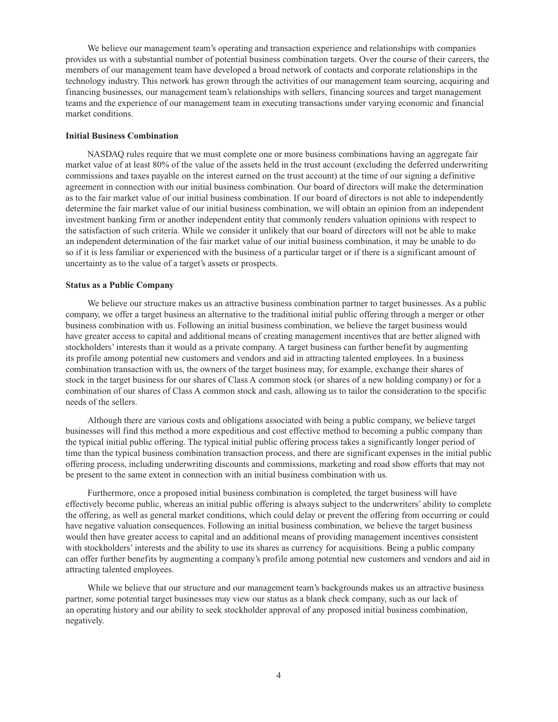We believe our management team's operating and transaction experience and relationships with companies provides us with a substantial number of potential business combination targets. Over the course of their careers, the members of our management team have developed a broad network of contacts and corporate relationships in the technology industry. This network has grown through the activities of our management team sourcing, acquiring and financing businesses, our management team's relationships with sellers, financing sources and target management teams and the experience of our management team in executing transactions under varying economic and financial market conditions.

### **Initial Business Combination**

NASDAQ rules require that we must complete one or more business combinations having an aggregate fair market value of at least 80% of the value of the assets held in the trust account (excluding the deferred underwriting commissions and taxes payable on the interest earned on the trust account) at the time of our signing a definitive agreement in connection with our initial business combination. Our board of directors will make the determination as to the fair market value of our initial business combination. If our board of directors is not able to independently determine the fair market value of our initial business combination, we will obtain an opinion from an independent investment banking firm or another independent entity that commonly renders valuation opinions with respect to the satisfaction of such criteria. While we consider it unlikely that our board of directors will not be able to make an independent determination of the fair market value of our initial business combination, it may be unable to do so if it is less familiar or experienced with the business of a particular target or if there is a significant amount of uncertainty as to the value of a target's assets or prospects.

### **Status as a Public Company**

We believe our structure makes us an attractive business combination partner to target businesses. As a public company, we offer a target business an alternative to the traditional initial public offering through a merger or other business combination with us. Following an initial business combination, we believe the target business would have greater access to capital and additional means of creating management incentives that are better aligned with stockholders' interests than it would as a private company. A target business can further benefit by augmenting its profile among potential new customers and vendors and aid in attracting talented employees. In a business combination transaction with us, the owners of the target business may, for example, exchange their shares of stock in the target business for our shares of Class A common stock (or shares of a new holding company) or for a combination of our shares of Class A common stock and cash, allowing us to tailor the consideration to the specific needs of the sellers.

Although there are various costs and obligations associated with being a public company, we believe target businesses will find this method a more expeditious and cost effective method to becoming a public company than the typical initial public offering. The typical initial public offering process takes a significantly longer period of time than the typical business combination transaction process, and there are significant expenses in the initial public offering process, including underwriting discounts and commissions, marketing and road show efforts that may not be present to the same extent in connection with an initial business combination with us.

Furthermore, once a proposed initial business combination is completed, the target business will have effectively become public, whereas an initial public offering is always subject to the underwriters' ability to complete the offering, as well as general market conditions, which could delay or prevent the offering from occurring or could have negative valuation consequences. Following an initial business combination, we believe the target business would then have greater access to capital and an additional means of providing management incentives consistent with stockholders' interests and the ability to use its shares as currency for acquisitions. Being a public company can offer further benefits by augmenting a company's profile among potential new customers and vendors and aid in attracting talented employees.

While we believe that our structure and our management team's backgrounds makes us an attractive business partner, some potential target businesses may view our status as a blank check company, such as our lack of an operating history and our ability to seek stockholder approval of any proposed initial business combination, negatively.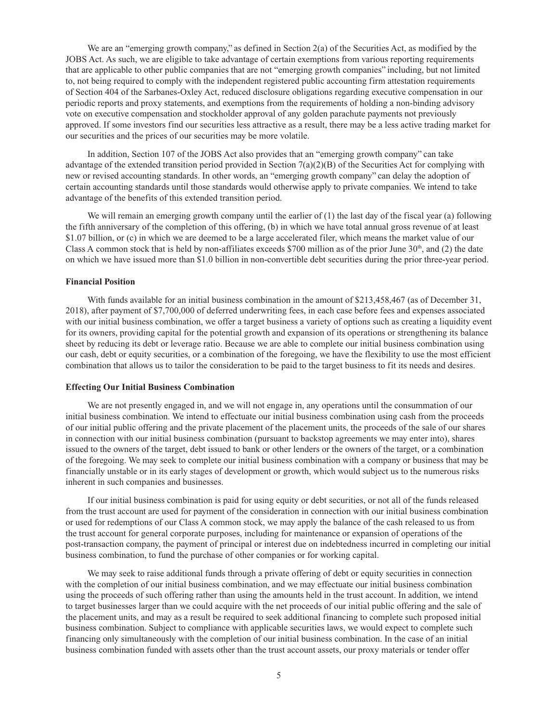We are an "emerging growth company," as defined in Section 2(a) of the Securities Act, as modified by the JOBS Act. As such, we are eligible to take advantage of certain exemptions from various reporting requirements that are applicable to other public companies that are not "emerging growth companies" including, but not limited to, not being required to comply with the independent registered public accounting firm attestation requirements of Section 404 of the Sarbanes-Oxley Act, reduced disclosure obligations regarding executive compensation in our periodic reports and proxy statements, and exemptions from the requirements of holding a non-binding advisory vote on executive compensation and stockholder approval of any golden parachute payments not previously approved. If some investors find our securities less attractive as a result, there may be a less active trading market for our securities and the prices of our securities may be more volatile.

In addition, Section 107 of the JOBS Act also provides that an "emerging growth company" can take advantage of the extended transition period provided in Section  $7(a)(2)(B)$  of the Securities Act for complying with new or revised accounting standards. In other words, an "emerging growth company" can delay the adoption of certain accounting standards until those standards would otherwise apply to private companies. We intend to take advantage of the benefits of this extended transition period.

We will remain an emerging growth company until the earlier of  $(1)$  the last day of the fiscal year (a) following the fifth anniversary of the completion of this offering, (b) in which we have total annual gross revenue of at least \$1.07 billion, or (c) in which we are deemed to be a large accelerated filer, which means the market value of our Class A common stock that is held by non-affiliates exceeds \$700 million as of the prior June  $30<sup>th</sup>$ , and (2) the date on which we have issued more than \$1.0 billion in non-convertible debt securities during the prior three-year period.

#### **Financial Position**

With funds available for an initial business combination in the amount of \$213,458,467 (as of December 31, 2018), after payment of \$7,700,000 of deferred underwriting fees, in each case before fees and expenses associated with our initial business combination, we offer a target business a variety of options such as creating a liquidity event for its owners, providing capital for the potential growth and expansion of its operations or strengthening its balance sheet by reducing its debt or leverage ratio. Because we are able to complete our initial business combination using our cash, debt or equity securities, or a combination of the foregoing, we have the flexibility to use the most efficient combination that allows us to tailor the consideration to be paid to the target business to fit its needs and desires.

#### **Effecting Our Initial Business Combination**

We are not presently engaged in, and we will not engage in, any operations until the consummation of our initial business combination. We intend to effectuate our initial business combination using cash from the proceeds of our initial public offering and the private placement of the placement units, the proceeds of the sale of our shares in connection with our initial business combination (pursuant to backstop agreements we may enter into), shares issued to the owners of the target, debt issued to bank or other lenders or the owners of the target, or a combination of the foregoing. We may seek to complete our initial business combination with a company or business that may be financially unstable or in its early stages of development or growth, which would subject us to the numerous risks inherent in such companies and businesses.

If our initial business combination is paid for using equity or debt securities, or not all of the funds released from the trust account are used for payment of the consideration in connection with our initial business combination or used for redemptions of our Class A common stock, we may apply the balance of the cash released to us from the trust account for general corporate purposes, including for maintenance or expansion of operations of the post-transaction company, the payment of principal or interest due on indebtedness incurred in completing our initial business combination, to fund the purchase of other companies or for working capital.

We may seek to raise additional funds through a private offering of debt or equity securities in connection with the completion of our initial business combination, and we may effectuate our initial business combination using the proceeds of such offering rather than using the amounts held in the trust account. In addition, we intend to target businesses larger than we could acquire with the net proceeds of our initial public offering and the sale of the placement units, and may as a result be required to seek additional financing to complete such proposed initial business combination. Subject to compliance with applicable securities laws, we would expect to complete such financing only simultaneously with the completion of our initial business combination. In the case of an initial business combination funded with assets other than the trust account assets, our proxy materials or tender offer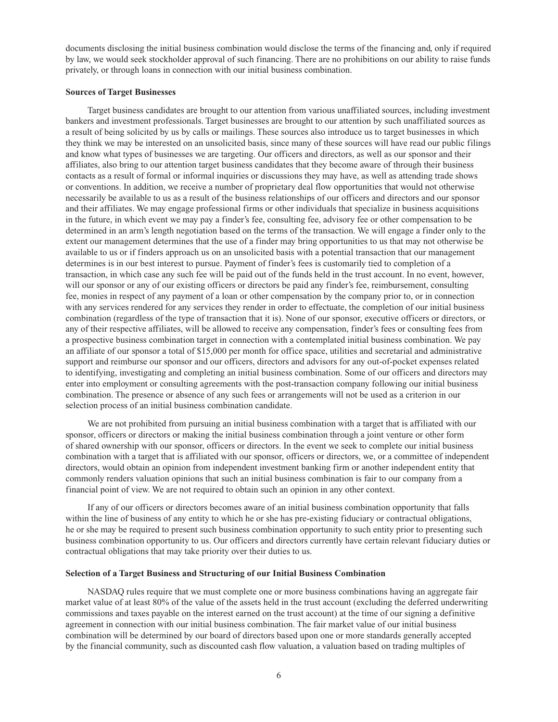documents disclosing the initial business combination would disclose the terms of the financing and, only if required by law, we would seek stockholder approval of such financing. There are no prohibitions on our ability to raise funds privately, or through loans in connection with our initial business combination.

#### **Sources of Target Businesses**

Target business candidates are brought to our attention from various unaffiliated sources, including investment bankers and investment professionals. Target businesses are brought to our attention by such unaffiliated sources as a result of being solicited by us by calls or mailings. These sources also introduce us to target businesses in which they think we may be interested on an unsolicited basis, since many of these sources will have read our public filings and know what types of businesses we are targeting. Our officers and directors, as well as our sponsor and their affiliates, also bring to our attention target business candidates that they become aware of through their business contacts as a result of formal or informal inquiries or discussions they may have, as well as attending trade shows or conventions. In addition, we receive a number of proprietary deal flow opportunities that would not otherwise necessarily be available to us as a result of the business relationships of our officers and directors and our sponsor and their affiliates. We may engage professional firms or other individuals that specialize in business acquisitions in the future, in which event we may pay a finder's fee, consulting fee, advisory fee or other compensation to be determined in an arm's length negotiation based on the terms of the transaction. We will engage a finder only to the extent our management determines that the use of a finder may bring opportunities to us that may not otherwise be available to us or if finders approach us on an unsolicited basis with a potential transaction that our management determines is in our best interest to pursue. Payment of finder's fees is customarily tied to completion of a transaction, in which case any such fee will be paid out of the funds held in the trust account. In no event, however, will our sponsor or any of our existing officers or directors be paid any finder's fee, reimbursement, consulting fee, monies in respect of any payment of a loan or other compensation by the company prior to, or in connection with any services rendered for any services they render in order to effectuate, the completion of our initial business combination (regardless of the type of transaction that it is). None of our sponsor, executive officers or directors, or any of their respective affiliates, will be allowed to receive any compensation, finder's fees or consulting fees from a prospective business combination target in connection with a contemplated initial business combination. We pay an affiliate of our sponsor a total of \$15,000 per month for office space, utilities and secretarial and administrative support and reimburse our sponsor and our officers, directors and advisors for any out-of-pocket expenses related to identifying, investigating and completing an initial business combination. Some of our officers and directors may enter into employment or consulting agreements with the post-transaction company following our initial business combination. The presence or absence of any such fees or arrangements will not be used as a criterion in our selection process of an initial business combination candidate.

We are not prohibited from pursuing an initial business combination with a target that is affiliated with our sponsor, officers or directors or making the initial business combination through a joint venture or other form of shared ownership with our sponsor, officers or directors. In the event we seek to complete our initial business combination with a target that is affiliated with our sponsor, officers or directors, we, or a committee of independent directors, would obtain an opinion from independent investment banking firm or another independent entity that commonly renders valuation opinions that such an initial business combination is fair to our company from a financial point of view. We are not required to obtain such an opinion in any other context.

If any of our officers or directors becomes aware of an initial business combination opportunity that falls within the line of business of any entity to which he or she has pre-existing fiduciary or contractual obligations, he or she may be required to present such business combination opportunity to such entity prior to presenting such business combination opportunity to us. Our officers and directors currently have certain relevant fiduciary duties or contractual obligations that may take priority over their duties to us.

#### **Selection of a Target Business and Structuring of our Initial Business Combination**

NASDAQ rules require that we must complete one or more business combinations having an aggregate fair market value of at least 80% of the value of the assets held in the trust account (excluding the deferred underwriting commissions and taxes payable on the interest earned on the trust account) at the time of our signing a definitive agreement in connection with our initial business combination. The fair market value of our initial business combination will be determined by our board of directors based upon one or more standards generally accepted by the financial community, such as discounted cash flow valuation, a valuation based on trading multiples of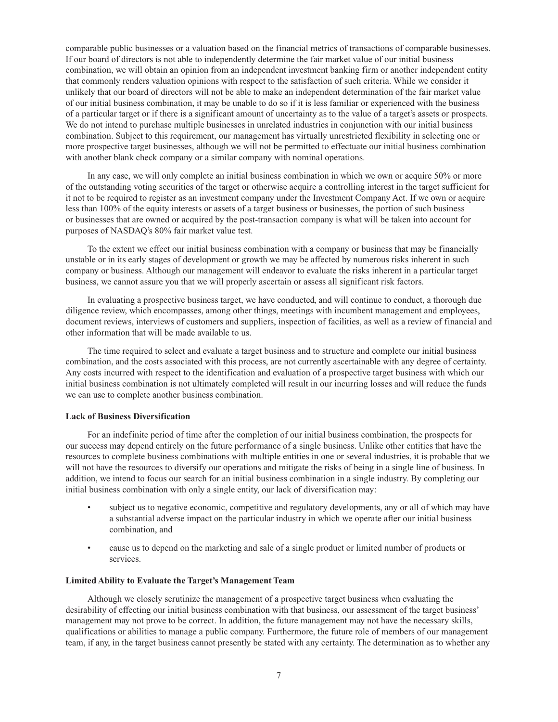comparable public businesses or a valuation based on the financial metrics of transactions of comparable businesses. If our board of directors is not able to independently determine the fair market value of our initial business combination, we will obtain an opinion from an independent investment banking firm or another independent entity that commonly renders valuation opinions with respect to the satisfaction of such criteria. While we consider it unlikely that our board of directors will not be able to make an independent determination of the fair market value of our initial business combination, it may be unable to do so if it is less familiar or experienced with the business of a particular target or if there is a significant amount of uncertainty as to the value of a target's assets or prospects. We do not intend to purchase multiple businesses in unrelated industries in conjunction with our initial business combination. Subject to this requirement, our management has virtually unrestricted flexibility in selecting one or more prospective target businesses, although we will not be permitted to effectuate our initial business combination with another blank check company or a similar company with nominal operations.

In any case, we will only complete an initial business combination in which we own or acquire 50% or more of the outstanding voting securities of the target or otherwise acquire a controlling interest in the target sufficient for it not to be required to register as an investment company under the Investment Company Act. If we own or acquire less than 100% of the equity interests or assets of a target business or businesses, the portion of such business or businesses that are owned or acquired by the post-transaction company is what will be taken into account for purposes of NASDAQ's 80% fair market value test.

To the extent we effect our initial business combination with a company or business that may be financially unstable or in its early stages of development or growth we may be affected by numerous risks inherent in such company or business. Although our management will endeavor to evaluate the risks inherent in a particular target business, we cannot assure you that we will properly ascertain or assess all significant risk factors.

In evaluating a prospective business target, we have conducted, and will continue to conduct, a thorough due diligence review, which encompasses, among other things, meetings with incumbent management and employees, document reviews, interviews of customers and suppliers, inspection of facilities, as well as a review of financial and other information that will be made available to us.

The time required to select and evaluate a target business and to structure and complete our initial business combination, and the costs associated with this process, are not currently ascertainable with any degree of certainty. Any costs incurred with respect to the identification and evaluation of a prospective target business with which our initial business combination is not ultimately completed will result in our incurring losses and will reduce the funds we can use to complete another business combination.

#### **Lack of Business Diversification**

For an indefinite period of time after the completion of our initial business combination, the prospects for our success may depend entirely on the future performance of a single business. Unlike other entities that have the resources to complete business combinations with multiple entities in one or several industries, it is probable that we will not have the resources to diversify our operations and mitigate the risks of being in a single line of business. In addition, we intend to focus our search for an initial business combination in a single industry. By completing our initial business combination with only a single entity, our lack of diversification may:

- subject us to negative economic, competitive and regulatory developments, any or all of which may have a substantial adverse impact on the particular industry in which we operate after our initial business combination, and
- cause us to depend on the marketing and sale of a single product or limited number of products or services.

#### **Limited Ability to Evaluate the Target's Management Team**

Although we closely scrutinize the management of a prospective target business when evaluating the desirability of effecting our initial business combination with that business, our assessment of the target business' management may not prove to be correct. In addition, the future management may not have the necessary skills, qualifications or abilities to manage a public company. Furthermore, the future role of members of our management team, if any, in the target business cannot presently be stated with any certainty. The determination as to whether any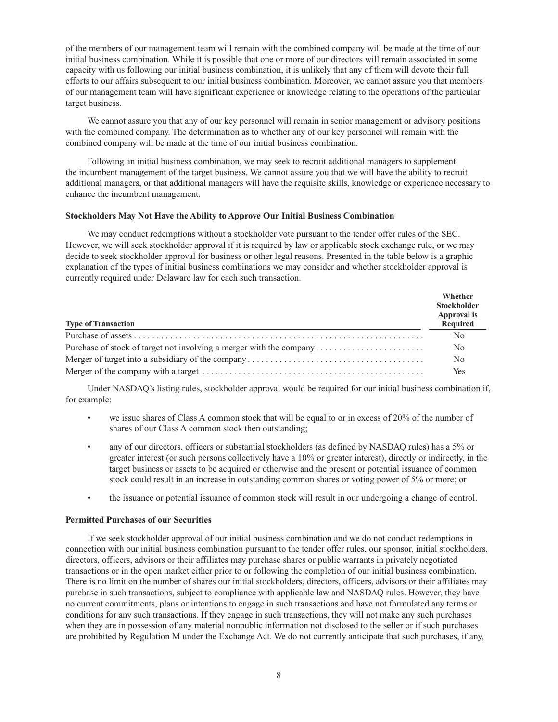of the members of our management team will remain with the combined company will be made at the time of our initial business combination. While it is possible that one or more of our directors will remain associated in some capacity with us following our initial business combination, it is unlikely that any of them will devote their full efforts to our affairs subsequent to our initial business combination. Moreover, we cannot assure you that members of our management team will have significant experience or knowledge relating to the operations of the particular target business.

We cannot assure you that any of our key personnel will remain in senior management or advisory positions with the combined company. The determination as to whether any of our key personnel will remain with the combined company will be made at the time of our initial business combination.

Following an initial business combination, we may seek to recruit additional managers to supplement the incumbent management of the target business. We cannot assure you that we will have the ability to recruit additional managers, or that additional managers will have the requisite skills, knowledge or experience necessary to enhance the incumbent management.

#### **Stockholders May Not Have the Ability to Approve Our Initial Business Combination**

We may conduct redemptions without a stockholder vote pursuant to the tender offer rules of the SEC. However, we will seek stockholder approval if it is required by law or applicable stock exchange rule, or we may decide to seek stockholder approval for business or other legal reasons. Presented in the table below is a graphic explanation of the types of initial business combinations we may consider and whether stockholder approval is currently required under Delaware law for each such transaction.

| <b>Type of Transaction</b>                                          | Whether<br><b>Stockholder</b><br>Approval is<br>Required |
|---------------------------------------------------------------------|----------------------------------------------------------|
|                                                                     | N <sub>0</sub>                                           |
| Purchase of stock of target not involving a merger with the company | N <sub>0</sub>                                           |
|                                                                     | No                                                       |
|                                                                     | Yes                                                      |

Under NASDAQ's listing rules, stockholder approval would be required for our initial business combination if, for example:

- we issue shares of Class A common stock that will be equal to or in excess of 20% of the number of shares of our Class A common stock then outstanding;
- any of our directors, officers or substantial stockholders (as defined by NASDAQ rules) has a 5% or greater interest (or such persons collectively have a 10% or greater interest), directly or indirectly, in the target business or assets to be acquired or otherwise and the present or potential issuance of common stock could result in an increase in outstanding common shares or voting power of 5% or more; or
- the issuance or potential issuance of common stock will result in our undergoing a change of control.

#### **Permitted Purchases of our Securities**

If we seek stockholder approval of our initial business combination and we do not conduct redemptions in connection with our initial business combination pursuant to the tender offer rules, our sponsor, initial stockholders, directors, officers, advisors or their affiliates may purchase shares or public warrants in privately negotiated transactions or in the open market either prior to or following the completion of our initial business combination. There is no limit on the number of shares our initial stockholders, directors, officers, advisors or their affiliates may purchase in such transactions, subject to compliance with applicable law and NASDAQ rules. However, they have no current commitments, plans or intentions to engage in such transactions and have not formulated any terms or conditions for any such transactions. If they engage in such transactions, they will not make any such purchases when they are in possession of any material nonpublic information not disclosed to the seller or if such purchases are prohibited by Regulation M under the Exchange Act. We do not currently anticipate that such purchases, if any,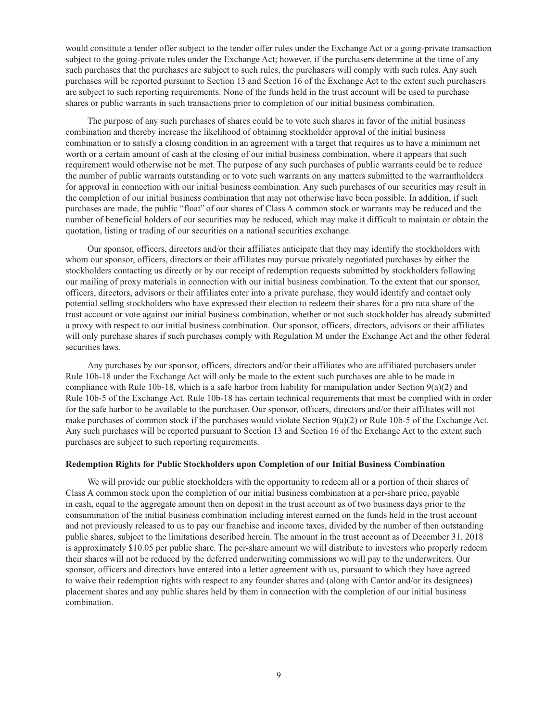would constitute a tender offer subject to the tender offer rules under the Exchange Act or a going-private transaction subject to the going-private rules under the Exchange Act; however, if the purchasers determine at the time of any such purchases that the purchases are subject to such rules, the purchasers will comply with such rules. Any such purchases will be reported pursuant to Section 13 and Section 16 of the Exchange Act to the extent such purchasers are subject to such reporting requirements. None of the funds held in the trust account will be used to purchase shares or public warrants in such transactions prior to completion of our initial business combination.

The purpose of any such purchases of shares could be to vote such shares in favor of the initial business combination and thereby increase the likelihood of obtaining stockholder approval of the initial business combination or to satisfy a closing condition in an agreement with a target that requires us to have a minimum net worth or a certain amount of cash at the closing of our initial business combination, where it appears that such requirement would otherwise not be met. The purpose of any such purchases of public warrants could be to reduce the number of public warrants outstanding or to vote such warrants on any matters submitted to the warrantholders for approval in connection with our initial business combination. Any such purchases of our securities may result in the completion of our initial business combination that may not otherwise have been possible. In addition, if such purchases are made, the public "float" of our shares of Class A common stock or warrants may be reduced and the number of beneficial holders of our securities may be reduced, which may make it difficult to maintain or obtain the quotation, listing or trading of our securities on a national securities exchange.

Our sponsor, officers, directors and/or their affiliates anticipate that they may identify the stockholders with whom our sponsor, officers, directors or their affiliates may pursue privately negotiated purchases by either the stockholders contacting us directly or by our receipt of redemption requests submitted by stockholders following our mailing of proxy materials in connection with our initial business combination. To the extent that our sponsor, officers, directors, advisors or their affiliates enter into a private purchase, they would identify and contact only potential selling stockholders who have expressed their election to redeem their shares for a pro rata share of the trust account or vote against our initial business combination, whether or not such stockholder has already submitted a proxy with respect to our initial business combination. Our sponsor, officers, directors, advisors or their affiliates will only purchase shares if such purchases comply with Regulation M under the Exchange Act and the other federal securities laws.

Any purchases by our sponsor, officers, directors and/or their affiliates who are affiliated purchasers under Rule 10b-18 under the Exchange Act will only be made to the extent such purchases are able to be made in compliance with Rule 10b-18, which is a safe harbor from liability for manipulation under Section 9(a)(2) and Rule 10b-5 of the Exchange Act. Rule 10b-18 has certain technical requirements that must be complied with in order for the safe harbor to be available to the purchaser. Our sponsor, officers, directors and/or their affiliates will not make purchases of common stock if the purchases would violate Section 9(a)(2) or Rule 10b-5 of the Exchange Act. Any such purchases will be reported pursuant to Section 13 and Section 16 of the Exchange Act to the extent such purchases are subject to such reporting requirements.

#### **Redemption Rights for Public Stockholders upon Completion of our Initial Business Combination**

We will provide our public stockholders with the opportunity to redeem all or a portion of their shares of Class A common stock upon the completion of our initial business combination at a per-share price, payable in cash, equal to the aggregate amount then on deposit in the trust account as of two business days prior to the consummation of the initial business combination including interest earned on the funds held in the trust account and not previously released to us to pay our franchise and income taxes, divided by the number of then outstanding public shares, subject to the limitations described herein. The amount in the trust account as of December 31, 2018 is approximately \$10.05 per public share. The per-share amount we will distribute to investors who properly redeem their shares will not be reduced by the deferred underwriting commissions we will pay to the underwriters. Our sponsor, officers and directors have entered into a letter agreement with us, pursuant to which they have agreed to waive their redemption rights with respect to any founder shares and (along with Cantor and/or its designees) placement shares and any public shares held by them in connection with the completion of our initial business combination.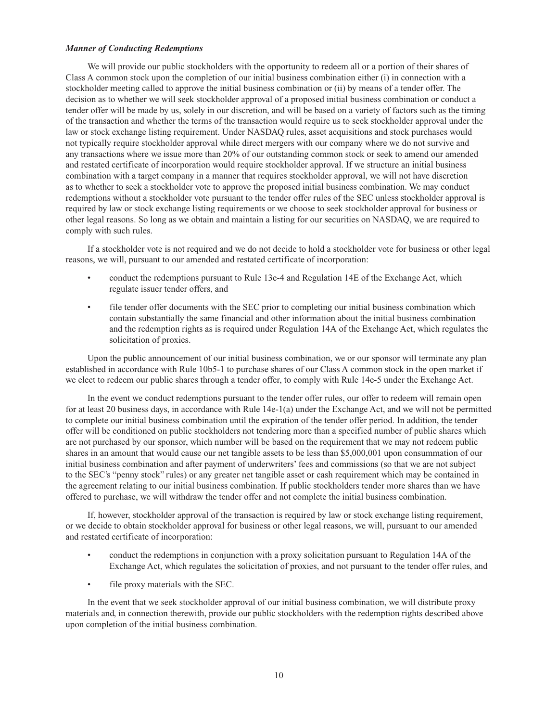#### *Manner of Conducting Redemptions*

We will provide our public stockholders with the opportunity to redeem all or a portion of their shares of Class A common stock upon the completion of our initial business combination either (i) in connection with a stockholder meeting called to approve the initial business combination or (ii) by means of a tender offer. The decision as to whether we will seek stockholder approval of a proposed initial business combination or conduct a tender offer will be made by us, solely in our discretion, and will be based on a variety of factors such as the timing of the transaction and whether the terms of the transaction would require us to seek stockholder approval under the law or stock exchange listing requirement. Under NASDAQ rules, asset acquisitions and stock purchases would not typically require stockholder approval while direct mergers with our company where we do not survive and any transactions where we issue more than 20% of our outstanding common stock or seek to amend our amended and restated certificate of incorporation would require stockholder approval. If we structure an initial business combination with a target company in a manner that requires stockholder approval, we will not have discretion as to whether to seek a stockholder vote to approve the proposed initial business combination. We may conduct redemptions without a stockholder vote pursuant to the tender offer rules of the SEC unless stockholder approval is required by law or stock exchange listing requirements or we choose to seek stockholder approval for business or other legal reasons. So long as we obtain and maintain a listing for our securities on NASDAQ, we are required to comply with such rules.

If a stockholder vote is not required and we do not decide to hold a stockholder vote for business or other legal reasons, we will, pursuant to our amended and restated certificate of incorporation:

- conduct the redemptions pursuant to Rule 13e-4 and Regulation 14E of the Exchange Act, which regulate issuer tender offers, and
- file tender offer documents with the SEC prior to completing our initial business combination which contain substantially the same financial and other information about the initial business combination and the redemption rights as is required under Regulation 14A of the Exchange Act, which regulates the solicitation of proxies.

Upon the public announcement of our initial business combination, we or our sponsor will terminate any plan established in accordance with Rule 10b5-1 to purchase shares of our Class A common stock in the open market if we elect to redeem our public shares through a tender offer, to comply with Rule 14e-5 under the Exchange Act.

In the event we conduct redemptions pursuant to the tender offer rules, our offer to redeem will remain open for at least 20 business days, in accordance with Rule 14e-1(a) under the Exchange Act, and we will not be permitted to complete our initial business combination until the expiration of the tender offer period. In addition, the tender offer will be conditioned on public stockholders not tendering more than a specified number of public shares which are not purchased by our sponsor, which number will be based on the requirement that we may not redeem public shares in an amount that would cause our net tangible assets to be less than \$5,000,001 upon consummation of our initial business combination and after payment of underwriters' fees and commissions (so that we are not subject to the SEC's "penny stock" rules) or any greater net tangible asset or cash requirement which may be contained in the agreement relating to our initial business combination. If public stockholders tender more shares than we have offered to purchase, we will withdraw the tender offer and not complete the initial business combination.

If, however, stockholder approval of the transaction is required by law or stock exchange listing requirement, or we decide to obtain stockholder approval for business or other legal reasons, we will, pursuant to our amended and restated certificate of incorporation:

- conduct the redemptions in conjunction with a proxy solicitation pursuant to Regulation 14A of the Exchange Act, which regulates the solicitation of proxies, and not pursuant to the tender offer rules, and
- file proxy materials with the SEC.

In the event that we seek stockholder approval of our initial business combination, we will distribute proxy materials and, in connection therewith, provide our public stockholders with the redemption rights described above upon completion of the initial business combination.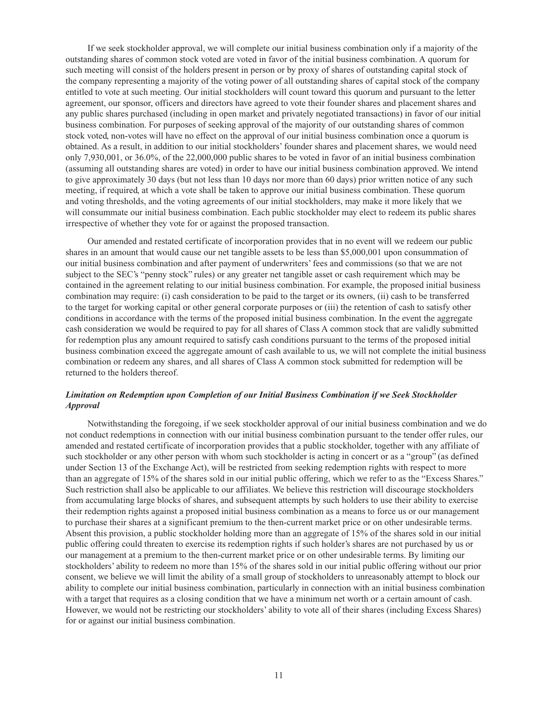If we seek stockholder approval, we will complete our initial business combination only if a majority of the outstanding shares of common stock voted are voted in favor of the initial business combination. A quorum for such meeting will consist of the holders present in person or by proxy of shares of outstanding capital stock of the company representing a majority of the voting power of all outstanding shares of capital stock of the company entitled to vote at such meeting. Our initial stockholders will count toward this quorum and pursuant to the letter agreement, our sponsor, officers and directors have agreed to vote their founder shares and placement shares and any public shares purchased (including in open market and privately negotiated transactions) in favor of our initial business combination. For purposes of seeking approval of the majority of our outstanding shares of common stock voted, non-votes will have no effect on the approval of our initial business combination once a quorum is obtained. As a result, in addition to our initial stockholders' founder shares and placement shares, we would need only 7,930,001, or 36.0%, of the 22,000,000 public shares to be voted in favor of an initial business combination (assuming all outstanding shares are voted) in order to have our initial business combination approved. We intend to give approximately 30 days (but not less than 10 days nor more than 60 days) prior written notice of any such meeting, if required, at which a vote shall be taken to approve our initial business combination. These quorum and voting thresholds, and the voting agreements of our initial stockholders, may make it more likely that we will consummate our initial business combination. Each public stockholder may elect to redeem its public shares irrespective of whether they vote for or against the proposed transaction.

Our amended and restated certificate of incorporation provides that in no event will we redeem our public shares in an amount that would cause our net tangible assets to be less than \$5,000,001 upon consummation of our initial business combination and after payment of underwriters' fees and commissions (so that we are not subject to the SEC's "penny stock" rules) or any greater net tangible asset or cash requirement which may be contained in the agreement relating to our initial business combination. For example, the proposed initial business combination may require: (i) cash consideration to be paid to the target or its owners, (ii) cash to be transferred to the target for working capital or other general corporate purposes or (iii) the retention of cash to satisfy other conditions in accordance with the terms of the proposed initial business combination. In the event the aggregate cash consideration we would be required to pay for all shares of Class A common stock that are validly submitted for redemption plus any amount required to satisfy cash conditions pursuant to the terms of the proposed initial business combination exceed the aggregate amount of cash available to us, we will not complete the initial business combination or redeem any shares, and all shares of Class A common stock submitted for redemption will be returned to the holders thereof.

### *Limitation on Redemption upon Completion of our Initial Business Combination if we Seek Stockholder Approval*

Notwithstanding the foregoing, if we seek stockholder approval of our initial business combination and we do not conduct redemptions in connection with our initial business combination pursuant to the tender offer rules, our amended and restated certificate of incorporation provides that a public stockholder, together with any affiliate of such stockholder or any other person with whom such stockholder is acting in concert or as a "group" (as defined under Section 13 of the Exchange Act), will be restricted from seeking redemption rights with respect to more than an aggregate of 15% of the shares sold in our initial public offering, which we refer to as the "Excess Shares." Such restriction shall also be applicable to our affiliates. We believe this restriction will discourage stockholders from accumulating large blocks of shares, and subsequent attempts by such holders to use their ability to exercise their redemption rights against a proposed initial business combination as a means to force us or our management to purchase their shares at a significant premium to the then-current market price or on other undesirable terms. Absent this provision, a public stockholder holding more than an aggregate of 15% of the shares sold in our initial public offering could threaten to exercise its redemption rights if such holder's shares are not purchased by us or our management at a premium to the then-current market price or on other undesirable terms. By limiting our stockholders' ability to redeem no more than 15% of the shares sold in our initial public offering without our prior consent, we believe we will limit the ability of a small group of stockholders to unreasonably attempt to block our ability to complete our initial business combination, particularly in connection with an initial business combination with a target that requires as a closing condition that we have a minimum net worth or a certain amount of cash. However, we would not be restricting our stockholders' ability to vote all of their shares (including Excess Shares) for or against our initial business combination.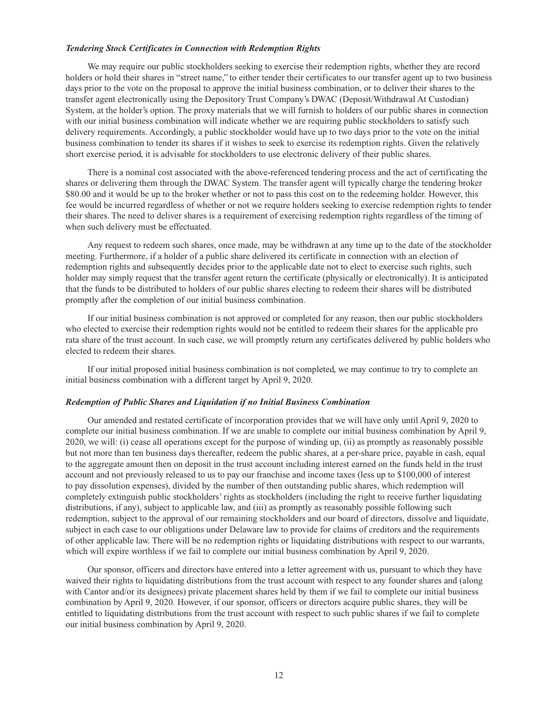#### *Tendering Stock Certificates in Connection with Redemption Rights*

We may require our public stockholders seeking to exercise their redemption rights, whether they are record holders or hold their shares in "street name," to either tender their certificates to our transfer agent up to two business days prior to the vote on the proposal to approve the initial business combination, or to deliver their shares to the transfer agent electronically using the Depository Trust Company's DWAC (Deposit/Withdrawal At Custodian) System, at the holder's option. The proxy materials that we will furnish to holders of our public shares in connection with our initial business combination will indicate whether we are requiring public stockholders to satisfy such delivery requirements. Accordingly, a public stockholder would have up to two days prior to the vote on the initial business combination to tender its shares if it wishes to seek to exercise its redemption rights. Given the relatively short exercise period, it is advisable for stockholders to use electronic delivery of their public shares.

There is a nominal cost associated with the above-referenced tendering process and the act of certificating the shares or delivering them through the DWAC System. The transfer agent will typically charge the tendering broker \$80.00 and it would be up to the broker whether or not to pass this cost on to the redeeming holder. However, this fee would be incurred regardless of whether or not we require holders seeking to exercise redemption rights to tender their shares. The need to deliver shares is a requirement of exercising redemption rights regardless of the timing of when such delivery must be effectuated.

Any request to redeem such shares, once made, may be withdrawn at any time up to the date of the stockholder meeting. Furthermore, if a holder of a public share delivered its certificate in connection with an election of redemption rights and subsequently decides prior to the applicable date not to elect to exercise such rights, such holder may simply request that the transfer agent return the certificate (physically or electronically). It is anticipated that the funds to be distributed to holders of our public shares electing to redeem their shares will be distributed promptly after the completion of our initial business combination.

If our initial business combination is not approved or completed for any reason, then our public stockholders who elected to exercise their redemption rights would not be entitled to redeem their shares for the applicable pro rata share of the trust account. In such case, we will promptly return any certificates delivered by public holders who elected to redeem their shares.

If our initial proposed initial business combination is not completed, we may continue to try to complete an initial business combination with a different target by April 9, 2020.

#### *Redemption of Public Shares and Liquidation if no Initial Business Combination*

Our amended and restated certificate of incorporation provides that we will have only until April 9, 2020 to complete our initial business combination. If we are unable to complete our initial business combination by April 9, 2020, we will: (i) cease all operations except for the purpose of winding up, (ii) as promptly as reasonably possible but not more than ten business days thereafter, redeem the public shares, at a per-share price, payable in cash, equal to the aggregate amount then on deposit in the trust account including interest earned on the funds held in the trust account and not previously released to us to pay our franchise and income taxes (less up to \$100,000 of interest to pay dissolution expenses), divided by the number of then outstanding public shares, which redemption will completely extinguish public stockholders' rights as stockholders (including the right to receive further liquidating distributions, if any), subject to applicable law, and (iii) as promptly as reasonably possible following such redemption, subject to the approval of our remaining stockholders and our board of directors, dissolve and liquidate, subject in each case to our obligations under Delaware law to provide for claims of creditors and the requirements of other applicable law. There will be no redemption rights or liquidating distributions with respect to our warrants, which will expire worthless if we fail to complete our initial business combination by April 9, 2020.

Our sponsor, officers and directors have entered into a letter agreement with us, pursuant to which they have waived their rights to liquidating distributions from the trust account with respect to any founder shares and (along with Cantor and/or its designees) private placement shares held by them if we fail to complete our initial business combination by April 9, 2020. However, if our sponsor, officers or directors acquire public shares, they will be entitled to liquidating distributions from the trust account with respect to such public shares if we fail to complete our initial business combination by April 9, 2020.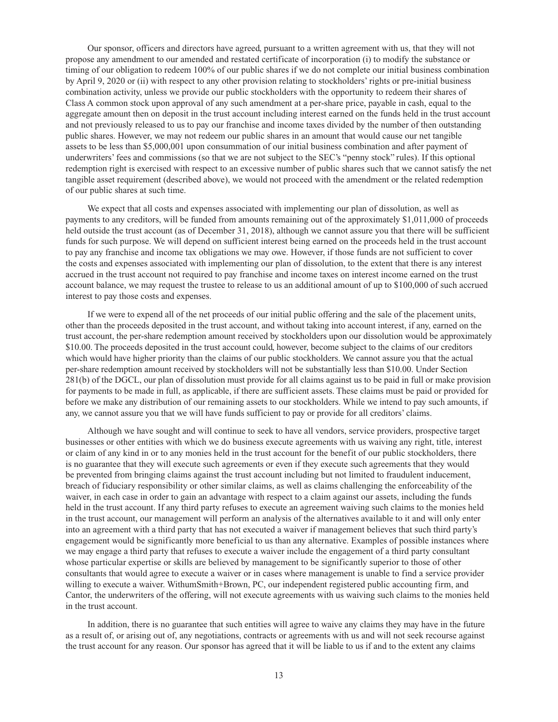Our sponsor, officers and directors have agreed, pursuant to a written agreement with us, that they will not propose any amendment to our amended and restated certificate of incorporation (i) to modify the substance or timing of our obligation to redeem 100% of our public shares if we do not complete our initial business combination by April 9, 2020 or (ii) with respect to any other provision relating to stockholders' rights or pre-initial business combination activity, unless we provide our public stockholders with the opportunity to redeem their shares of Class A common stock upon approval of any such amendment at a per-share price, payable in cash, equal to the aggregate amount then on deposit in the trust account including interest earned on the funds held in the trust account and not previously released to us to pay our franchise and income taxes divided by the number of then outstanding public shares. However, we may not redeem our public shares in an amount that would cause our net tangible assets to be less than \$5,000,001 upon consummation of our initial business combination and after payment of underwriters' fees and commissions (so that we are not subject to the SEC's "penny stock" rules). If this optional redemption right is exercised with respect to an excessive number of public shares such that we cannot satisfy the net tangible asset requirement (described above), we would not proceed with the amendment or the related redemption of our public shares at such time.

We expect that all costs and expenses associated with implementing our plan of dissolution, as well as payments to any creditors, will be funded from amounts remaining out of the approximately \$1,011,000 of proceeds held outside the trust account (as of December 31, 2018), although we cannot assure you that there will be sufficient funds for such purpose. We will depend on sufficient interest being earned on the proceeds held in the trust account to pay any franchise and income tax obligations we may owe. However, if those funds are not sufficient to cover the costs and expenses associated with implementing our plan of dissolution, to the extent that there is any interest accrued in the trust account not required to pay franchise and income taxes on interest income earned on the trust account balance, we may request the trustee to release to us an additional amount of up to \$100,000 of such accrued interest to pay those costs and expenses.

If we were to expend all of the net proceeds of our initial public offering and the sale of the placement units, other than the proceeds deposited in the trust account, and without taking into account interest, if any, earned on the trust account, the per-share redemption amount received by stockholders upon our dissolution would be approximately \$10.00. The proceeds deposited in the trust account could, however, become subject to the claims of our creditors which would have higher priority than the claims of our public stockholders. We cannot assure you that the actual per-share redemption amount received by stockholders will not be substantially less than \$10.00. Under Section 281(b) of the DGCL, our plan of dissolution must provide for all claims against us to be paid in full or make provision for payments to be made in full, as applicable, if there are sufficient assets. These claims must be paid or provided for before we make any distribution of our remaining assets to our stockholders. While we intend to pay such amounts, if any, we cannot assure you that we will have funds sufficient to pay or provide for all creditors' claims.

Although we have sought and will continue to seek to have all vendors, service providers, prospective target businesses or other entities with which we do business execute agreements with us waiving any right, title, interest or claim of any kind in or to any monies held in the trust account for the benefit of our public stockholders, there is no guarantee that they will execute such agreements or even if they execute such agreements that they would be prevented from bringing claims against the trust account including but not limited to fraudulent inducement, breach of fiduciary responsibility or other similar claims, as well as claims challenging the enforceability of the waiver, in each case in order to gain an advantage with respect to a claim against our assets, including the funds held in the trust account. If any third party refuses to execute an agreement waiving such claims to the monies held in the trust account, our management will perform an analysis of the alternatives available to it and will only enter into an agreement with a third party that has not executed a waiver if management believes that such third party's engagement would be significantly more beneficial to us than any alternative. Examples of possible instances where we may engage a third party that refuses to execute a waiver include the engagement of a third party consultant whose particular expertise or skills are believed by management to be significantly superior to those of other consultants that would agree to execute a waiver or in cases where management is unable to find a service provider willing to execute a waiver. WithumSmith+Brown, PC, our independent registered public accounting firm, and Cantor, the underwriters of the offering, will not execute agreements with us waiving such claims to the monies held in the trust account.

In addition, there is no guarantee that such entities will agree to waive any claims they may have in the future as a result of, or arising out of, any negotiations, contracts or agreements with us and will not seek recourse against the trust account for any reason. Our sponsor has agreed that it will be liable to us if and to the extent any claims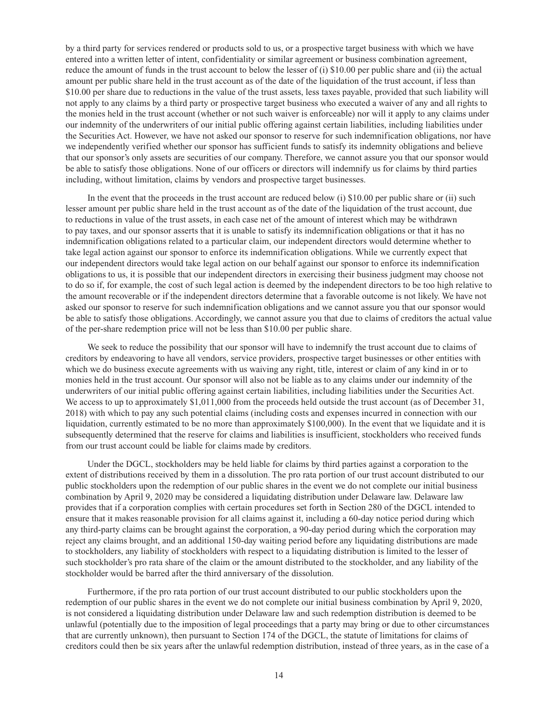by a third party for services rendered or products sold to us, or a prospective target business with which we have entered into a written letter of intent, confidentiality or similar agreement or business combination agreement, reduce the amount of funds in the trust account to below the lesser of (i) \$10.00 per public share and (ii) the actual amount per public share held in the trust account as of the date of the liquidation of the trust account, if less than \$10.00 per share due to reductions in the value of the trust assets, less taxes payable, provided that such liability will not apply to any claims by a third party or prospective target business who executed a waiver of any and all rights to the monies held in the trust account (whether or not such waiver is enforceable) nor will it apply to any claims under our indemnity of the underwriters of our initial public offering against certain liabilities, including liabilities under the Securities Act. However, we have not asked our sponsor to reserve for such indemnification obligations, nor have we independently verified whether our sponsor has sufficient funds to satisfy its indemnity obligations and believe that our sponsor's only assets are securities of our company. Therefore, we cannot assure you that our sponsor would be able to satisfy those obligations. None of our officers or directors will indemnify us for claims by third parties including, without limitation, claims by vendors and prospective target businesses.

In the event that the proceeds in the trust account are reduced below (i) \$10.00 per public share or (ii) such lesser amount per public share held in the trust account as of the date of the liquidation of the trust account, due to reductions in value of the trust assets, in each case net of the amount of interest which may be withdrawn to pay taxes, and our sponsor asserts that it is unable to satisfy its indemnification obligations or that it has no indemnification obligations related to a particular claim, our independent directors would determine whether to take legal action against our sponsor to enforce its indemnification obligations. While we currently expect that our independent directors would take legal action on our behalf against our sponsor to enforce its indemnification obligations to us, it is possible that our independent directors in exercising their business judgment may choose not to do so if, for example, the cost of such legal action is deemed by the independent directors to be too high relative to the amount recoverable or if the independent directors determine that a favorable outcome is not likely. We have not asked our sponsor to reserve for such indemnification obligations and we cannot assure you that our sponsor would be able to satisfy those obligations. Accordingly, we cannot assure you that due to claims of creditors the actual value of the per-share redemption price will not be less than \$10.00 per public share.

We seek to reduce the possibility that our sponsor will have to indemnify the trust account due to claims of creditors by endeavoring to have all vendors, service providers, prospective target businesses or other entities with which we do business execute agreements with us waiving any right, title, interest or claim of any kind in or to monies held in the trust account. Our sponsor will also not be liable as to any claims under our indemnity of the underwriters of our initial public offering against certain liabilities, including liabilities under the Securities Act. We access to up to approximately \$1,011,000 from the proceeds held outside the trust account (as of December 31, 2018) with which to pay any such potential claims (including costs and expenses incurred in connection with our liquidation, currently estimated to be no more than approximately \$100,000). In the event that we liquidate and it is subsequently determined that the reserve for claims and liabilities is insufficient, stockholders who received funds from our trust account could be liable for claims made by creditors.

Under the DGCL, stockholders may be held liable for claims by third parties against a corporation to the extent of distributions received by them in a dissolution. The pro rata portion of our trust account distributed to our public stockholders upon the redemption of our public shares in the event we do not complete our initial business combination by April 9, 2020 may be considered a liquidating distribution under Delaware law. Delaware law provides that if a corporation complies with certain procedures set forth in Section 280 of the DGCL intended to ensure that it makes reasonable provision for all claims against it, including a 60-day notice period during which any third-party claims can be brought against the corporation, a 90-day period during which the corporation may reject any claims brought, and an additional 150-day waiting period before any liquidating distributions are made to stockholders, any liability of stockholders with respect to a liquidating distribution is limited to the lesser of such stockholder's pro rata share of the claim or the amount distributed to the stockholder, and any liability of the stockholder would be barred after the third anniversary of the dissolution.

Furthermore, if the pro rata portion of our trust account distributed to our public stockholders upon the redemption of our public shares in the event we do not complete our initial business combination by April 9, 2020, is not considered a liquidating distribution under Delaware law and such redemption distribution is deemed to be unlawful (potentially due to the imposition of legal proceedings that a party may bring or due to other circumstances that are currently unknown), then pursuant to Section 174 of the DGCL, the statute of limitations for claims of creditors could then be six years after the unlawful redemption distribution, instead of three years, as in the case of a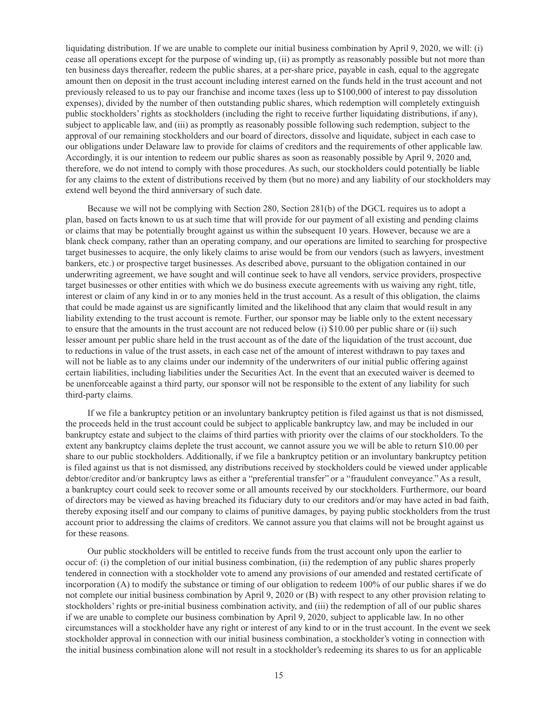liquidating distribution. If we are unable to complete our initial business combination by April 9, 2020, we will: (i) cease all operations except for the purpose of winding up, (ii) as promptly as reasonably possible but not more than ten business days thereafter, redeem the public shares, at a per-share price, payable in cash, equal to the aggregate amount then on deposit in the trust account including interest earned on the funds held in the trust account and not previously released to us to pay our franchise and income taxes (less up to \$100,000 of interest to pay dissolution expenses), divided by the number of then outstanding public shares, which redemption will completely extinguish public stockholders' rights as stockholders (including the right to receive further liquidating distributions, if any), subject to applicable law, and (iii) as promptly as reasonably possible following such redemption, subject to the approval of our remaining stockholders and our board of directors, dissolve and liquidate, subject in each case to our obligations under Delaware law to provide for claims of creditors and the requirements of other applicable law. Accordingly, it is our intention to redeem our public shares as soon as reasonably possible by April 9, 2020 and, therefore, we do not intend to comply with those procedures. As such, our stockholders could potentially be liable for any claims to the extent of distributions received by them (but no more) and any liability of our stockholders may extend well beyond the third anniversary of such date.

Because we will not be complying with Section 280, Section 281(b) of the DGCL requires us to adopt a plan, based on facts known to us at such time that will provide for our payment of all existing and pending claims or claims that may be potentially brought against us within the subsequent 10 years. However, because we are a blank check company, rather than an operating company, and our operations are limited to searching for prospective target businesses to acquire, the only likely claims to arise would be from our vendors (such as lawyers, investment bankers, etc.) or prospective target businesses. As described above, pursuant to the obligation contained in our underwriting agreement, we have sought and will continue seek to have all vendors, service providers, prospective target businesses or other entities with which we do business execute agreements with us waiving any right, title, interest or claim of any kind in or to any monies held in the trust account. As a result of this obligation, the claims that could be made against us are significantly limited and the likelihood that any claim that would result in any liability extending to the trust account is remote. Further, our sponsor may be liable only to the extent necessary to ensure that the amounts in the trust account are not reduced below (i) \$10.00 per public share or (ii) such lesser amount per public share held in the trust account as of the date of the liquidation of the trust account, due to reductions in value of the trust assets, in each case net of the amount of interest withdrawn to pay taxes and will not be liable as to any claims under our indemnity of the underwriters of our initial public offering against certain liabilities, including liabilities under the Securities Act. In the event that an executed waiver is deemed to be unenforceable against a third party, our sponsor will not be responsible to the extent of any liability for such third-party claims.

If we file a bankruptcy petition or an involuntary bankruptcy petition is filed against us that is not dismissed, the proceeds held in the trust account could be subject to applicable bankruptcy law, and may be included in our bankruptcy estate and subject to the claims of third parties with priority over the claims of our stockholders. To the extent any bankruptcy claims deplete the trust account, we cannot assure you we will be able to return \$10.00 per share to our public stockholders. Additionally, if we file a bankruptcy petition or an involuntary bankruptcy petition is filed against us that is not dismissed, any distributions received by stockholders could be viewed under applicable debtor/creditor and/or bankruptcy laws as either a "preferential transfer" or a "fraudulent conveyance." As a result, a bankruptcy court could seek to recover some or all amounts received by our stockholders. Furthermore, our board of directors may be viewed as having breached its fiduciary duty to our creditors and/or may have acted in bad faith, thereby exposing itself and our company to claims of punitive damages, by paying public stockholders from the trust account prior to addressing the claims of creditors. We cannot assure you that claims will not be brought against us for these reasons.

Our public stockholders will be entitled to receive funds from the trust account only upon the earlier to occur of: (i) the completion of our initial business combination, (ii) the redemption of any public shares properly tendered in connection with a stockholder vote to amend any provisions of our amended and restated certificate of incorporation (A) to modify the substance or timing of our obligation to redeem 100% of our public shares if we do not complete our initial business combination by April 9, 2020 or (B) with respect to any other provision relating to stockholders' rights or pre-initial business combination activity, and (iii) the redemption of all of our public shares if we are unable to complete our business combination by April 9, 2020, subject to applicable law. In no other circumstances will a stockholder have any right or interest of any kind to or in the trust account. In the event we seek stockholder approval in connection with our initial business combination, a stockholder's voting in connection with the initial business combination alone will not result in a stockholder's redeeming its shares to us for an applicable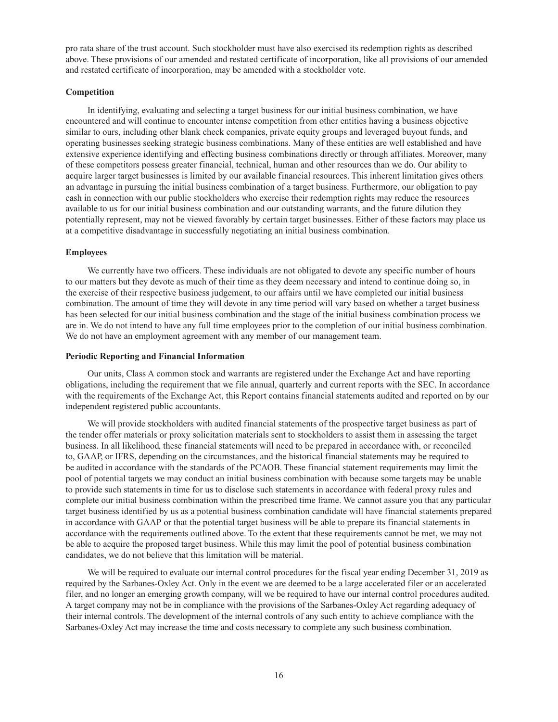pro rata share of the trust account. Such stockholder must have also exercised its redemption rights as described above. These provisions of our amended and restated certificate of incorporation, like all provisions of our amended and restated certificate of incorporation, may be amended with a stockholder vote.

#### **Competition**

In identifying, evaluating and selecting a target business for our initial business combination, we have encountered and will continue to encounter intense competition from other entities having a business objective similar to ours, including other blank check companies, private equity groups and leveraged buyout funds, and operating businesses seeking strategic business combinations. Many of these entities are well established and have extensive experience identifying and effecting business combinations directly or through affiliates. Moreover, many of these competitors possess greater financial, technical, human and other resources than we do. Our ability to acquire larger target businesses is limited by our available financial resources. This inherent limitation gives others an advantage in pursuing the initial business combination of a target business. Furthermore, our obligation to pay cash in connection with our public stockholders who exercise their redemption rights may reduce the resources available to us for our initial business combination and our outstanding warrants, and the future dilution they potentially represent, may not be viewed favorably by certain target businesses. Either of these factors may place us at a competitive disadvantage in successfully negotiating an initial business combination.

#### **Employees**

We currently have two officers. These individuals are not obligated to devote any specific number of hours to our matters but they devote as much of their time as they deem necessary and intend to continue doing so, in the exercise of their respective business judgement, to our affairs until we have completed our initial business combination. The amount of time they will devote in any time period will vary based on whether a target business has been selected for our initial business combination and the stage of the initial business combination process we are in. We do not intend to have any full time employees prior to the completion of our initial business combination. We do not have an employment agreement with any member of our management team.

### **Periodic Reporting and Financial Information**

Our units, Class A common stock and warrants are registered under the Exchange Act and have reporting obligations, including the requirement that we file annual, quarterly and current reports with the SEC. In accordance with the requirements of the Exchange Act, this Report contains financial statements audited and reported on by our independent registered public accountants.

We will provide stockholders with audited financial statements of the prospective target business as part of the tender offer materials or proxy solicitation materials sent to stockholders to assist them in assessing the target business. In all likelihood, these financial statements will need to be prepared in accordance with, or reconciled to, GAAP, or IFRS, depending on the circumstances, and the historical financial statements may be required to be audited in accordance with the standards of the PCAOB. These financial statement requirements may limit the pool of potential targets we may conduct an initial business combination with because some targets may be unable to provide such statements in time for us to disclose such statements in accordance with federal proxy rules and complete our initial business combination within the prescribed time frame. We cannot assure you that any particular target business identified by us as a potential business combination candidate will have financial statements prepared in accordance with GAAP or that the potential target business will be able to prepare its financial statements in accordance with the requirements outlined above. To the extent that these requirements cannot be met, we may not be able to acquire the proposed target business. While this may limit the pool of potential business combination candidates, we do not believe that this limitation will be material.

We will be required to evaluate our internal control procedures for the fiscal year ending December 31, 2019 as required by the Sarbanes-Oxley Act. Only in the event we are deemed to be a large accelerated filer or an accelerated filer, and no longer an emerging growth company, will we be required to have our internal control procedures audited. A target company may not be in compliance with the provisions of the Sarbanes-Oxley Act regarding adequacy of their internal controls. The development of the internal controls of any such entity to achieve compliance with the Sarbanes-Oxley Act may increase the time and costs necessary to complete any such business combination.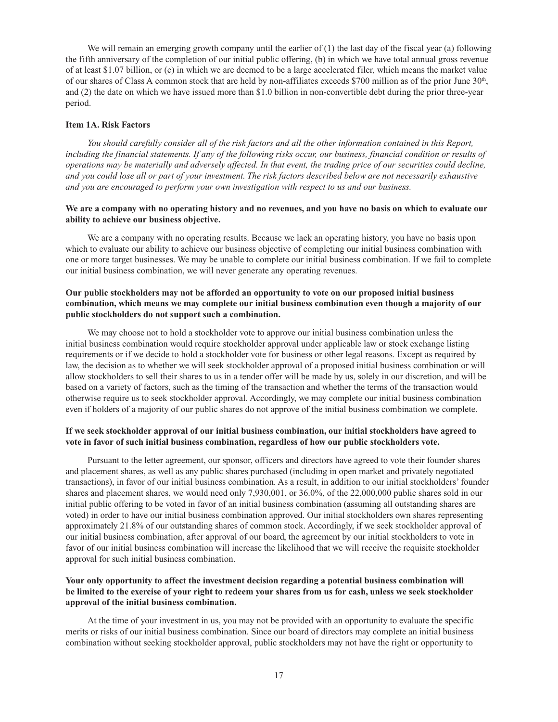We will remain an emerging growth company until the earlier of  $(1)$  the last day of the fiscal year (a) following the fifth anniversary of the completion of our initial public offering, (b) in which we have total annual gross revenue of at least \$1.07 billion, or (c) in which we are deemed to be a large accelerated filer, which means the market value of our shares of Class A common stock that are held by non-affiliates exceeds \$700 million as of the prior June 30th, and (2) the date on which we have issued more than \$1.0 billion in non-convertible debt during the prior three-year period.

#### **Item 1A. Risk Factors**

*You should carefully consider all of the risk factors and all the other information contained in this Report, including the financial statements. If any of the following risks occur, our business, financial condition or results of operations may be materially and adversely affected. In that event, the trading price of our securities could decline, and you could lose all or part of your investment. The risk factors described below are not necessarily exhaustive and you are encouraged to perform your own investigation with respect to us and our business.*

### **We are a company with no operating history and no revenues, and you have no basis on which to evaluate our ability to achieve our business objective.**

We are a company with no operating results. Because we lack an operating history, you have no basis upon which to evaluate our ability to achieve our business objective of completing our initial business combination with one or more target businesses. We may be unable to complete our initial business combination. If we fail to complete our initial business combination, we will never generate any operating revenues.

# **Our public stockholders may not be afforded an opportunity to vote on our proposed initial business combination, which means we may complete our initial business combination even though a majority of our public stockholders do not support such a combination.**

We may choose not to hold a stockholder vote to approve our initial business combination unless the initial business combination would require stockholder approval under applicable law or stock exchange listing requirements or if we decide to hold a stockholder vote for business or other legal reasons. Except as required by law, the decision as to whether we will seek stockholder approval of a proposed initial business combination or will allow stockholders to sell their shares to us in a tender offer will be made by us, solely in our discretion, and will be based on a variety of factors, such as the timing of the transaction and whether the terms of the transaction would otherwise require us to seek stockholder approval. Accordingly, we may complete our initial business combination even if holders of a majority of our public shares do not approve of the initial business combination we complete.

# **If we seek stockholder approval of our initial business combination, our initial stockholders have agreed to vote in favor of such initial business combination, regardless of how our public stockholders vote.**

Pursuant to the letter agreement, our sponsor, officers and directors have agreed to vote their founder shares and placement shares, as well as any public shares purchased (including in open market and privately negotiated transactions), in favor of our initial business combination. As a result, in addition to our initial stockholders' founder shares and placement shares, we would need only 7,930,001, or 36.0%, of the 22,000,000 public shares sold in our initial public offering to be voted in favor of an initial business combination (assuming all outstanding shares are voted) in order to have our initial business combination approved. Our initial stockholders own shares representing approximately 21.8% of our outstanding shares of common stock. Accordingly, if we seek stockholder approval of our initial business combination, after approval of our board, the agreement by our initial stockholders to vote in favor of our initial business combination will increase the likelihood that we will receive the requisite stockholder approval for such initial business combination.

# **Your only opportunity to affect the investment decision regarding a potential business combination will be limited to the exercise of your right to redeem your shares from us for cash, unless we seek stockholder approval of the initial business combination.**

At the time of your investment in us, you may not be provided with an opportunity to evaluate the specific merits or risks of our initial business combination. Since our board of directors may complete an initial business combination without seeking stockholder approval, public stockholders may not have the right or opportunity to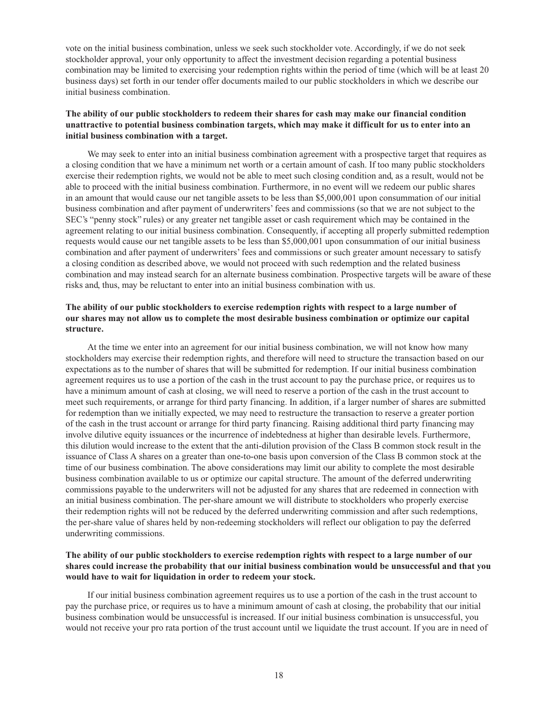vote on the initial business combination, unless we seek such stockholder vote. Accordingly, if we do not seek stockholder approval, your only opportunity to affect the investment decision regarding a potential business combination may be limited to exercising your redemption rights within the period of time (which will be at least 20 business days) set forth in our tender offer documents mailed to our public stockholders in which we describe our initial business combination.

# **The ability of our public stockholders to redeem their shares for cash may make our financial condition unattractive to potential business combination targets, which may make it difficult for us to enter into an initial business combination with a target.**

We may seek to enter into an initial business combination agreement with a prospective target that requires as a closing condition that we have a minimum net worth or a certain amount of cash. If too many public stockholders exercise their redemption rights, we would not be able to meet such closing condition and, as a result, would not be able to proceed with the initial business combination. Furthermore, in no event will we redeem our public shares in an amount that would cause our net tangible assets to be less than \$5,000,001 upon consummation of our initial business combination and after payment of underwriters' fees and commissions (so that we are not subject to the SEC's "penny stock" rules) or any greater net tangible asset or cash requirement which may be contained in the agreement relating to our initial business combination. Consequently, if accepting all properly submitted redemption requests would cause our net tangible assets to be less than \$5,000,001 upon consummation of our initial business combination and after payment of underwriters' fees and commissions or such greater amount necessary to satisfy a closing condition as described above, we would not proceed with such redemption and the related business combination and may instead search for an alternate business combination. Prospective targets will be aware of these risks and, thus, may be reluctant to enter into an initial business combination with us.

# **The ability of our public stockholders to exercise redemption rights with respect to a large number of our shares may not allow us to complete the most desirable business combination or optimize our capital structure.**

At the time we enter into an agreement for our initial business combination, we will not know how many stockholders may exercise their redemption rights, and therefore will need to structure the transaction based on our expectations as to the number of shares that will be submitted for redemption. If our initial business combination agreement requires us to use a portion of the cash in the trust account to pay the purchase price, or requires us to have a minimum amount of cash at closing, we will need to reserve a portion of the cash in the trust account to meet such requirements, or arrange for third party financing. In addition, if a larger number of shares are submitted for redemption than we initially expected, we may need to restructure the transaction to reserve a greater portion of the cash in the trust account or arrange for third party financing. Raising additional third party financing may involve dilutive equity issuances or the incurrence of indebtedness at higher than desirable levels. Furthermore, this dilution would increase to the extent that the anti-dilution provision of the Class B common stock result in the issuance of Class A shares on a greater than one-to-one basis upon conversion of the Class B common stock at the time of our business combination. The above considerations may limit our ability to complete the most desirable business combination available to us or optimize our capital structure. The amount of the deferred underwriting commissions payable to the underwriters will not be adjusted for any shares that are redeemed in connection with an initial business combination. The per-share amount we will distribute to stockholders who properly exercise their redemption rights will not be reduced by the deferred underwriting commission and after such redemptions, the per-share value of shares held by non-redeeming stockholders will reflect our obligation to pay the deferred underwriting commissions.

# **The ability of our public stockholders to exercise redemption rights with respect to a large number of our shares could increase the probability that our initial business combination would be unsuccessful and that you would have to wait for liquidation in order to redeem your stock.**

If our initial business combination agreement requires us to use a portion of the cash in the trust account to pay the purchase price, or requires us to have a minimum amount of cash at closing, the probability that our initial business combination would be unsuccessful is increased. If our initial business combination is unsuccessful, you would not receive your pro rata portion of the trust account until we liquidate the trust account. If you are in need of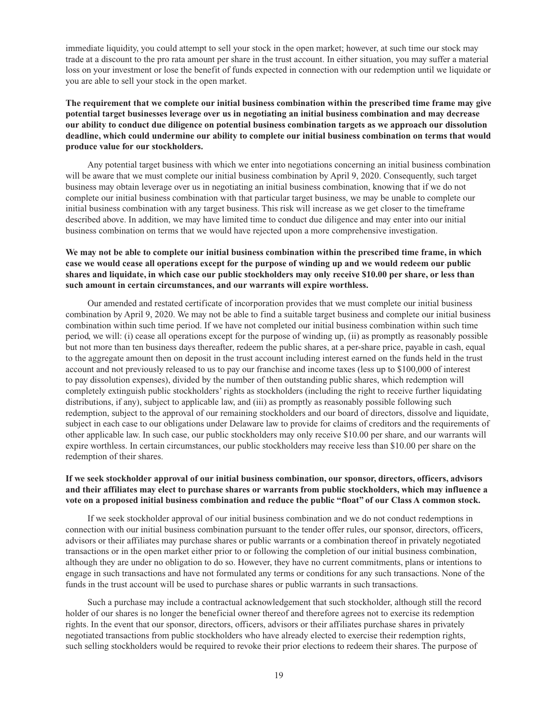immediate liquidity, you could attempt to sell your stock in the open market; however, at such time our stock may trade at a discount to the pro rata amount per share in the trust account. In either situation, you may suffer a material loss on your investment or lose the benefit of funds expected in connection with our redemption until we liquidate or you are able to sell your stock in the open market.

# **The requirement that we complete our initial business combination within the prescribed time frame may give potential target businesses leverage over us in negotiating an initial business combination and may decrease our ability to conduct due diligence on potential business combination targets as we approach our dissolution deadline, which could undermine our ability to complete our initial business combination on terms that would produce value for our stockholders.**

Any potential target business with which we enter into negotiations concerning an initial business combination will be aware that we must complete our initial business combination by April 9, 2020. Consequently, such target business may obtain leverage over us in negotiating an initial business combination, knowing that if we do not complete our initial business combination with that particular target business, we may be unable to complete our initial business combination with any target business. This risk will increase as we get closer to the timeframe described above. In addition, we may have limited time to conduct due diligence and may enter into our initial business combination on terms that we would have rejected upon a more comprehensive investigation.

# **We may not be able to complete our initial business combination within the prescribed time frame, in which case we would cease all operations except for the purpose of winding up and we would redeem our public shares and liquidate, in which case our public stockholders may only receive \$10.00 per share, or less than such amount in certain circumstances, and our warrants will expire worthless.**

Our amended and restated certificate of incorporation provides that we must complete our initial business combination by April 9, 2020. We may not be able to find a suitable target business and complete our initial business combination within such time period. If we have not completed our initial business combination within such time period, we will: (i) cease all operations except for the purpose of winding up, (ii) as promptly as reasonably possible but not more than ten business days thereafter, redeem the public shares, at a per-share price, payable in cash, equal to the aggregate amount then on deposit in the trust account including interest earned on the funds held in the trust account and not previously released to us to pay our franchise and income taxes (less up to \$100,000 of interest to pay dissolution expenses), divided by the number of then outstanding public shares, which redemption will completely extinguish public stockholders' rights as stockholders (including the right to receive further liquidating distributions, if any), subject to applicable law, and (iii) as promptly as reasonably possible following such redemption, subject to the approval of our remaining stockholders and our board of directors, dissolve and liquidate, subject in each case to our obligations under Delaware law to provide for claims of creditors and the requirements of other applicable law. In such case, our public stockholders may only receive \$10.00 per share, and our warrants will expire worthless. In certain circumstances, our public stockholders may receive less than \$10.00 per share on the redemption of their shares.

# **If we seek stockholder approval of our initial business combination, our sponsor, directors, officers, advisors and their affiliates may elect to purchase shares or warrants from public stockholders, which may influence a vote on a proposed initial business combination and reduce the public "float" of our Class A common stock.**

If we seek stockholder approval of our initial business combination and we do not conduct redemptions in connection with our initial business combination pursuant to the tender offer rules, our sponsor, directors, officers, advisors or their affiliates may purchase shares or public warrants or a combination thereof in privately negotiated transactions or in the open market either prior to or following the completion of our initial business combination, although they are under no obligation to do so. However, they have no current commitments, plans or intentions to engage in such transactions and have not formulated any terms or conditions for any such transactions. None of the funds in the trust account will be used to purchase shares or public warrants in such transactions.

Such a purchase may include a contractual acknowledgement that such stockholder, although still the record holder of our shares is no longer the beneficial owner thereof and therefore agrees not to exercise its redemption rights. In the event that our sponsor, directors, officers, advisors or their affiliates purchase shares in privately negotiated transactions from public stockholders who have already elected to exercise their redemption rights, such selling stockholders would be required to revoke their prior elections to redeem their shares. The purpose of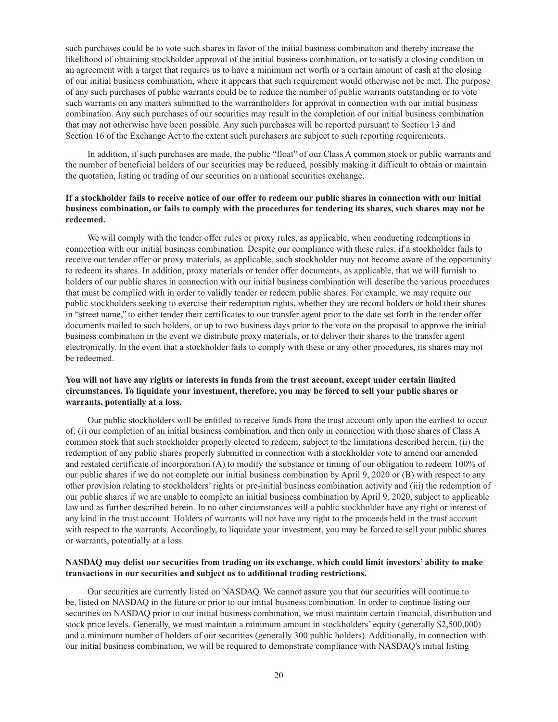such purchases could be to vote such shares in favor of the initial business combination and thereby increase the likelihood of obtaining stockholder approval of the initial business combination, or to satisfy a closing condition in an agreement with a target that requires us to have a minimum net worth or a certain amount of cash at the closing of our initial business combination, where it appears that such requirement would otherwise not be met. The purpose of any such purchases of public warrants could be to reduce the number of public warrants outstanding or to vote such warrants on any matters submitted to the warrantholders for approval in connection with our initial business combination. Any such purchases of our securities may result in the completion of our initial business combination that may not otherwise have been possible. Any such purchases will be reported pursuant to Section 13 and Section 16 of the Exchange Act to the extent such purchasers are subject to such reporting requirements.

In addition, if such purchases are made, the public "float" of our Class A common stock or public warrants and the number of beneficial holders of our securities may be reduced, possibly making it difficult to obtain or maintain the quotation, listing or trading of our securities on a national securities exchange.

# **If a stockholder fails to receive notice of our offer to redeem our public shares in connection with our initial business combination, or fails to comply with the procedures for tendering its shares, such shares may not be redeemed.**

We will comply with the tender offer rules or proxy rules, as applicable, when conducting redemptions in connection with our initial business combination. Despite our compliance with these rules, if a stockholder fails to receive our tender offer or proxy materials, as applicable, such stockholder may not become aware of the opportunity to redeem its shares. In addition, proxy materials or tender offer documents, as applicable, that we will furnish to holders of our public shares in connection with our initial business combination will describe the various procedures that must be complied with in order to validly tender or redeem public shares. For example, we may require our public stockholders seeking to exercise their redemption rights, whether they are record holders or hold their shares in "street name," to either tender their certificates to our transfer agent prior to the date set forth in the tender offer documents mailed to such holders, or up to two business days prior to the vote on the proposal to approve the initial business combination in the event we distribute proxy materials, or to deliver their shares to the transfer agent electronically. In the event that a stockholder fails to comply with these or any other procedures, its shares may not be redeemed.

### **You will not have any rights or interests in funds from the trust account, except under certain limited circumstances. To liquidate your investment, therefore, you may be forced to sell your public shares or warrants, potentially at a loss.**

Our public stockholders will be entitled to receive funds from the trust account only upon the earliest to occur of: (i) our completion of an initial business combination, and then only in connection with those shares of Class A common stock that such stockholder properly elected to redeem, subject to the limitations described herein, (ii) the redemption of any public shares properly submitted in connection with a stockholder vote to amend our amended and restated certificate of incorporation (A) to modify the substance or timing of our obligation to redeem 100% of our public shares if we do not complete our initial business combination by April 9, 2020 or (B) with respect to any other provision relating to stockholders' rights or pre-initial business combination activity and (iii) the redemption of our public shares if we are unable to complete an initial business combination by April 9, 2020, subject to applicable law and as further described herein. In no other circumstances will a public stockholder have any right or interest of any kind in the trust account. Holders of warrants will not have any right to the proceeds held in the trust account with respect to the warrants. Accordingly, to liquidate your investment, you may be forced to sell your public shares or warrants, potentially at a loss.

### **NASDAQ may delist our securities from trading on its exchange, which could limit investors' ability to make transactions in our securities and subject us to additional trading restrictions.**

Our securities are currently listed on NASDAQ. We cannot assure you that our securities will continue to be, listed on NASDAQ in the future or prior to our initial business combination. In order to continue listing our securities on NASDAQ prior to our initial business combination, we must maintain certain financial, distribution and stock price levels. Generally, we must maintain a minimum amount in stockholders' equity (generally \$2,500,000) and a minimum number of holders of our securities (generally 300 public holders). Additionally, in connection with our initial business combination, we will be required to demonstrate compliance with NASDAQ's initial listing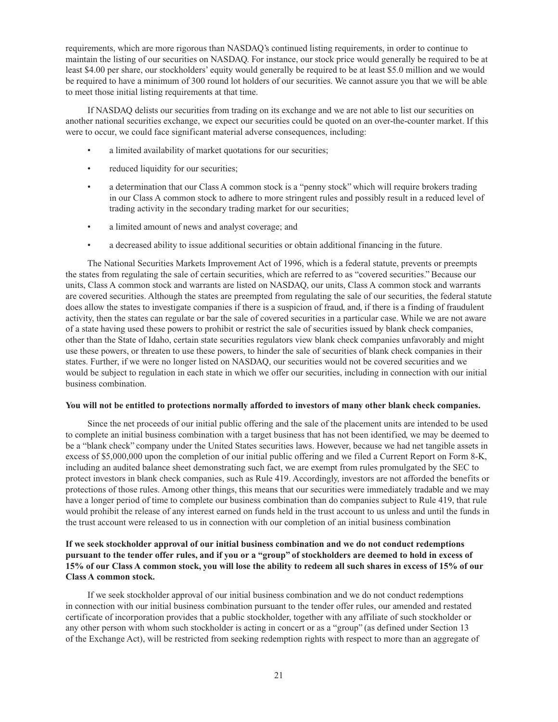requirements, which are more rigorous than NASDAQ's continued listing requirements, in order to continue to maintain the listing of our securities on NASDAQ. For instance, our stock price would generally be required to be at least \$4.00 per share, our stockholders' equity would generally be required to be at least \$5.0 million and we would be required to have a minimum of 300 round lot holders of our securities. We cannot assure you that we will be able to meet those initial listing requirements at that time.

If NASDAQ delists our securities from trading on its exchange and we are not able to list our securities on another national securities exchange, we expect our securities could be quoted on an over-the-counter market. If this were to occur, we could face significant material adverse consequences, including:

- a limited availability of market quotations for our securities;
- reduced liquidity for our securities;
- a determination that our Class A common stock is a "penny stock" which will require brokers trading in our Class A common stock to adhere to more stringent rules and possibly result in a reduced level of trading activity in the secondary trading market for our securities;
- a limited amount of news and analyst coverage; and
- a decreased ability to issue additional securities or obtain additional financing in the future.

The National Securities Markets Improvement Act of 1996, which is a federal statute, prevents or preempts the states from regulating the sale of certain securities, which are referred to as "covered securities." Because our units, Class A common stock and warrants are listed on NASDAQ, our units, Class A common stock and warrants are covered securities. Although the states are preempted from regulating the sale of our securities, the federal statute does allow the states to investigate companies if there is a suspicion of fraud, and, if there is a finding of fraudulent activity, then the states can regulate or bar the sale of covered securities in a particular case. While we are not aware of a state having used these powers to prohibit or restrict the sale of securities issued by blank check companies, other than the State of Idaho, certain state securities regulators view blank check companies unfavorably and might use these powers, or threaten to use these powers, to hinder the sale of securities of blank check companies in their states. Further, if we were no longer listed on NASDAQ, our securities would not be covered securities and we would be subject to regulation in each state in which we offer our securities, including in connection with our initial business combination.

#### **You will not be entitled to protections normally afforded to investors of many other blank check companies.**

Since the net proceeds of our initial public offering and the sale of the placement units are intended to be used to complete an initial business combination with a target business that has not been identified, we may be deemed to be a "blank check" company under the United States securities laws. However, because we had net tangible assets in excess of \$5,000,000 upon the completion of our initial public offering and we filed a Current Report on Form 8-K, including an audited balance sheet demonstrating such fact, we are exempt from rules promulgated by the SEC to protect investors in blank check companies, such as Rule 419. Accordingly, investors are not afforded the benefits or protections of those rules. Among other things, this means that our securities were immediately tradable and we may have a longer period of time to complete our business combination than do companies subject to Rule 419, that rule would prohibit the release of any interest earned on funds held in the trust account to us unless and until the funds in the trust account were released to us in connection with our completion of an initial business combination

# **If we seek stockholder approval of our initial business combination and we do not conduct redemptions pursuant to the tender offer rules, and if you or a "group" of stockholders are deemed to hold in excess of 15% of our Class A common stock, you will lose the ability to redeem all such shares in excess of 15% of our Class A common stock.**

If we seek stockholder approval of our initial business combination and we do not conduct redemptions in connection with our initial business combination pursuant to the tender offer rules, our amended and restated certificate of incorporation provides that a public stockholder, together with any affiliate of such stockholder or any other person with whom such stockholder is acting in concert or as a "group" (as defined under Section 13 of the Exchange Act), will be restricted from seeking redemption rights with respect to more than an aggregate of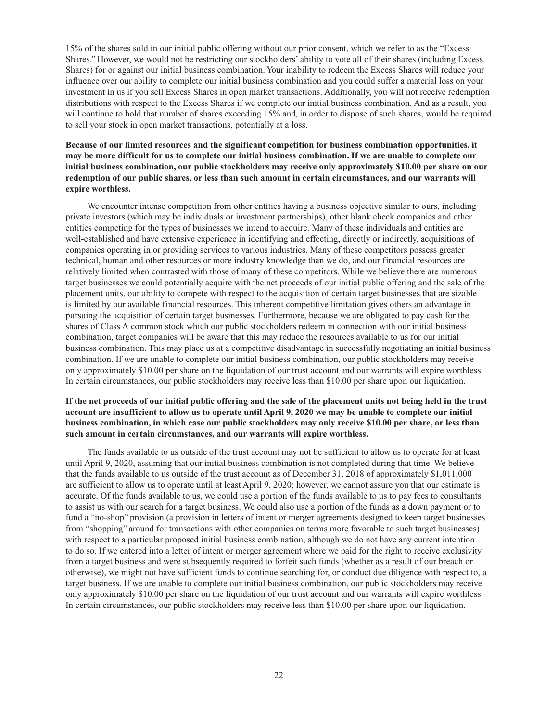15% of the shares sold in our initial public offering without our prior consent, which we refer to as the "Excess Shares." However, we would not be restricting our stockholders' ability to vote all of their shares (including Excess Shares) for or against our initial business combination. Your inability to redeem the Excess Shares will reduce your influence over our ability to complete our initial business combination and you could suffer a material loss on your investment in us if you sell Excess Shares in open market transactions. Additionally, you will not receive redemption distributions with respect to the Excess Shares if we complete our initial business combination. And as a result, you will continue to hold that number of shares exceeding 15% and, in order to dispose of such shares, would be required to sell your stock in open market transactions, potentially at a loss.

# **Because of our limited resources and the significant competition for business combination opportunities, it may be more difficult for us to complete our initial business combination. If we are unable to complete our initial business combination, our public stockholders may receive only approximately \$10.00 per share on our redemption of our public shares, or less than such amount in certain circumstances, and our warrants will expire worthless.**

We encounter intense competition from other entities having a business objective similar to ours, including private investors (which may be individuals or investment partnerships), other blank check companies and other entities competing for the types of businesses we intend to acquire. Many of these individuals and entities are well-established and have extensive experience in identifying and effecting, directly or indirectly, acquisitions of companies operating in or providing services to various industries. Many of these competitors possess greater technical, human and other resources or more industry knowledge than we do, and our financial resources are relatively limited when contrasted with those of many of these competitors. While we believe there are numerous target businesses we could potentially acquire with the net proceeds of our initial public offering and the sale of the placement units, our ability to compete with respect to the acquisition of certain target businesses that are sizable is limited by our available financial resources. This inherent competitive limitation gives others an advantage in pursuing the acquisition of certain target businesses. Furthermore, because we are obligated to pay cash for the shares of Class A common stock which our public stockholders redeem in connection with our initial business combination, target companies will be aware that this may reduce the resources available to us for our initial business combination. This may place us at a competitive disadvantage in successfully negotiating an initial business combination. If we are unable to complete our initial business combination, our public stockholders may receive only approximately \$10.00 per share on the liquidation of our trust account and our warrants will expire worthless. In certain circumstances, our public stockholders may receive less than \$10.00 per share upon our liquidation.

# **If the net proceeds of our initial public offering and the sale of the placement units not being held in the trust account are insufficient to allow us to operate until April 9, 2020 we may be unable to complete our initial business combination, in which case our public stockholders may only receive \$10.00 per share, or less than such amount in certain circumstances, and our warrants will expire worthless.**

The funds available to us outside of the trust account may not be sufficient to allow us to operate for at least until April 9, 2020, assuming that our initial business combination is not completed during that time. We believe that the funds available to us outside of the trust account as of December 31, 2018 of approximately \$1,011,000 are sufficient to allow us to operate until at least April 9, 2020; however, we cannot assure you that our estimate is accurate. Of the funds available to us, we could use a portion of the funds available to us to pay fees to consultants to assist us with our search for a target business. We could also use a portion of the funds as a down payment or to fund a "no-shop" provision (a provision in letters of intent or merger agreements designed to keep target businesses from "shopping" around for transactions with other companies on terms more favorable to such target businesses) with respect to a particular proposed initial business combination, although we do not have any current intention to do so. If we entered into a letter of intent or merger agreement where we paid for the right to receive exclusivity from a target business and were subsequently required to forfeit such funds (whether as a result of our breach or otherwise), we might not have sufficient funds to continue searching for, or conduct due diligence with respect to, a target business. If we are unable to complete our initial business combination, our public stockholders may receive only approximately \$10.00 per share on the liquidation of our trust account and our warrants will expire worthless. In certain circumstances, our public stockholders may receive less than \$10.00 per share upon our liquidation.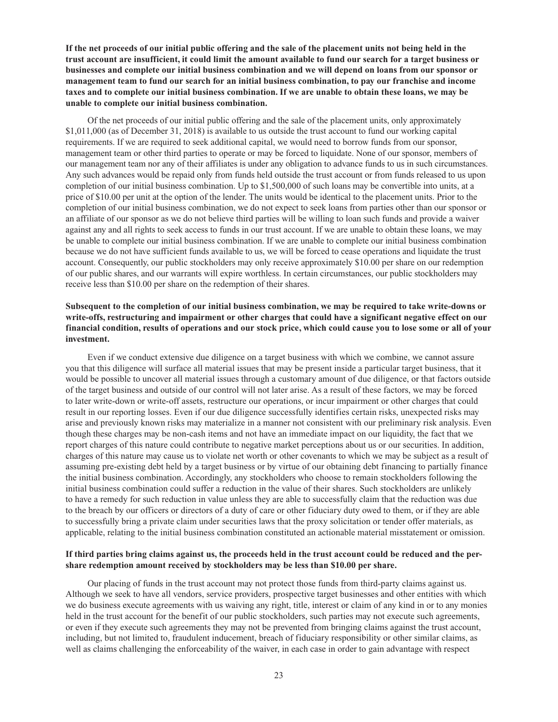**If the net proceeds of our initial public offering and the sale of the placement units not being held in the trust account are insufficient, it could limit the amount available to fund our search for a target business or businesses and complete our initial business combination and we will depend on loans from our sponsor or management team to fund our search for an initial business combination, to pay our franchise and income taxes and to complete our initial business combination. If we are unable to obtain these loans, we may be unable to complete our initial business combination.**

Of the net proceeds of our initial public offering and the sale of the placement units, only approximately \$1,011,000 (as of December 31, 2018) is available to us outside the trust account to fund our working capital requirements. If we are required to seek additional capital, we would need to borrow funds from our sponsor, management team or other third parties to operate or may be forced to liquidate. None of our sponsor, members of our management team nor any of their affiliates is under any obligation to advance funds to us in such circumstances. Any such advances would be repaid only from funds held outside the trust account or from funds released to us upon completion of our initial business combination. Up to \$1,500,000 of such loans may be convertible into units, at a price of \$10.00 per unit at the option of the lender. The units would be identical to the placement units. Prior to the completion of our initial business combination, we do not expect to seek loans from parties other than our sponsor or an affiliate of our sponsor as we do not believe third parties will be willing to loan such funds and provide a waiver against any and all rights to seek access to funds in our trust account. If we are unable to obtain these loans, we may be unable to complete our initial business combination. If we are unable to complete our initial business combination because we do not have sufficient funds available to us, we will be forced to cease operations and liquidate the trust account. Consequently, our public stockholders may only receive approximately \$10.00 per share on our redemption of our public shares, and our warrants will expire worthless. In certain circumstances, our public stockholders may receive less than \$10.00 per share on the redemption of their shares.

# **Subsequent to the completion of our initial business combination, we may be required to take write-downs or write-offs, restructuring and impairment or other charges that could have a significant negative effect on our financial condition, results of operations and our stock price, which could cause you to lose some or all of your investment.**

Even if we conduct extensive due diligence on a target business with which we combine, we cannot assure you that this diligence will surface all material issues that may be present inside a particular target business, that it would be possible to uncover all material issues through a customary amount of due diligence, or that factors outside of the target business and outside of our control will not later arise. As a result of these factors, we may be forced to later write-down or write-off assets, restructure our operations, or incur impairment or other charges that could result in our reporting losses. Even if our due diligence successfully identifies certain risks, unexpected risks may arise and previously known risks may materialize in a manner not consistent with our preliminary risk analysis. Even though these charges may be non-cash items and not have an immediate impact on our liquidity, the fact that we report charges of this nature could contribute to negative market perceptions about us or our securities. In addition, charges of this nature may cause us to violate net worth or other covenants to which we may be subject as a result of assuming pre-existing debt held by a target business or by virtue of our obtaining debt financing to partially finance the initial business combination. Accordingly, any stockholders who choose to remain stockholders following the initial business combination could suffer a reduction in the value of their shares. Such stockholders are unlikely to have a remedy for such reduction in value unless they are able to successfully claim that the reduction was due to the breach by our officers or directors of a duty of care or other fiduciary duty owed to them, or if they are able to successfully bring a private claim under securities laws that the proxy solicitation or tender offer materials, as applicable, relating to the initial business combination constituted an actionable material misstatement or omission.

### **If third parties bring claims against us, the proceeds held in the trust account could be reduced and the pershare redemption amount received by stockholders may be less than \$10.00 per share.**

Our placing of funds in the trust account may not protect those funds from third-party claims against us. Although we seek to have all vendors, service providers, prospective target businesses and other entities with which we do business execute agreements with us waiving any right, title, interest or claim of any kind in or to any monies held in the trust account for the benefit of our public stockholders, such parties may not execute such agreements, or even if they execute such agreements they may not be prevented from bringing claims against the trust account, including, but not limited to, fraudulent inducement, breach of fiduciary responsibility or other similar claims, as well as claims challenging the enforceability of the waiver, in each case in order to gain advantage with respect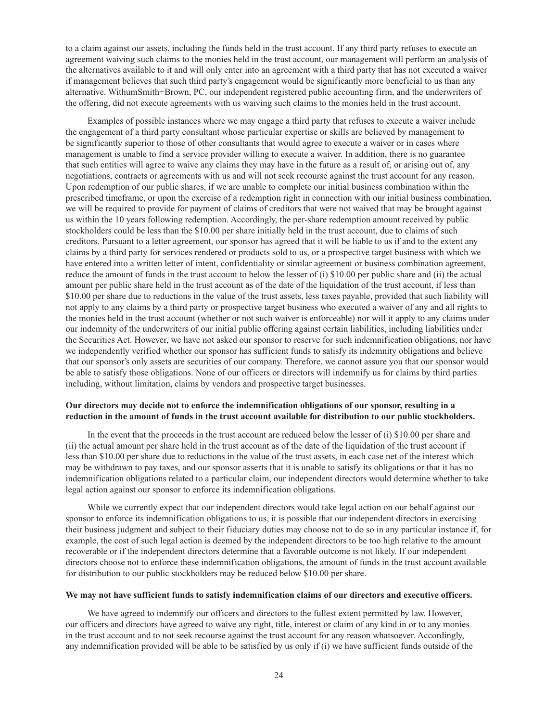to a claim against our assets, including the funds held in the trust account. If any third party refuses to execute an agreement waiving such claims to the monies held in the trust account, our management will perform an analysis of the alternatives available to it and will only enter into an agreement with a third party that has not executed a waiver if management believes that such third party's engagement would be significantly more beneficial to us than any alternative. WithumSmith+Brown, PC, our independent registered public accounting firm, and the underwriters of the offering, did not execute agreements with us waiving such claims to the monies held in the trust account.

Examples of possible instances where we may engage a third party that refuses to execute a waiver include the engagement of a third party consultant whose particular expertise or skills are believed by management to be significantly superior to those of other consultants that would agree to execute a waiver or in cases where management is unable to find a service provider willing to execute a waiver. In addition, there is no guarantee that such entities will agree to waive any claims they may have in the future as a result of, or arising out of, any negotiations, contracts or agreements with us and will not seek recourse against the trust account for any reason. Upon redemption of our public shares, if we are unable to complete our initial business combination within the prescribed timeframe, or upon the exercise of a redemption right in connection with our initial business combination, we will be required to provide for payment of claims of creditors that were not waived that may be brought against us within the 10 years following redemption. Accordingly, the per-share redemption amount received by public stockholders could be less than the \$10.00 per share initially held in the trust account, due to claims of such creditors. Pursuant to a letter agreement, our sponsor has agreed that it will be liable to us if and to the extent any claims by a third party for services rendered or products sold to us, or a prospective target business with which we have entered into a written letter of intent, confidentiality or similar agreement or business combination agreement, reduce the amount of funds in the trust account to below the lesser of (i) \$10.00 per public share and (ii) the actual amount per public share held in the trust account as of the date of the liquidation of the trust account, if less than \$10.00 per share due to reductions in the value of the trust assets, less taxes payable, provided that such liability will not apply to any claims by a third party or prospective target business who executed a waiver of any and all rights to the monies held in the trust account (whether or not such waiver is enforceable) nor will it apply to any claims under our indemnity of the underwriters of our initial public offering against certain liabilities, including liabilities under the Securities Act. However, we have not asked our sponsor to reserve for such indemnification obligations, nor have we independently verified whether our sponsor has sufficient funds to satisfy its indemnity obligations and believe that our sponsor's only assets are securities of our company. Therefore, we cannot assure you that our sponsor would be able to satisfy those obligations. None of our officers or directors will indemnify us for claims by third parties including, without limitation, claims by vendors and prospective target businesses.

### **Our directors may decide not to enforce the indemnification obligations of our sponsor, resulting in a reduction in the amount of funds in the trust account available for distribution to our public stockholders.**

In the event that the proceeds in the trust account are reduced below the lesser of (i) \$10.00 per share and (ii) the actual amount per share held in the trust account as of the date of the liquidation of the trust account if less than \$10.00 per share due to reductions in the value of the trust assets, in each case net of the interest which may be withdrawn to pay taxes, and our sponsor asserts that it is unable to satisfy its obligations or that it has no indemnification obligations related to a particular claim, our independent directors would determine whether to take legal action against our sponsor to enforce its indemnification obligations.

While we currently expect that our independent directors would take legal action on our behalf against our sponsor to enforce its indemnification obligations to us, it is possible that our independent directors in exercising their business judgment and subject to their fiduciary duties may choose not to do so in any particular instance if, for example, the cost of such legal action is deemed by the independent directors to be too high relative to the amount recoverable or if the independent directors determine that a favorable outcome is not likely. If our independent directors choose not to enforce these indemnification obligations, the amount of funds in the trust account available for distribution to our public stockholders may be reduced below \$10.00 per share.

#### **We may not have sufficient funds to satisfy indemnification claims of our directors and executive officers.**

We have agreed to indemnify our officers and directors to the fullest extent permitted by law. However, our officers and directors have agreed to waive any right, title, interest or claim of any kind in or to any monies in the trust account and to not seek recourse against the trust account for any reason whatsoever. Accordingly, any indemnification provided will be able to be satisfied by us only if (i) we have sufficient funds outside of the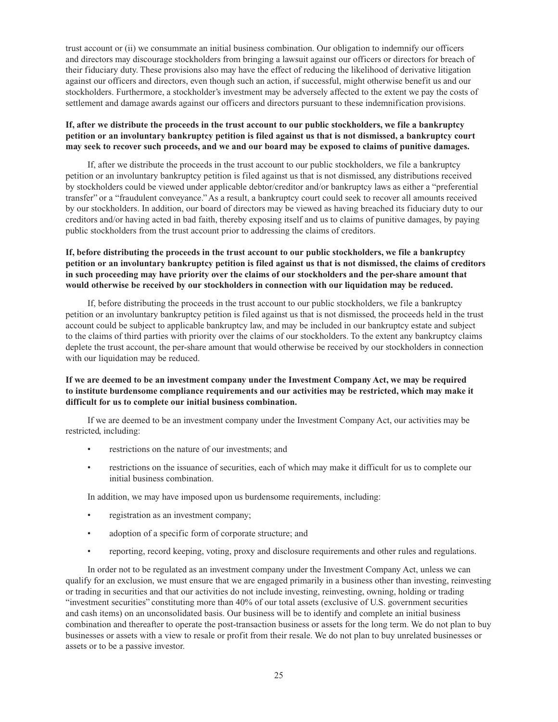trust account or (ii) we consummate an initial business combination. Our obligation to indemnify our officers and directors may discourage stockholders from bringing a lawsuit against our officers or directors for breach of their fiduciary duty. These provisions also may have the effect of reducing the likelihood of derivative litigation against our officers and directors, even though such an action, if successful, might otherwise benefit us and our stockholders. Furthermore, a stockholder's investment may be adversely affected to the extent we pay the costs of settlement and damage awards against our officers and directors pursuant to these indemnification provisions.

# **If, after we distribute the proceeds in the trust account to our public stockholders, we file a bankruptcy petition or an involuntary bankruptcy petition is filed against us that is not dismissed, a bankruptcy court may seek to recover such proceeds, and we and our board may be exposed to claims of punitive damages.**

If, after we distribute the proceeds in the trust account to our public stockholders, we file a bankruptcy petition or an involuntary bankruptcy petition is filed against us that is not dismissed, any distributions received by stockholders could be viewed under applicable debtor/creditor and/or bankruptcy laws as either a "preferential transfer" or a "fraudulent conveyance." As a result, a bankruptcy court could seek to recover all amounts received by our stockholders. In addition, our board of directors may be viewed as having breached its fiduciary duty to our creditors and/or having acted in bad faith, thereby exposing itself and us to claims of punitive damages, by paying public stockholders from the trust account prior to addressing the claims of creditors.

# **If, before distributing the proceeds in the trust account to our public stockholders, we file a bankruptcy petition or an involuntary bankruptcy petition is filed against us that is not dismissed, the claims of creditors in such proceeding may have priority over the claims of our stockholders and the per-share amount that would otherwise be received by our stockholders in connection with our liquidation may be reduced.**

If, before distributing the proceeds in the trust account to our public stockholders, we file a bankruptcy petition or an involuntary bankruptcy petition is filed against us that is not dismissed, the proceeds held in the trust account could be subject to applicable bankruptcy law, and may be included in our bankruptcy estate and subject to the claims of third parties with priority over the claims of our stockholders. To the extent any bankruptcy claims deplete the trust account, the per-share amount that would otherwise be received by our stockholders in connection with our liquidation may be reduced.

# **If we are deemed to be an investment company under the Investment Company Act, we may be required to institute burdensome compliance requirements and our activities may be restricted, which may make it difficult for us to complete our initial business combination.**

If we are deemed to be an investment company under the Investment Company Act, our activities may be restricted, including:

- restrictions on the nature of our investments; and
- restrictions on the issuance of securities, each of which may make it difficult for us to complete our initial business combination.

In addition, we may have imposed upon us burdensome requirements, including:

- registration as an investment company;
- adoption of a specific form of corporate structure; and
- reporting, record keeping, voting, proxy and disclosure requirements and other rules and regulations.

In order not to be regulated as an investment company under the Investment Company Act, unless we can qualify for an exclusion, we must ensure that we are engaged primarily in a business other than investing, reinvesting or trading in securities and that our activities do not include investing, reinvesting, owning, holding or trading "investment securities" constituting more than 40% of our total assets (exclusive of U.S. government securities and cash items) on an unconsolidated basis. Our business will be to identify and complete an initial business combination and thereafter to operate the post-transaction business or assets for the long term. We do not plan to buy businesses or assets with a view to resale or profit from their resale. We do not plan to buy unrelated businesses or assets or to be a passive investor.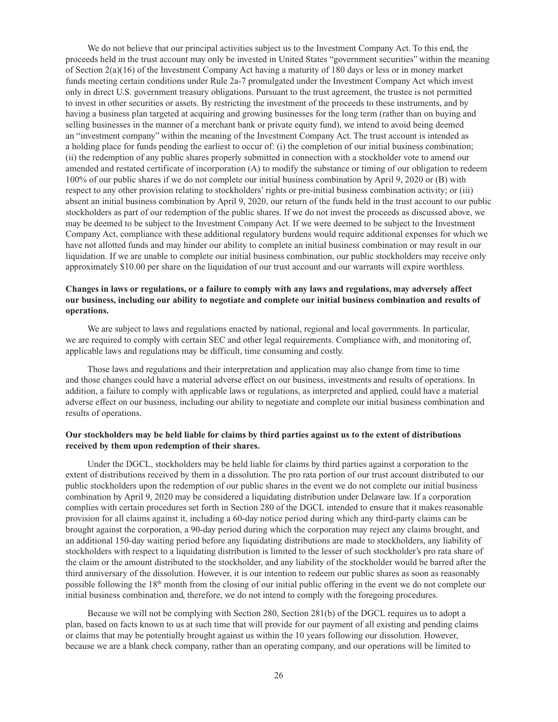We do not believe that our principal activities subject us to the Investment Company Act. To this end, the proceeds held in the trust account may only be invested in United States "government securities" within the meaning of Section 2(a)(16) of the Investment Company Act having a maturity of 180 days or less or in money market funds meeting certain conditions under Rule 2a-7 promulgated under the Investment Company Act which invest only in direct U.S. government treasury obligations. Pursuant to the trust agreement, the trustee is not permitted to invest in other securities or assets. By restricting the investment of the proceeds to these instruments, and by having a business plan targeted at acquiring and growing businesses for the long term (rather than on buying and selling businesses in the manner of a merchant bank or private equity fund), we intend to avoid being deemed an "investment company" within the meaning of the Investment Company Act. The trust account is intended as a holding place for funds pending the earliest to occur of: (i) the completion of our initial business combination; (ii) the redemption of any public shares properly submitted in connection with a stockholder vote to amend our amended and restated certificate of incorporation (A) to modify the substance or timing of our obligation to redeem 100% of our public shares if we do not complete our initial business combination by April 9, 2020 or (B) with respect to any other provision relating to stockholders' rights or pre-initial business combination activity; or (iii) absent an initial business combination by April 9, 2020, our return of the funds held in the trust account to our public stockholders as part of our redemption of the public shares. If we do not invest the proceeds as discussed above, we may be deemed to be subject to the Investment Company Act. If we were deemed to be subject to the Investment Company Act, compliance with these additional regulatory burdens would require additional expenses for which we have not allotted funds and may hinder our ability to complete an initial business combination or may result in our liquidation. If we are unable to complete our initial business combination, our public stockholders may receive only approximately \$10.00 per share on the liquidation of our trust account and our warrants will expire worthless.

### **Changes in laws or regulations, or a failure to comply with any laws and regulations, may adversely affect our business, including our ability to negotiate and complete our initial business combination and results of operations.**

We are subject to laws and regulations enacted by national, regional and local governments. In particular, we are required to comply with certain SEC and other legal requirements. Compliance with, and monitoring of, applicable laws and regulations may be difficult, time consuming and costly.

Those laws and regulations and their interpretation and application may also change from time to time and those changes could have a material adverse effect on our business, investments and results of operations. In addition, a failure to comply with applicable laws or regulations, as interpreted and applied, could have a material adverse effect on our business, including our ability to negotiate and complete our initial business combination and results of operations.

### **Our stockholders may be held liable for claims by third parties against us to the extent of distributions received by them upon redemption of their shares.**

Under the DGCL, stockholders may be held liable for claims by third parties against a corporation to the extent of distributions received by them in a dissolution. The pro rata portion of our trust account distributed to our public stockholders upon the redemption of our public shares in the event we do not complete our initial business combination by April 9, 2020 may be considered a liquidating distribution under Delaware law. If a corporation complies with certain procedures set forth in Section 280 of the DGCL intended to ensure that it makes reasonable provision for all claims against it, including a 60-day notice period during which any third-party claims can be brought against the corporation, a 90-day period during which the corporation may reject any claims brought, and an additional 150-day waiting period before any liquidating distributions are made to stockholders, any liability of stockholders with respect to a liquidating distribution is limited to the lesser of such stockholder's pro rata share of the claim or the amount distributed to the stockholder, and any liability of the stockholder would be barred after the third anniversary of the dissolution. However, it is our intention to redeem our public shares as soon as reasonably possible following the 18th month from the closing of our initial public offering in the event we do not complete our initial business combination and, therefore, we do not intend to comply with the foregoing procedures.

Because we will not be complying with Section 280, Section 281(b) of the DGCL requires us to adopt a plan, based on facts known to us at such time that will provide for our payment of all existing and pending claims or claims that may be potentially brought against us within the 10 years following our dissolution. However, because we are a blank check company, rather than an operating company, and our operations will be limited to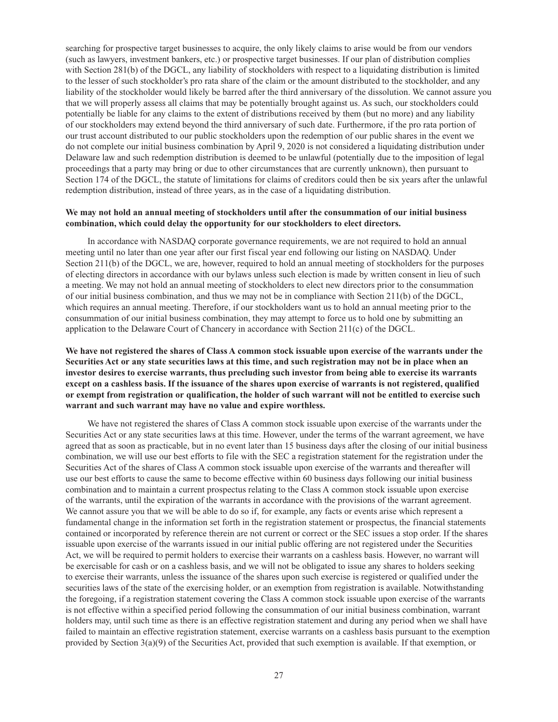searching for prospective target businesses to acquire, the only likely claims to arise would be from our vendors (such as lawyers, investment bankers, etc.) or prospective target businesses. If our plan of distribution complies with Section 281(b) of the DGCL, any liability of stockholders with respect to a liquidating distribution is limited to the lesser of such stockholder's pro rata share of the claim or the amount distributed to the stockholder, and any liability of the stockholder would likely be barred after the third anniversary of the dissolution. We cannot assure you that we will properly assess all claims that may be potentially brought against us. As such, our stockholders could potentially be liable for any claims to the extent of distributions received by them (but no more) and any liability of our stockholders may extend beyond the third anniversary of such date. Furthermore, if the pro rata portion of our trust account distributed to our public stockholders upon the redemption of our public shares in the event we do not complete our initial business combination by April 9, 2020 is not considered a liquidating distribution under Delaware law and such redemption distribution is deemed to be unlawful (potentially due to the imposition of legal proceedings that a party may bring or due to other circumstances that are currently unknown), then pursuant to Section 174 of the DGCL, the statute of limitations for claims of creditors could then be six years after the unlawful redemption distribution, instead of three years, as in the case of a liquidating distribution.

### **We may not hold an annual meeting of stockholders until after the consummation of our initial business combination, which could delay the opportunity for our stockholders to elect directors.**

In accordance with NASDAQ corporate governance requirements, we are not required to hold an annual meeting until no later than one year after our first fiscal year end following our listing on NASDAQ. Under Section 211(b) of the DGCL, we are, however, required to hold an annual meeting of stockholders for the purposes of electing directors in accordance with our bylaws unless such election is made by written consent in lieu of such a meeting. We may not hold an annual meeting of stockholders to elect new directors prior to the consummation of our initial business combination, and thus we may not be in compliance with Section 211(b) of the DGCL, which requires an annual meeting. Therefore, if our stockholders want us to hold an annual meeting prior to the consummation of our initial business combination, they may attempt to force us to hold one by submitting an application to the Delaware Court of Chancery in accordance with Section 211(c) of the DGCL.

**We have not registered the shares of Class A common stock issuable upon exercise of the warrants under the Securities Act or any state securities laws at this time, and such registration may not be in place when an investor desires to exercise warrants, thus precluding such investor from being able to exercise its warrants except on a cashless basis. If the issuance of the shares upon exercise of warrants is not registered, qualified or exempt from registration or qualification, the holder of such warrant will not be entitled to exercise such warrant and such warrant may have no value and expire worthless.**

We have not registered the shares of Class A common stock issuable upon exercise of the warrants under the Securities Act or any state securities laws at this time. However, under the terms of the warrant agreement, we have agreed that as soon as practicable, but in no event later than 15 business days after the closing of our initial business combination, we will use our best efforts to file with the SEC a registration statement for the registration under the Securities Act of the shares of Class A common stock issuable upon exercise of the warrants and thereafter will use our best efforts to cause the same to become effective within 60 business days following our initial business combination and to maintain a current prospectus relating to the Class A common stock issuable upon exercise of the warrants, until the expiration of the warrants in accordance with the provisions of the warrant agreement. We cannot assure you that we will be able to do so if, for example, any facts or events arise which represent a fundamental change in the information set forth in the registration statement or prospectus, the financial statements contained or incorporated by reference therein are not current or correct or the SEC issues a stop order. If the shares issuable upon exercise of the warrants issued in our initial public offering are not registered under the Securities Act, we will be required to permit holders to exercise their warrants on a cashless basis. However, no warrant will be exercisable for cash or on a cashless basis, and we will not be obligated to issue any shares to holders seeking to exercise their warrants, unless the issuance of the shares upon such exercise is registered or qualified under the securities laws of the state of the exercising holder, or an exemption from registration is available. Notwithstanding the foregoing, if a registration statement covering the Class A common stock issuable upon exercise of the warrants is not effective within a specified period following the consummation of our initial business combination, warrant holders may, until such time as there is an effective registration statement and during any period when we shall have failed to maintain an effective registration statement, exercise warrants on a cashless basis pursuant to the exemption provided by Section 3(a)(9) of the Securities Act, provided that such exemption is available. If that exemption, or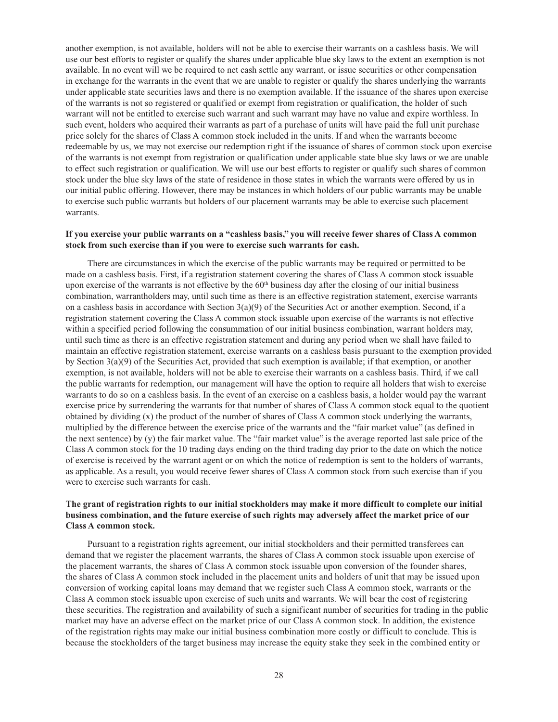another exemption, is not available, holders will not be able to exercise their warrants on a cashless basis. We will use our best efforts to register or qualify the shares under applicable blue sky laws to the extent an exemption is not available. In no event will we be required to net cash settle any warrant, or issue securities or other compensation in exchange for the warrants in the event that we are unable to register or qualify the shares underlying the warrants under applicable state securities laws and there is no exemption available. If the issuance of the shares upon exercise of the warrants is not so registered or qualified or exempt from registration or qualification, the holder of such warrant will not be entitled to exercise such warrant and such warrant may have no value and expire worthless. In such event, holders who acquired their warrants as part of a purchase of units will have paid the full unit purchase price solely for the shares of Class A common stock included in the units. If and when the warrants become redeemable by us, we may not exercise our redemption right if the issuance of shares of common stock upon exercise of the warrants is not exempt from registration or qualification under applicable state blue sky laws or we are unable to effect such registration or qualification. We will use our best efforts to register or qualify such shares of common stock under the blue sky laws of the state of residence in those states in which the warrants were offered by us in our initial public offering. However, there may be instances in which holders of our public warrants may be unable to exercise such public warrants but holders of our placement warrants may be able to exercise such placement warrants.

### **If you exercise your public warrants on a "cashless basis," you will receive fewer shares of Class A common stock from such exercise than if you were to exercise such warrants for cash.**

There are circumstances in which the exercise of the public warrants may be required or permitted to be made on a cashless basis. First, if a registration statement covering the shares of Class A common stock issuable upon exercise of the warrants is not effective by the  $60<sup>th</sup>$  business day after the closing of our initial business combination, warrantholders may, until such time as there is an effective registration statement, exercise warrants on a cashless basis in accordance with Section  $3(a)(9)$  of the Securities Act or another exemption. Second, if a registration statement covering the Class A common stock issuable upon exercise of the warrants is not effective within a specified period following the consummation of our initial business combination, warrant holders may, until such time as there is an effective registration statement and during any period when we shall have failed to maintain an effective registration statement, exercise warrants on a cashless basis pursuant to the exemption provided by Section 3(a)(9) of the Securities Act, provided that such exemption is available; if that exemption, or another exemption, is not available, holders will not be able to exercise their warrants on a cashless basis. Third, if we call the public warrants for redemption, our management will have the option to require all holders that wish to exercise warrants to do so on a cashless basis. In the event of an exercise on a cashless basis, a holder would pay the warrant exercise price by surrendering the warrants for that number of shares of Class A common stock equal to the quotient obtained by dividing (x) the product of the number of shares of Class A common stock underlying the warrants, multiplied by the difference between the exercise price of the warrants and the "fair market value" (as defined in the next sentence) by (y) the fair market value. The "fair market value" is the average reported last sale price of the Class A common stock for the 10 trading days ending on the third trading day prior to the date on which the notice of exercise is received by the warrant agent or on which the notice of redemption is sent to the holders of warrants, as applicable. As a result, you would receive fewer shares of Class A common stock from such exercise than if you were to exercise such warrants for cash.

# **The grant of registration rights to our initial stockholders may make it more difficult to complete our initial business combination, and the future exercise of such rights may adversely affect the market price of our Class A common stock.**

Pursuant to a registration rights agreement, our initial stockholders and their permitted transferees can demand that we register the placement warrants, the shares of Class A common stock issuable upon exercise of the placement warrants, the shares of Class A common stock issuable upon conversion of the founder shares, the shares of Class A common stock included in the placement units and holders of unit that may be issued upon conversion of working capital loans may demand that we register such Class A common stock, warrants or the Class A common stock issuable upon exercise of such units and warrants. We will bear the cost of registering these securities. The registration and availability of such a significant number of securities for trading in the public market may have an adverse effect on the market price of our Class A common stock. In addition, the existence of the registration rights may make our initial business combination more costly or difficult to conclude. This is because the stockholders of the target business may increase the equity stake they seek in the combined entity or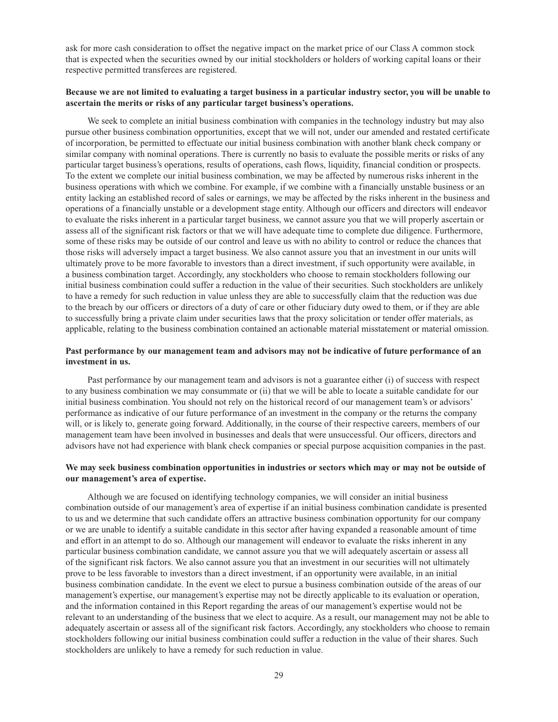ask for more cash consideration to offset the negative impact on the market price of our Class A common stock that is expected when the securities owned by our initial stockholders or holders of working capital loans or their respective permitted transferees are registered.

### **Because we are not limited to evaluating a target business in a particular industry sector, you will be unable to ascertain the merits or risks of any particular target business's operations.**

We seek to complete an initial business combination with companies in the technology industry but may also pursue other business combination opportunities, except that we will not, under our amended and restated certificate of incorporation, be permitted to effectuate our initial business combination with another blank check company or similar company with nominal operations. There is currently no basis to evaluate the possible merits or risks of any particular target business's operations, results of operations, cash flows, liquidity, financial condition or prospects. To the extent we complete our initial business combination, we may be affected by numerous risks inherent in the business operations with which we combine. For example, if we combine with a financially unstable business or an entity lacking an established record of sales or earnings, we may be affected by the risks inherent in the business and operations of a financially unstable or a development stage entity. Although our officers and directors will endeavor to evaluate the risks inherent in a particular target business, we cannot assure you that we will properly ascertain or assess all of the significant risk factors or that we will have adequate time to complete due diligence. Furthermore, some of these risks may be outside of our control and leave us with no ability to control or reduce the chances that those risks will adversely impact a target business. We also cannot assure you that an investment in our units will ultimately prove to be more favorable to investors than a direct investment, if such opportunity were available, in a business combination target. Accordingly, any stockholders who choose to remain stockholders following our initial business combination could suffer a reduction in the value of their securities. Such stockholders are unlikely to have a remedy for such reduction in value unless they are able to successfully claim that the reduction was due to the breach by our officers or directors of a duty of care or other fiduciary duty owed to them, or if they are able to successfully bring a private claim under securities laws that the proxy solicitation or tender offer materials, as applicable, relating to the business combination contained an actionable material misstatement or material omission.

# **Past performance by our management team and advisors may not be indicative of future performance of an investment in us.**

Past performance by our management team and advisors is not a guarantee either (i) of success with respect to any business combination we may consummate or (ii) that we will be able to locate a suitable candidate for our initial business combination. You should not rely on the historical record of our management team's or advisors' performance as indicative of our future performance of an investment in the company or the returns the company will, or is likely to, generate going forward. Additionally, in the course of their respective careers, members of our management team have been involved in businesses and deals that were unsuccessful. Our officers, directors and advisors have not had experience with blank check companies or special purpose acquisition companies in the past.

### **We may seek business combination opportunities in industries or sectors which may or may not be outside of our management's area of expertise.**

Although we are focused on identifying technology companies, we will consider an initial business combination outside of our management's area of expertise if an initial business combination candidate is presented to us and we determine that such candidate offers an attractive business combination opportunity for our company or we are unable to identify a suitable candidate in this sector after having expanded a reasonable amount of time and effort in an attempt to do so. Although our management will endeavor to evaluate the risks inherent in any particular business combination candidate, we cannot assure you that we will adequately ascertain or assess all of the significant risk factors. We also cannot assure you that an investment in our securities will not ultimately prove to be less favorable to investors than a direct investment, if an opportunity were available, in an initial business combination candidate. In the event we elect to pursue a business combination outside of the areas of our management's expertise, our management's expertise may not be directly applicable to its evaluation or operation, and the information contained in this Report regarding the areas of our management's expertise would not be relevant to an understanding of the business that we elect to acquire. As a result, our management may not be able to adequately ascertain or assess all of the significant risk factors. Accordingly, any stockholders who choose to remain stockholders following our initial business combination could suffer a reduction in the value of their shares. Such stockholders are unlikely to have a remedy for such reduction in value.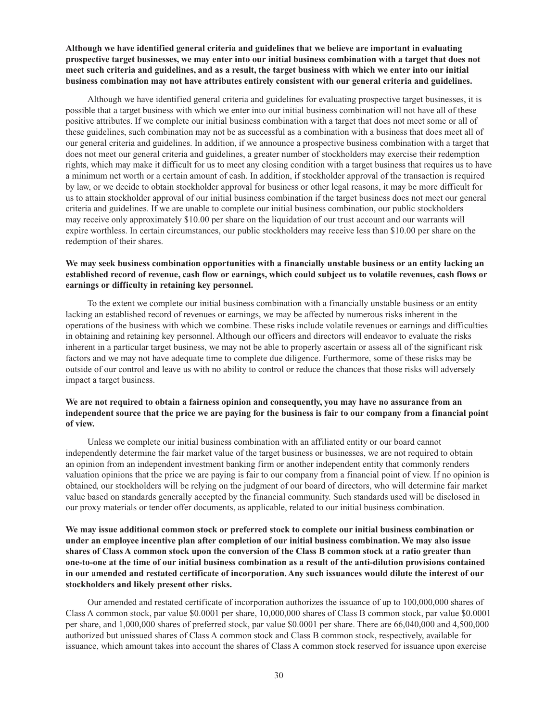**Although we have identified general criteria and guidelines that we believe are important in evaluating prospective target businesses, we may enter into our initial business combination with a target that does not meet such criteria and guidelines, and as a result, the target business with which we enter into our initial business combination may not have attributes entirely consistent with our general criteria and guidelines.**

Although we have identified general criteria and guidelines for evaluating prospective target businesses, it is possible that a target business with which we enter into our initial business combination will not have all of these positive attributes. If we complete our initial business combination with a target that does not meet some or all of these guidelines, such combination may not be as successful as a combination with a business that does meet all of our general criteria and guidelines. In addition, if we announce a prospective business combination with a target that does not meet our general criteria and guidelines, a greater number of stockholders may exercise their redemption rights, which may make it difficult for us to meet any closing condition with a target business that requires us to have a minimum net worth or a certain amount of cash. In addition, if stockholder approval of the transaction is required by law, or we decide to obtain stockholder approval for business or other legal reasons, it may be more difficult for us to attain stockholder approval of our initial business combination if the target business does not meet our general criteria and guidelines. If we are unable to complete our initial business combination, our public stockholders may receive only approximately \$10.00 per share on the liquidation of our trust account and our warrants will expire worthless. In certain circumstances, our public stockholders may receive less than \$10.00 per share on the redemption of their shares.

# **We may seek business combination opportunities with a financially unstable business or an entity lacking an established record of revenue, cash flow or earnings, which could subject us to volatile revenues, cash flows or earnings or difficulty in retaining key personnel.**

To the extent we complete our initial business combination with a financially unstable business or an entity lacking an established record of revenues or earnings, we may be affected by numerous risks inherent in the operations of the business with which we combine. These risks include volatile revenues or earnings and difficulties in obtaining and retaining key personnel. Although our officers and directors will endeavor to evaluate the risks inherent in a particular target business, we may not be able to properly ascertain or assess all of the significant risk factors and we may not have adequate time to complete due diligence. Furthermore, some of these risks may be outside of our control and leave us with no ability to control or reduce the chances that those risks will adversely impact a target business.

# We are not required to obtain a fairness opinion and consequently, you may have no assurance from an **independent source that the price we are paying for the business is fair to our company from a financial point of view.**

Unless we complete our initial business combination with an affiliated entity or our board cannot independently determine the fair market value of the target business or businesses, we are not required to obtain an opinion from an independent investment banking firm or another independent entity that commonly renders valuation opinions that the price we are paying is fair to our company from a financial point of view. If no opinion is obtained, our stockholders will be relying on the judgment of our board of directors, who will determine fair market value based on standards generally accepted by the financial community. Such standards used will be disclosed in our proxy materials or tender offer documents, as applicable, related to our initial business combination.

# **We may issue additional common stock or preferred stock to complete our initial business combination or under an employee incentive plan after completion of our initial business combination. We may also issue shares of Class A common stock upon the conversion of the Class B common stock at a ratio greater than one-to-one at the time of our initial business combination as a result of the anti-dilution provisions contained in our amended and restated certificate of incorporation. Any such issuances would dilute the interest of our stockholders and likely present other risks.**

Our amended and restated certificate of incorporation authorizes the issuance of up to 100,000,000 shares of Class A common stock, par value \$0.0001 per share, 10,000,000 shares of Class B common stock, par value \$0.0001 per share, and 1,000,000 shares of preferred stock, par value \$0.0001 per share. There are 66,040,000 and 4,500,000 authorized but unissued shares of Class A common stock and Class B common stock, respectively, available for issuance, which amount takes into account the shares of Class A common stock reserved for issuance upon exercise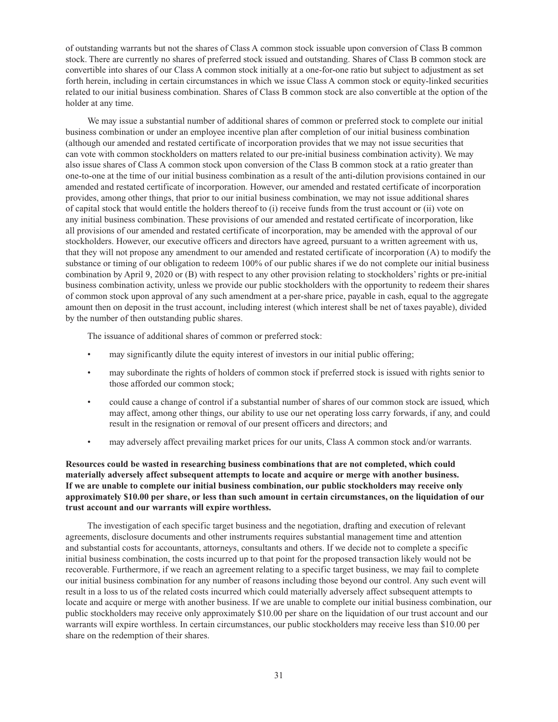of outstanding warrants but not the shares of Class A common stock issuable upon conversion of Class B common stock. There are currently no shares of preferred stock issued and outstanding. Shares of Class B common stock are convertible into shares of our Class A common stock initially at a one-for-one ratio but subject to adjustment as set forth herein, including in certain circumstances in which we issue Class A common stock or equity-linked securities related to our initial business combination. Shares of Class B common stock are also convertible at the option of the holder at any time.

We may issue a substantial number of additional shares of common or preferred stock to complete our initial business combination or under an employee incentive plan after completion of our initial business combination (although our amended and restated certificate of incorporation provides that we may not issue securities that can vote with common stockholders on matters related to our pre-initial business combination activity). We may also issue shares of Class A common stock upon conversion of the Class B common stock at a ratio greater than one-to-one at the time of our initial business combination as a result of the anti-dilution provisions contained in our amended and restated certificate of incorporation. However, our amended and restated certificate of incorporation provides, among other things, that prior to our initial business combination, we may not issue additional shares of capital stock that would entitle the holders thereof to (i) receive funds from the trust account or (ii) vote on any initial business combination. These provisions of our amended and restated certificate of incorporation, like all provisions of our amended and restated certificate of incorporation, may be amended with the approval of our stockholders. However, our executive officers and directors have agreed, pursuant to a written agreement with us, that they will not propose any amendment to our amended and restated certificate of incorporation (A) to modify the substance or timing of our obligation to redeem 100% of our public shares if we do not complete our initial business combination by April 9, 2020 or (B) with respect to any other provision relating to stockholders' rights or pre-initial business combination activity, unless we provide our public stockholders with the opportunity to redeem their shares of common stock upon approval of any such amendment at a per-share price, payable in cash, equal to the aggregate amount then on deposit in the trust account, including interest (which interest shall be net of taxes payable), divided by the number of then outstanding public shares.

The issuance of additional shares of common or preferred stock:

- may significantly dilute the equity interest of investors in our initial public offering;
- may subordinate the rights of holders of common stock if preferred stock is issued with rights senior to those afforded our common stock;
- could cause a change of control if a substantial number of shares of our common stock are issued, which may affect, among other things, our ability to use our net operating loss carry forwards, if any, and could result in the resignation or removal of our present officers and directors; and
- may adversely affect prevailing market prices for our units, Class A common stock and/or warrants.

# **Resources could be wasted in researching business combinations that are not completed, which could materially adversely affect subsequent attempts to locate and acquire or merge with another business. If we are unable to complete our initial business combination, our public stockholders may receive only approximately \$10.00 per share, or less than such amount in certain circumstances, on the liquidation of our trust account and our warrants will expire worthless.**

The investigation of each specific target business and the negotiation, drafting and execution of relevant agreements, disclosure documents and other instruments requires substantial management time and attention and substantial costs for accountants, attorneys, consultants and others. If we decide not to complete a specific initial business combination, the costs incurred up to that point for the proposed transaction likely would not be recoverable. Furthermore, if we reach an agreement relating to a specific target business, we may fail to complete our initial business combination for any number of reasons including those beyond our control. Any such event will result in a loss to us of the related costs incurred which could materially adversely affect subsequent attempts to locate and acquire or merge with another business. If we are unable to complete our initial business combination, our public stockholders may receive only approximately \$10.00 per share on the liquidation of our trust account and our warrants will expire worthless. In certain circumstances, our public stockholders may receive less than \$10.00 per share on the redemption of their shares.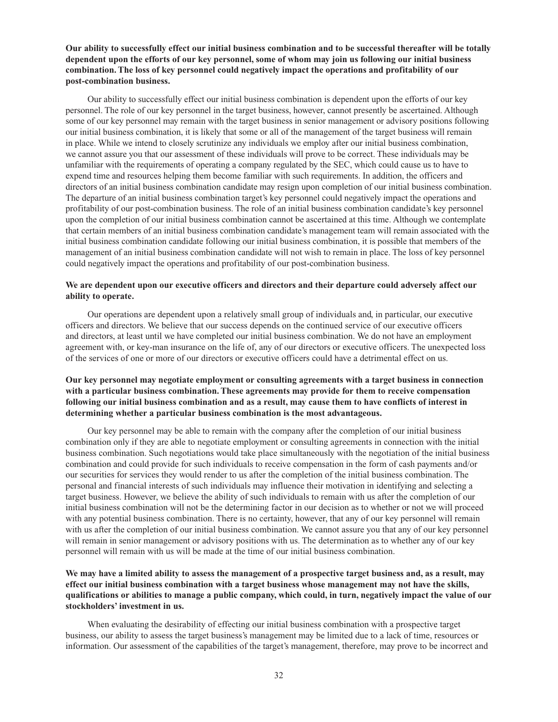**Our ability to successfully effect our initial business combination and to be successful thereafter will be totally dependent upon the efforts of our key personnel, some of whom may join us following our initial business combination. The loss of key personnel could negatively impact the operations and profitability of our post-combination business.**

Our ability to successfully effect our initial business combination is dependent upon the efforts of our key personnel. The role of our key personnel in the target business, however, cannot presently be ascertained. Although some of our key personnel may remain with the target business in senior management or advisory positions following our initial business combination, it is likely that some or all of the management of the target business will remain in place. While we intend to closely scrutinize any individuals we employ after our initial business combination, we cannot assure you that our assessment of these individuals will prove to be correct. These individuals may be unfamiliar with the requirements of operating a company regulated by the SEC, which could cause us to have to expend time and resources helping them become familiar with such requirements. In addition, the officers and directors of an initial business combination candidate may resign upon completion of our initial business combination. The departure of an initial business combination target's key personnel could negatively impact the operations and profitability of our post-combination business. The role of an initial business combination candidate's key personnel upon the completion of our initial business combination cannot be ascertained at this time. Although we contemplate that certain members of an initial business combination candidate's management team will remain associated with the initial business combination candidate following our initial business combination, it is possible that members of the management of an initial business combination candidate will not wish to remain in place. The loss of key personnel could negatively impact the operations and profitability of our post-combination business.

# **We are dependent upon our executive officers and directors and their departure could adversely affect our ability to operate.**

Our operations are dependent upon a relatively small group of individuals and, in particular, our executive officers and directors. We believe that our success depends on the continued service of our executive officers and directors, at least until we have completed our initial business combination. We do not have an employment agreement with, or key-man insurance on the life of, any of our directors or executive officers. The unexpected loss of the services of one or more of our directors or executive officers could have a detrimental effect on us.

# **Our key personnel may negotiate employment or consulting agreements with a target business in connection with a particular business combination. These agreements may provide for them to receive compensation following our initial business combination and as a result, may cause them to have conflicts of interest in determining whether a particular business combination is the most advantageous.**

Our key personnel may be able to remain with the company after the completion of our initial business combination only if they are able to negotiate employment or consulting agreements in connection with the initial business combination. Such negotiations would take place simultaneously with the negotiation of the initial business combination and could provide for such individuals to receive compensation in the form of cash payments and/or our securities for services they would render to us after the completion of the initial business combination. The personal and financial interests of such individuals may influence their motivation in identifying and selecting a target business. However, we believe the ability of such individuals to remain with us after the completion of our initial business combination will not be the determining factor in our decision as to whether or not we will proceed with any potential business combination. There is no certainty, however, that any of our key personnel will remain with us after the completion of our initial business combination. We cannot assure you that any of our key personnel will remain in senior management or advisory positions with us. The determination as to whether any of our key personnel will remain with us will be made at the time of our initial business combination.

# **We may have a limited ability to assess the management of a prospective target business and, as a result, may effect our initial business combination with a target business whose management may not have the skills, qualifications or abilities to manage a public company, which could, in turn, negatively impact the value of our stockholders' investment in us.**

When evaluating the desirability of effecting our initial business combination with a prospective target business, our ability to assess the target business's management may be limited due to a lack of time, resources or information. Our assessment of the capabilities of the target's management, therefore, may prove to be incorrect and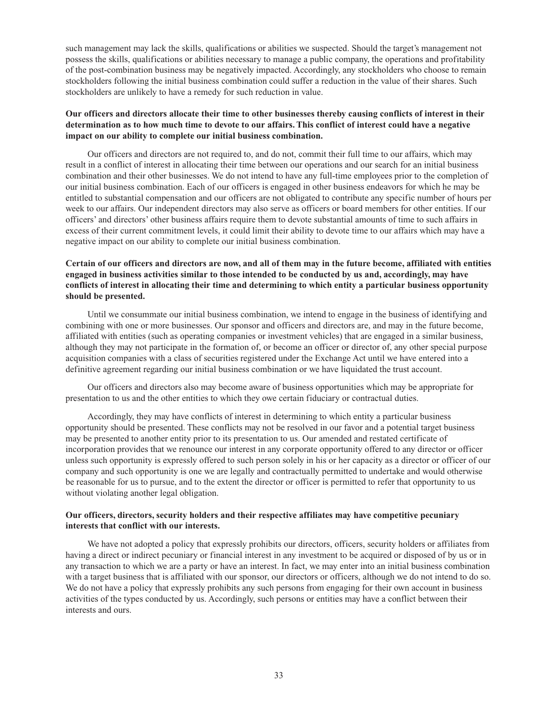such management may lack the skills, qualifications or abilities we suspected. Should the target's management not possess the skills, qualifications or abilities necessary to manage a public company, the operations and profitability of the post-combination business may be negatively impacted. Accordingly, any stockholders who choose to remain stockholders following the initial business combination could suffer a reduction in the value of their shares. Such stockholders are unlikely to have a remedy for such reduction in value.

## **Our officers and directors allocate their time to other businesses thereby causing conflicts of interest in their determination as to how much time to devote to our affairs. This conflict of interest could have a negative impact on our ability to complete our initial business combination.**

Our officers and directors are not required to, and do not, commit their full time to our affairs, which may result in a conflict of interest in allocating their time between our operations and our search for an initial business combination and their other businesses. We do not intend to have any full-time employees prior to the completion of our initial business combination. Each of our officers is engaged in other business endeavors for which he may be entitled to substantial compensation and our officers are not obligated to contribute any specific number of hours per week to our affairs. Our independent directors may also serve as officers or board members for other entities. If our officers' and directors' other business affairs require them to devote substantial amounts of time to such affairs in excess of their current commitment levels, it could limit their ability to devote time to our affairs which may have a negative impact on our ability to complete our initial business combination.

## **Certain of our officers and directors are now, and all of them may in the future become, affiliated with entities engaged in business activities similar to those intended to be conducted by us and, accordingly, may have conflicts of interest in allocating their time and determining to which entity a particular business opportunity should be presented.**

Until we consummate our initial business combination, we intend to engage in the business of identifying and combining with one or more businesses. Our sponsor and officers and directors are, and may in the future become, affiliated with entities (such as operating companies or investment vehicles) that are engaged in a similar business, although they may not participate in the formation of, or become an officer or director of, any other special purpose acquisition companies with a class of securities registered under the Exchange Act until we have entered into a definitive agreement regarding our initial business combination or we have liquidated the trust account.

Our officers and directors also may become aware of business opportunities which may be appropriate for presentation to us and the other entities to which they owe certain fiduciary or contractual duties.

Accordingly, they may have conflicts of interest in determining to which entity a particular business opportunity should be presented. These conflicts may not be resolved in our favor and a potential target business may be presented to another entity prior to its presentation to us. Our amended and restated certificate of incorporation provides that we renounce our interest in any corporate opportunity offered to any director or officer unless such opportunity is expressly offered to such person solely in his or her capacity as a director or officer of our company and such opportunity is one we are legally and contractually permitted to undertake and would otherwise be reasonable for us to pursue, and to the extent the director or officer is permitted to refer that opportunity to us without violating another legal obligation.

### **Our officers, directors, security holders and their respective affiliates may have competitive pecuniary interests that conflict with our interests.**

We have not adopted a policy that expressly prohibits our directors, officers, security holders or affiliates from having a direct or indirect pecuniary or financial interest in any investment to be acquired or disposed of by us or in any transaction to which we are a party or have an interest. In fact, we may enter into an initial business combination with a target business that is affiliated with our sponsor, our directors or officers, although we do not intend to do so. We do not have a policy that expressly prohibits any such persons from engaging for their own account in business activities of the types conducted by us. Accordingly, such persons or entities may have a conflict between their interests and ours.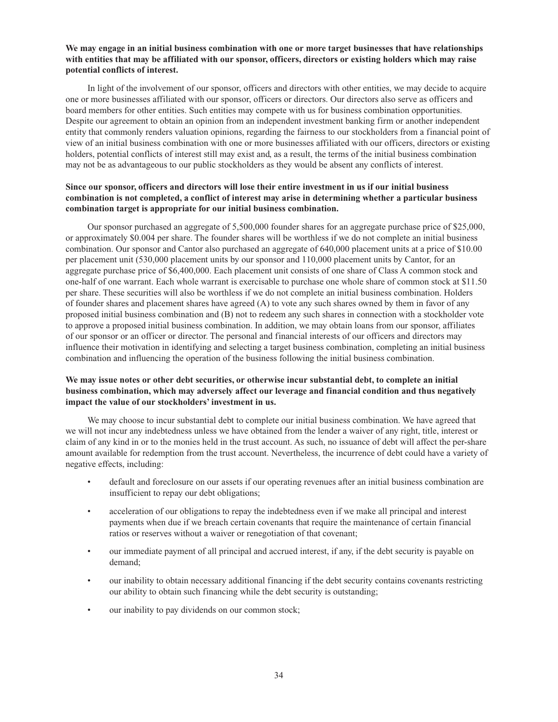## **We may engage in an initial business combination with one or more target businesses that have relationships with entities that may be affiliated with our sponsor, officers, directors or existing holders which may raise potential conflicts of interest.**

In light of the involvement of our sponsor, officers and directors with other entities, we may decide to acquire one or more businesses affiliated with our sponsor, officers or directors. Our directors also serve as officers and board members for other entities. Such entities may compete with us for business combination opportunities. Despite our agreement to obtain an opinion from an independent investment banking firm or another independent entity that commonly renders valuation opinions, regarding the fairness to our stockholders from a financial point of view of an initial business combination with one or more businesses affiliated with our officers, directors or existing holders, potential conflicts of interest still may exist and, as a result, the terms of the initial business combination may not be as advantageous to our public stockholders as they would be absent any conflicts of interest.

## **Since our sponsor, officers and directors will lose their entire investment in us if our initial business combination is not completed, a conflict of interest may arise in determining whether a particular business combination target is appropriate for our initial business combination.**

Our sponsor purchased an aggregate of 5,500,000 founder shares for an aggregate purchase price of \$25,000, or approximately \$0.004 per share. The founder shares will be worthless if we do not complete an initial business combination. Our sponsor and Cantor also purchased an aggregate of 640,000 placement units at a price of \$10.00 per placement unit (530,000 placement units by our sponsor and 110,000 placement units by Cantor, for an aggregate purchase price of \$6,400,000. Each placement unit consists of one share of Class A common stock and one-half of one warrant. Each whole warrant is exercisable to purchase one whole share of common stock at \$11.50 per share. These securities will also be worthless if we do not complete an initial business combination. Holders of founder shares and placement shares have agreed (A) to vote any such shares owned by them in favor of any proposed initial business combination and (B) not to redeem any such shares in connection with a stockholder vote to approve a proposed initial business combination. In addition, we may obtain loans from our sponsor, affiliates of our sponsor or an officer or director. The personal and financial interests of our officers and directors may influence their motivation in identifying and selecting a target business combination, completing an initial business combination and influencing the operation of the business following the initial business combination.

## **We may issue notes or other debt securities, or otherwise incur substantial debt, to complete an initial business combination, which may adversely affect our leverage and financial condition and thus negatively impact the value of our stockholders' investment in us.**

We may choose to incur substantial debt to complete our initial business combination. We have agreed that we will not incur any indebtedness unless we have obtained from the lender a waiver of any right, title, interest or claim of any kind in or to the monies held in the trust account. As such, no issuance of debt will affect the per-share amount available for redemption from the trust account. Nevertheless, the incurrence of debt could have a variety of negative effects, including:

- default and foreclosure on our assets if our operating revenues after an initial business combination are insufficient to repay our debt obligations;
- acceleration of our obligations to repay the indebtedness even if we make all principal and interest payments when due if we breach certain covenants that require the maintenance of certain financial ratios or reserves without a waiver or renegotiation of that covenant;
- our immediate payment of all principal and accrued interest, if any, if the debt security is payable on demand;
- our inability to obtain necessary additional financing if the debt security contains covenants restricting our ability to obtain such financing while the debt security is outstanding;
- our inability to pay dividends on our common stock;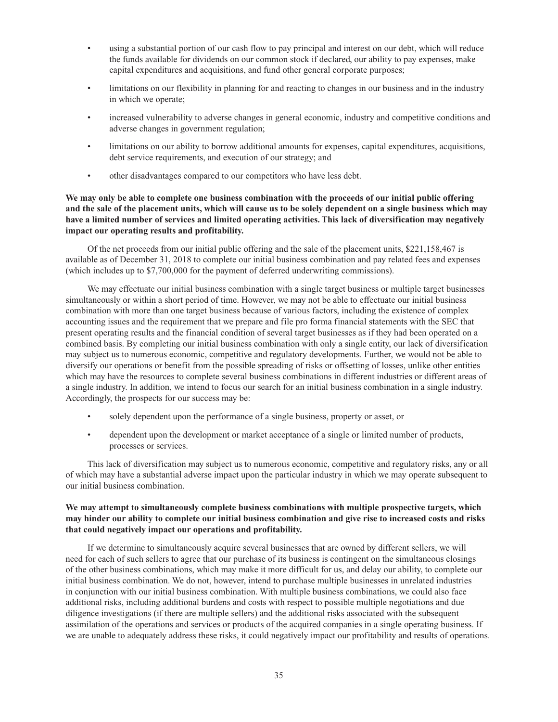- using a substantial portion of our cash flow to pay principal and interest on our debt, which will reduce the funds available for dividends on our common stock if declared, our ability to pay expenses, make capital expenditures and acquisitions, and fund other general corporate purposes;
- limitations on our flexibility in planning for and reacting to changes in our business and in the industry in which we operate;
- increased vulnerability to adverse changes in general economic, industry and competitive conditions and adverse changes in government regulation;
- limitations on our ability to borrow additional amounts for expenses, capital expenditures, acquisitions, debt service requirements, and execution of our strategy; and
- other disadvantages compared to our competitors who have less debt.

## **We may only be able to complete one business combination with the proceeds of our initial public offering and the sale of the placement units, which will cause us to be solely dependent on a single business which may have a limited number of services and limited operating activities. This lack of diversification may negatively impact our operating results and profitability.**

Of the net proceeds from our initial public offering and the sale of the placement units, \$221,158,467 is available as of December 31, 2018 to complete our initial business combination and pay related fees and expenses (which includes up to \$7,700,000 for the payment of deferred underwriting commissions).

We may effectuate our initial business combination with a single target business or multiple target businesses simultaneously or within a short period of time. However, we may not be able to effectuate our initial business combination with more than one target business because of various factors, including the existence of complex accounting issues and the requirement that we prepare and file pro forma financial statements with the SEC that present operating results and the financial condition of several target businesses as if they had been operated on a combined basis. By completing our initial business combination with only a single entity, our lack of diversification may subject us to numerous economic, competitive and regulatory developments. Further, we would not be able to diversify our operations or benefit from the possible spreading of risks or offsetting of losses, unlike other entities which may have the resources to complete several business combinations in different industries or different areas of a single industry. In addition, we intend to focus our search for an initial business combination in a single industry. Accordingly, the prospects for our success may be:

- solely dependent upon the performance of a single business, property or asset, or
- dependent upon the development or market acceptance of a single or limited number of products, processes or services.

This lack of diversification may subject us to numerous economic, competitive and regulatory risks, any or all of which may have a substantial adverse impact upon the particular industry in which we may operate subsequent to our initial business combination.

## **We may attempt to simultaneously complete business combinations with multiple prospective targets, which may hinder our ability to complete our initial business combination and give rise to increased costs and risks that could negatively impact our operations and profitability.**

If we determine to simultaneously acquire several businesses that are owned by different sellers, we will need for each of such sellers to agree that our purchase of its business is contingent on the simultaneous closings of the other business combinations, which may make it more difficult for us, and delay our ability, to complete our initial business combination. We do not, however, intend to purchase multiple businesses in unrelated industries in conjunction with our initial business combination. With multiple business combinations, we could also face additional risks, including additional burdens and costs with respect to possible multiple negotiations and due diligence investigations (if there are multiple sellers) and the additional risks associated with the subsequent assimilation of the operations and services or products of the acquired companies in a single operating business. If we are unable to adequately address these risks, it could negatively impact our profitability and results of operations.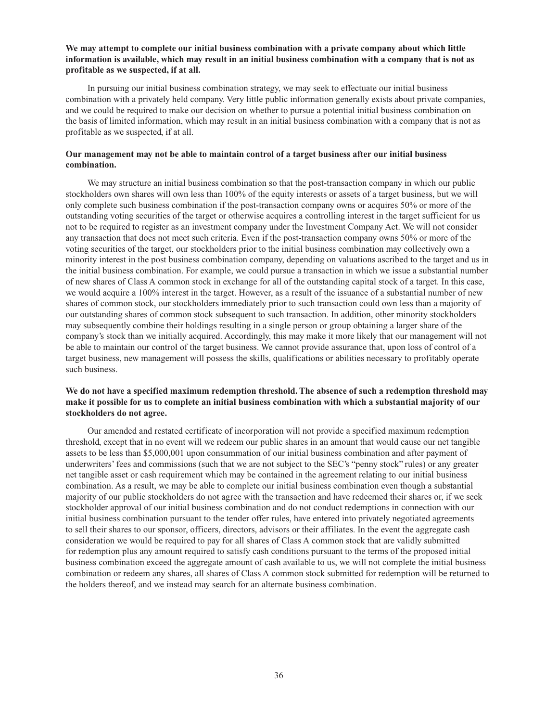## **We may attempt to complete our initial business combination with a private company about which little information is available, which may result in an initial business combination with a company that is not as profitable as we suspected, if at all.**

In pursuing our initial business combination strategy, we may seek to effectuate our initial business combination with a privately held company. Very little public information generally exists about private companies, and we could be required to make our decision on whether to pursue a potential initial business combination on the basis of limited information, which may result in an initial business combination with a company that is not as profitable as we suspected, if at all.

### **Our management may not be able to maintain control of a target business after our initial business combination.**

We may structure an initial business combination so that the post-transaction company in which our public stockholders own shares will own less than 100% of the equity interests or assets of a target business, but we will only complete such business combination if the post-transaction company owns or acquires 50% or more of the outstanding voting securities of the target or otherwise acquires a controlling interest in the target sufficient for us not to be required to register as an investment company under the Investment Company Act. We will not consider any transaction that does not meet such criteria. Even if the post-transaction company owns 50% or more of the voting securities of the target, our stockholders prior to the initial business combination may collectively own a minority interest in the post business combination company, depending on valuations ascribed to the target and us in the initial business combination. For example, we could pursue a transaction in which we issue a substantial number of new shares of Class A common stock in exchange for all of the outstanding capital stock of a target. In this case, we would acquire a 100% interest in the target. However, as a result of the issuance of a substantial number of new shares of common stock, our stockholders immediately prior to such transaction could own less than a majority of our outstanding shares of common stock subsequent to such transaction. In addition, other minority stockholders may subsequently combine their holdings resulting in a single person or group obtaining a larger share of the company's stock than we initially acquired. Accordingly, this may make it more likely that our management will not be able to maintain our control of the target business. We cannot provide assurance that, upon loss of control of a target business, new management will possess the skills, qualifications or abilities necessary to profitably operate such business.

## **We do not have a specified maximum redemption threshold. The absence of such a redemption threshold may make it possible for us to complete an initial business combination with which a substantial majority of our stockholders do not agree.**

Our amended and restated certificate of incorporation will not provide a specified maximum redemption threshold, except that in no event will we redeem our public shares in an amount that would cause our net tangible assets to be less than \$5,000,001 upon consummation of our initial business combination and after payment of underwriters' fees and commissions (such that we are not subject to the SEC's "penny stock" rules) or any greater net tangible asset or cash requirement which may be contained in the agreement relating to our initial business combination. As a result, we may be able to complete our initial business combination even though a substantial majority of our public stockholders do not agree with the transaction and have redeemed their shares or, if we seek stockholder approval of our initial business combination and do not conduct redemptions in connection with our initial business combination pursuant to the tender offer rules, have entered into privately negotiated agreements to sell their shares to our sponsor, officers, directors, advisors or their affiliates. In the event the aggregate cash consideration we would be required to pay for all shares of Class A common stock that are validly submitted for redemption plus any amount required to satisfy cash conditions pursuant to the terms of the proposed initial business combination exceed the aggregate amount of cash available to us, we will not complete the initial business combination or redeem any shares, all shares of Class A common stock submitted for redemption will be returned to the holders thereof, and we instead may search for an alternate business combination.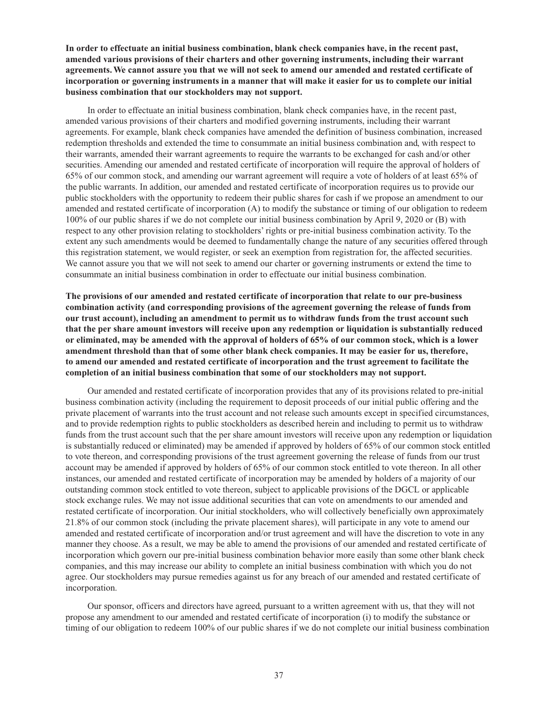**In order to effectuate an initial business combination, blank check companies have, in the recent past, amended various provisions of their charters and other governing instruments, including their warrant agreements. We cannot assure you that we will not seek to amend our amended and restated certificate of incorporation or governing instruments in a manner that will make it easier for us to complete our initial business combination that our stockholders may not support.**

In order to effectuate an initial business combination, blank check companies have, in the recent past, amended various provisions of their charters and modified governing instruments, including their warrant agreements. For example, blank check companies have amended the definition of business combination, increased redemption thresholds and extended the time to consummate an initial business combination and, with respect to their warrants, amended their warrant agreements to require the warrants to be exchanged for cash and/or other securities. Amending our amended and restated certificate of incorporation will require the approval of holders of 65% of our common stock, and amending our warrant agreement will require a vote of holders of at least 65% of the public warrants. In addition, our amended and restated certificate of incorporation requires us to provide our public stockholders with the opportunity to redeem their public shares for cash if we propose an amendment to our amended and restated certificate of incorporation (A) to modify the substance or timing of our obligation to redeem 100% of our public shares if we do not complete our initial business combination by April 9, 2020 or (B) with respect to any other provision relating to stockholders' rights or pre-initial business combination activity. To the extent any such amendments would be deemed to fundamentally change the nature of any securities offered through this registration statement, we would register, or seek an exemption from registration for, the affected securities. We cannot assure you that we will not seek to amend our charter or governing instruments or extend the time to consummate an initial business combination in order to effectuate our initial business combination.

**The provisions of our amended and restated certificate of incorporation that relate to our pre-business combination activity (and corresponding provisions of the agreement governing the release of funds from our trust account), including an amendment to permit us to withdraw funds from the trust account such that the per share amount investors will receive upon any redemption or liquidation is substantially reduced or eliminated, may be amended with the approval of holders of 65% of our common stock, which is a lower amendment threshold than that of some other blank check companies. It may be easier for us, therefore, to amend our amended and restated certificate of incorporation and the trust agreement to facilitate the completion of an initial business combination that some of our stockholders may not support.**

Our amended and restated certificate of incorporation provides that any of its provisions related to pre-initial business combination activity (including the requirement to deposit proceeds of our initial public offering and the private placement of warrants into the trust account and not release such amounts except in specified circumstances, and to provide redemption rights to public stockholders as described herein and including to permit us to withdraw funds from the trust account such that the per share amount investors will receive upon any redemption or liquidation is substantially reduced or eliminated) may be amended if approved by holders of 65% of our common stock entitled to vote thereon, and corresponding provisions of the trust agreement governing the release of funds from our trust account may be amended if approved by holders of 65% of our common stock entitled to vote thereon. In all other instances, our amended and restated certificate of incorporation may be amended by holders of a majority of our outstanding common stock entitled to vote thereon, subject to applicable provisions of the DGCL or applicable stock exchange rules. We may not issue additional securities that can vote on amendments to our amended and restated certificate of incorporation. Our initial stockholders, who will collectively beneficially own approximately 21.8% of our common stock (including the private placement shares), will participate in any vote to amend our amended and restated certificate of incorporation and/or trust agreement and will have the discretion to vote in any manner they choose. As a result, we may be able to amend the provisions of our amended and restated certificate of incorporation which govern our pre-initial business combination behavior more easily than some other blank check companies, and this may increase our ability to complete an initial business combination with which you do not agree. Our stockholders may pursue remedies against us for any breach of our amended and restated certificate of incorporation.

Our sponsor, officers and directors have agreed, pursuant to a written agreement with us, that they will not propose any amendment to our amended and restated certificate of incorporation (i) to modify the substance or timing of our obligation to redeem 100% of our public shares if we do not complete our initial business combination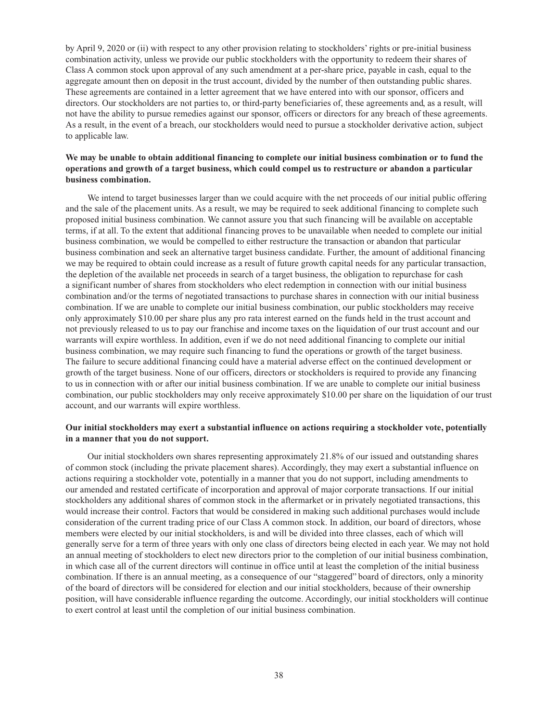by April 9, 2020 or (ii) with respect to any other provision relating to stockholders' rights or pre-initial business combination activity, unless we provide our public stockholders with the opportunity to redeem their shares of Class A common stock upon approval of any such amendment at a per-share price, payable in cash, equal to the aggregate amount then on deposit in the trust account, divided by the number of then outstanding public shares. These agreements are contained in a letter agreement that we have entered into with our sponsor, officers and directors. Our stockholders are not parties to, or third-party beneficiaries of, these agreements and, as a result, will not have the ability to pursue remedies against our sponsor, officers or directors for any breach of these agreements. As a result, in the event of a breach, our stockholders would need to pursue a stockholder derivative action, subject to applicable law.

## **We may be unable to obtain additional financing to complete our initial business combination or to fund the operations and growth of a target business, which could compel us to restructure or abandon a particular business combination.**

We intend to target businesses larger than we could acquire with the net proceeds of our initial public offering and the sale of the placement units. As a result, we may be required to seek additional financing to complete such proposed initial business combination. We cannot assure you that such financing will be available on acceptable terms, if at all. To the extent that additional financing proves to be unavailable when needed to complete our initial business combination, we would be compelled to either restructure the transaction or abandon that particular business combination and seek an alternative target business candidate. Further, the amount of additional financing we may be required to obtain could increase as a result of future growth capital needs for any particular transaction, the depletion of the available net proceeds in search of a target business, the obligation to repurchase for cash a significant number of shares from stockholders who elect redemption in connection with our initial business combination and/or the terms of negotiated transactions to purchase shares in connection with our initial business combination. If we are unable to complete our initial business combination, our public stockholders may receive only approximately \$10.00 per share plus any pro rata interest earned on the funds held in the trust account and not previously released to us to pay our franchise and income taxes on the liquidation of our trust account and our warrants will expire worthless. In addition, even if we do not need additional financing to complete our initial business combination, we may require such financing to fund the operations or growth of the target business. The failure to secure additional financing could have a material adverse effect on the continued development or growth of the target business. None of our officers, directors or stockholders is required to provide any financing to us in connection with or after our initial business combination. If we are unable to complete our initial business combination, our public stockholders may only receive approximately \$10.00 per share on the liquidation of our trust account, and our warrants will expire worthless.

### **Our initial stockholders may exert a substantial influence on actions requiring a stockholder vote, potentially in a manner that you do not support.**

Our initial stockholders own shares representing approximately 21.8% of our issued and outstanding shares of common stock (including the private placement shares). Accordingly, they may exert a substantial influence on actions requiring a stockholder vote, potentially in a manner that you do not support, including amendments to our amended and restated certificate of incorporation and approval of major corporate transactions. If our initial stockholders any additional shares of common stock in the aftermarket or in privately negotiated transactions, this would increase their control. Factors that would be considered in making such additional purchases would include consideration of the current trading price of our Class A common stock. In addition, our board of directors, whose members were elected by our initial stockholders, is and will be divided into three classes, each of which will generally serve for a term of three years with only one class of directors being elected in each year. We may not hold an annual meeting of stockholders to elect new directors prior to the completion of our initial business combination, in which case all of the current directors will continue in office until at least the completion of the initial business combination. If there is an annual meeting, as a consequence of our "staggered" board of directors, only a minority of the board of directors will be considered for election and our initial stockholders, because of their ownership position, will have considerable influence regarding the outcome. Accordingly, our initial stockholders will continue to exert control at least until the completion of our initial business combination.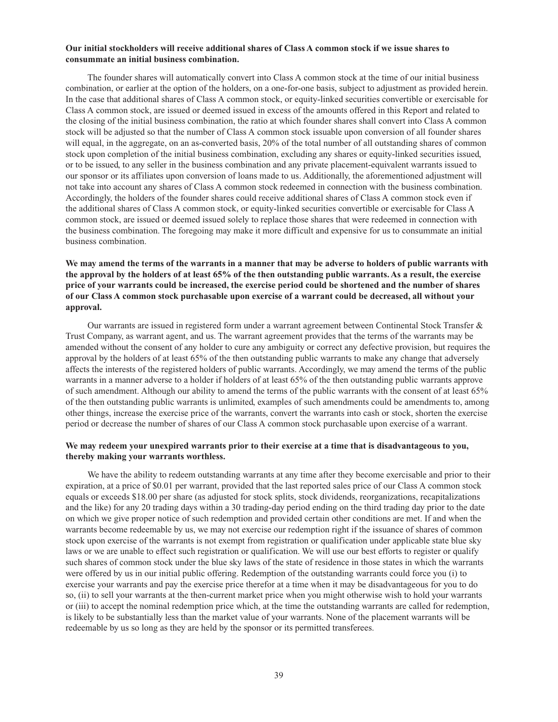### **Our initial stockholders will receive additional shares of Class A common stock if we issue shares to consummate an initial business combination.**

The founder shares will automatically convert into Class A common stock at the time of our initial business combination, or earlier at the option of the holders, on a one-for-one basis, subject to adjustment as provided herein. In the case that additional shares of Class A common stock, or equity-linked securities convertible or exercisable for Class A common stock, are issued or deemed issued in excess of the amounts offered in this Report and related to the closing of the initial business combination, the ratio at which founder shares shall convert into Class A common stock will be adjusted so that the number of Class A common stock issuable upon conversion of all founder shares will equal, in the aggregate, on an as-converted basis, 20% of the total number of all outstanding shares of common stock upon completion of the initial business combination, excluding any shares or equity-linked securities issued, or to be issued, to any seller in the business combination and any private placement-equivalent warrants issued to our sponsor or its affiliates upon conversion of loans made to us. Additionally, the aforementioned adjustment will not take into account any shares of Class A common stock redeemed in connection with the business combination. Accordingly, the holders of the founder shares could receive additional shares of Class A common stock even if the additional shares of Class A common stock, or equity-linked securities convertible or exercisable for Class A common stock, are issued or deemed issued solely to replace those shares that were redeemed in connection with the business combination. The foregoing may make it more difficult and expensive for us to consummate an initial business combination.

## **We may amend the terms of the warrants in a manner that may be adverse to holders of public warrants with the approval by the holders of at least 65% of the then outstanding public warrants. As a result, the exercise price of your warrants could be increased, the exercise period could be shortened and the number of shares of our Class A common stock purchasable upon exercise of a warrant could be decreased, all without your approval.**

Our warrants are issued in registered form under a warrant agreement between Continental Stock Transfer & Trust Company, as warrant agent, and us. The warrant agreement provides that the terms of the warrants may be amended without the consent of any holder to cure any ambiguity or correct any defective provision, but requires the approval by the holders of at least 65% of the then outstanding public warrants to make any change that adversely affects the interests of the registered holders of public warrants. Accordingly, we may amend the terms of the public warrants in a manner adverse to a holder if holders of at least 65% of the then outstanding public warrants approve of such amendment. Although our ability to amend the terms of the public warrants with the consent of at least 65% of the then outstanding public warrants is unlimited, examples of such amendments could be amendments to, among other things, increase the exercise price of the warrants, convert the warrants into cash or stock, shorten the exercise period or decrease the number of shares of our Class A common stock purchasable upon exercise of a warrant.

## **We may redeem your unexpired warrants prior to their exercise at a time that is disadvantageous to you, thereby making your warrants worthless.**

We have the ability to redeem outstanding warrants at any time after they become exercisable and prior to their expiration, at a price of \$0.01 per warrant, provided that the last reported sales price of our Class A common stock equals or exceeds \$18.00 per share (as adjusted for stock splits, stock dividends, reorganizations, recapitalizations and the like) for any 20 trading days within a 30 trading-day period ending on the third trading day prior to the date on which we give proper notice of such redemption and provided certain other conditions are met. If and when the warrants become redeemable by us, we may not exercise our redemption right if the issuance of shares of common stock upon exercise of the warrants is not exempt from registration or qualification under applicable state blue sky laws or we are unable to effect such registration or qualification. We will use our best efforts to register or qualify such shares of common stock under the blue sky laws of the state of residence in those states in which the warrants were offered by us in our initial public offering. Redemption of the outstanding warrants could force you (i) to exercise your warrants and pay the exercise price therefor at a time when it may be disadvantageous for you to do so, (ii) to sell your warrants at the then-current market price when you might otherwise wish to hold your warrants or (iii) to accept the nominal redemption price which, at the time the outstanding warrants are called for redemption, is likely to be substantially less than the market value of your warrants. None of the placement warrants will be redeemable by us so long as they are held by the sponsor or its permitted transferees.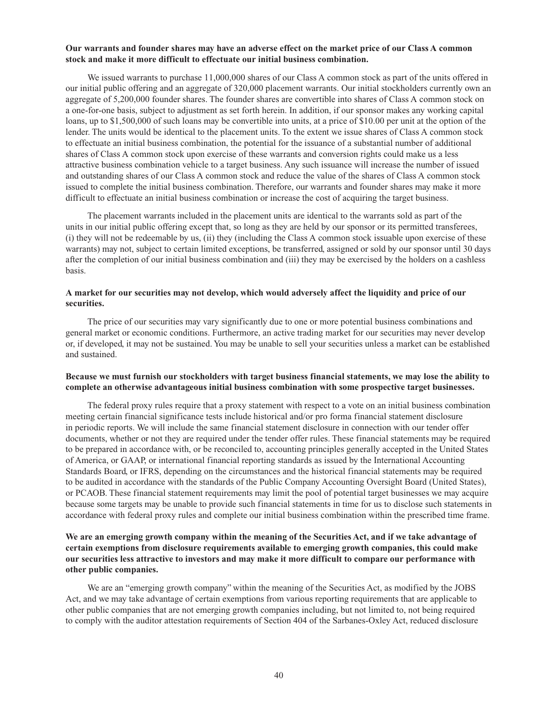### **Our warrants and founder shares may have an adverse effect on the market price of our Class A common stock and make it more difficult to effectuate our initial business combination.**

We issued warrants to purchase 11,000,000 shares of our Class A common stock as part of the units offered in our initial public offering and an aggregate of 320,000 placement warrants. Our initial stockholders currently own an aggregate of 5,200,000 founder shares. The founder shares are convertible into shares of Class A common stock on a one-for-one basis, subject to adjustment as set forth herein. In addition, if our sponsor makes any working capital loans, up to \$1,500,000 of such loans may be convertible into units, at a price of \$10.00 per unit at the option of the lender. The units would be identical to the placement units. To the extent we issue shares of Class A common stock to effectuate an initial business combination, the potential for the issuance of a substantial number of additional shares of Class A common stock upon exercise of these warrants and conversion rights could make us a less attractive business combination vehicle to a target business. Any such issuance will increase the number of issued and outstanding shares of our Class A common stock and reduce the value of the shares of Class A common stock issued to complete the initial business combination. Therefore, our warrants and founder shares may make it more difficult to effectuate an initial business combination or increase the cost of acquiring the target business.

The placement warrants included in the placement units are identical to the warrants sold as part of the units in our initial public offering except that, so long as they are held by our sponsor or its permitted transferees, (i) they will not be redeemable by us, (ii) they (including the Class A common stock issuable upon exercise of these warrants) may not, subject to certain limited exceptions, be transferred, assigned or sold by our sponsor until 30 days after the completion of our initial business combination and (iii) they may be exercised by the holders on a cashless basis.

### **A market for our securities may not develop, which would adversely affect the liquidity and price of our securities.**

The price of our securities may vary significantly due to one or more potential business combinations and general market or economic conditions. Furthermore, an active trading market for our securities may never develop or, if developed, it may not be sustained. You may be unable to sell your securities unless a market can be established and sustained.

### **Because we must furnish our stockholders with target business financial statements, we may lose the ability to complete an otherwise advantageous initial business combination with some prospective target businesses.**

The federal proxy rules require that a proxy statement with respect to a vote on an initial business combination meeting certain financial significance tests include historical and/or pro forma financial statement disclosure in periodic reports. We will include the same financial statement disclosure in connection with our tender offer documents, whether or not they are required under the tender offer rules. These financial statements may be required to be prepared in accordance with, or be reconciled to, accounting principles generally accepted in the United States of America, or GAAP, or international financial reporting standards as issued by the International Accounting Standards Board, or IFRS, depending on the circumstances and the historical financial statements may be required to be audited in accordance with the standards of the Public Company Accounting Oversight Board (United States), or PCAOB. These financial statement requirements may limit the pool of potential target businesses we may acquire because some targets may be unable to provide such financial statements in time for us to disclose such statements in accordance with federal proxy rules and complete our initial business combination within the prescribed time frame.

## **We are an emerging growth company within the meaning of the Securities Act, and if we take advantage of certain exemptions from disclosure requirements available to emerging growth companies, this could make our securities less attractive to investors and may make it more difficult to compare our performance with other public companies.**

We are an "emerging growth company" within the meaning of the Securities Act, as modified by the JOBS Act, and we may take advantage of certain exemptions from various reporting requirements that are applicable to other public companies that are not emerging growth companies including, but not limited to, not being required to comply with the auditor attestation requirements of Section 404 of the Sarbanes-Oxley Act, reduced disclosure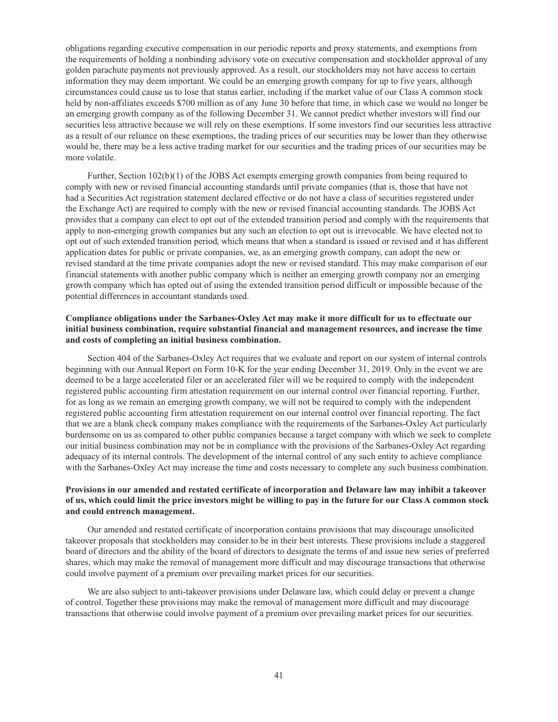obligations regarding executive compensation in our periodic reports and proxy statements, and exemptions from the requirements of holding a nonbinding advisory vote on executive compensation and stockholder approval of any golden parachute payments not previously approved. As a result, our stockholders may not have access to certain information they may deem important. We could be an emerging growth company for up to five years, although circumstances could cause us to lose that status earlier, including if the market value of our Class A common stock held by non-affiliates exceeds \$700 million as of any June 30 before that time, in which case we would no longer be an emerging growth company as of the following December 31. We cannot predict whether investors will find our securities less attractive because we will rely on these exemptions. If some investors find our securities less attractive as a result of our reliance on these exemptions, the trading prices of our securities may be lower than they otherwise would be, there may be a less active trading market for our securities and the trading prices of our securities may be more volatile.

Further, Section 102(b)(1) of the JOBS Act exempts emerging growth companies from being required to comply with new or revised financial accounting standards until private companies (that is, those that have not had a Securities Act registration statement declared effective or do not have a class of securities registered under the Exchange Act) are required to comply with the new or revised financial accounting standards. The JOBS Act provides that a company can elect to opt out of the extended transition period and comply with the requirements that apply to non-emerging growth companies but any such an election to opt out is irrevocable. We have elected not to opt out of such extended transition period, which means that when a standard is issued or revised and it has different application dates for public or private companies, we, as an emerging growth company, can adopt the new or revised standard at the time private companies adopt the new or revised standard. This may make comparison of our financial statements with another public company which is neither an emerging growth company nor an emerging growth company which has opted out of using the extended transition period difficult or impossible because of the potential differences in accountant standards used.

## **Compliance obligations under the Sarbanes-Oxley Act may make it more difficult for us to effectuate our initial business combination, require substantial financial and management resources, and increase the time and costs of completing an initial business combination.**

Section 404 of the Sarbanes-Oxley Act requires that we evaluate and report on our system of internal controls beginning with our Annual Report on Form 10-K for the year ending December 31, 2019. Only in the event we are deemed to be a large accelerated filer or an accelerated filer will we be required to comply with the independent registered public accounting firm attestation requirement on our internal control over financial reporting. Further, for as long as we remain an emerging growth company, we will not be required to comply with the independent registered public accounting firm attestation requirement on our internal control over financial reporting. The fact that we are a blank check company makes compliance with the requirements of the Sarbanes-Oxley Act particularly burdensome on us as compared to other public companies because a target company with which we seek to complete our initial business combination may not be in compliance with the provisions of the Sarbanes-Oxley Act regarding adequacy of its internal controls. The development of the internal control of any such entity to achieve compliance with the Sarbanes-Oxley Act may increase the time and costs necessary to complete any such business combination.

## **Provisions in our amended and restated certificate of incorporation and Delaware law may inhibit a takeover of us, which could limit the price investors might be willing to pay in the future for our Class A common stock and could entrench management.**

Our amended and restated certificate of incorporation contains provisions that may discourage unsolicited takeover proposals that stockholders may consider to be in their best interests. These provisions include a staggered board of directors and the ability of the board of directors to designate the terms of and issue new series of preferred shares, which may make the removal of management more difficult and may discourage transactions that otherwise could involve payment of a premium over prevailing market prices for our securities.

We are also subject to anti-takeover provisions under Delaware law, which could delay or prevent a change of control. Together these provisions may make the removal of management more difficult and may discourage transactions that otherwise could involve payment of a premium over prevailing market prices for our securities.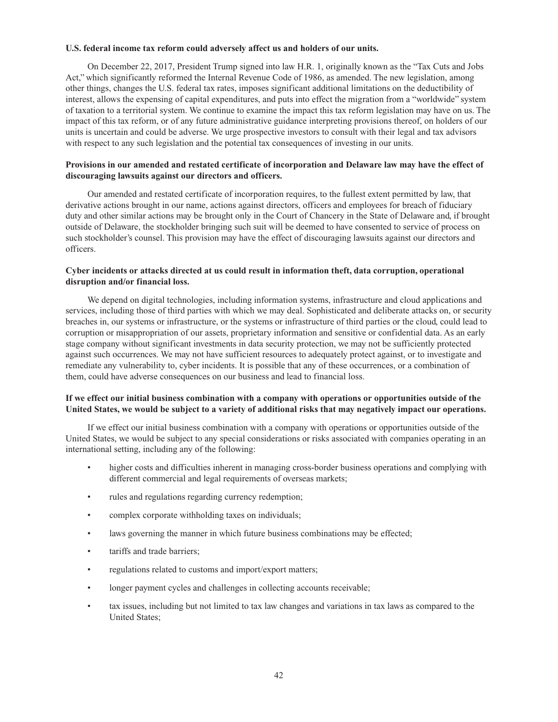### **U.S. federal income tax reform could adversely affect us and holders of our units.**

On December 22, 2017, President Trump signed into law H.R. 1, originally known as the "Tax Cuts and Jobs Act," which significantly reformed the Internal Revenue Code of 1986, as amended. The new legislation, among other things, changes the U.S. federal tax rates, imposes significant additional limitations on the deductibility of interest, allows the expensing of capital expenditures, and puts into effect the migration from a "worldwide" system of taxation to a territorial system. We continue to examine the impact this tax reform legislation may have on us. The impact of this tax reform, or of any future administrative guidance interpreting provisions thereof, on holders of our units is uncertain and could be adverse. We urge prospective investors to consult with their legal and tax advisors with respect to any such legislation and the potential tax consequences of investing in our units.

## **Provisions in our amended and restated certificate of incorporation and Delaware law may have the effect of discouraging lawsuits against our directors and officers.**

Our amended and restated certificate of incorporation requires, to the fullest extent permitted by law, that derivative actions brought in our name, actions against directors, officers and employees for breach of fiduciary duty and other similar actions may be brought only in the Court of Chancery in the State of Delaware and, if brought outside of Delaware, the stockholder bringing such suit will be deemed to have consented to service of process on such stockholder's counsel. This provision may have the effect of discouraging lawsuits against our directors and officers.

## **Cyber incidents or attacks directed at us could result in information theft, data corruption, operational disruption and/or financial loss.**

We depend on digital technologies, including information systems, infrastructure and cloud applications and services, including those of third parties with which we may deal. Sophisticated and deliberate attacks on, or security breaches in, our systems or infrastructure, or the systems or infrastructure of third parties or the cloud, could lead to corruption or misappropriation of our assets, proprietary information and sensitive or confidential data. As an early stage company without significant investments in data security protection, we may not be sufficiently protected against such occurrences. We may not have sufficient resources to adequately protect against, or to investigate and remediate any vulnerability to, cyber incidents. It is possible that any of these occurrences, or a combination of them, could have adverse consequences on our business and lead to financial loss.

## **If we effect our initial business combination with a company with operations or opportunities outside of the United States, we would be subject to a variety of additional risks that may negatively impact our operations.**

If we effect our initial business combination with a company with operations or opportunities outside of the United States, we would be subject to any special considerations or risks associated with companies operating in an international setting, including any of the following:

- higher costs and difficulties inherent in managing cross-border business operations and complying with different commercial and legal requirements of overseas markets;
- rules and regulations regarding currency redemption;
- complex corporate withholding taxes on individuals;
- laws governing the manner in which future business combinations may be effected;
- tariffs and trade barriers;
- regulations related to customs and import/export matters;
- longer payment cycles and challenges in collecting accounts receivable;
- tax issues, including but not limited to tax law changes and variations in tax laws as compared to the United States;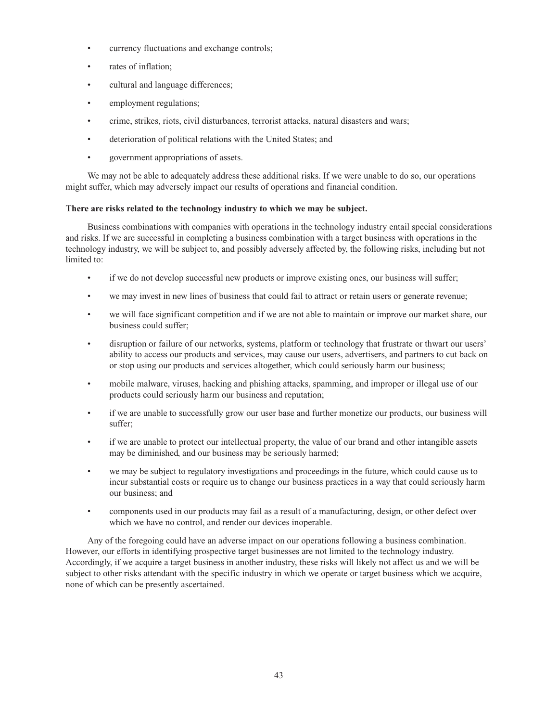- currency fluctuations and exchange controls;
- rates of inflation;
- cultural and language differences;
- employment regulations;
- crime, strikes, riots, civil disturbances, terrorist attacks, natural disasters and wars;
- deterioration of political relations with the United States; and
- government appropriations of assets.

We may not be able to adequately address these additional risks. If we were unable to do so, our operations might suffer, which may adversely impact our results of operations and financial condition.

## **There are risks related to the technology industry to which we may be subject.**

Business combinations with companies with operations in the technology industry entail special considerations and risks. If we are successful in completing a business combination with a target business with operations in the technology industry, we will be subject to, and possibly adversely affected by, the following risks, including but not limited to:

- if we do not develop successful new products or improve existing ones, our business will suffer;
- we may invest in new lines of business that could fail to attract or retain users or generate revenue;
- we will face significant competition and if we are not able to maintain or improve our market share, our business could suffer;
- disruption or failure of our networks, systems, platform or technology that frustrate or thwart our users' ability to access our products and services, may cause our users, advertisers, and partners to cut back on or stop using our products and services altogether, which could seriously harm our business;
- mobile malware, viruses, hacking and phishing attacks, spamming, and improper or illegal use of our products could seriously harm our business and reputation;
- if we are unable to successfully grow our user base and further monetize our products, our business will suffer;
- if we are unable to protect our intellectual property, the value of our brand and other intangible assets may be diminished, and our business may be seriously harmed;
- we may be subject to regulatory investigations and proceedings in the future, which could cause us to incur substantial costs or require us to change our business practices in a way that could seriously harm our business; and
- components used in our products may fail as a result of a manufacturing, design, or other defect over which we have no control, and render our devices inoperable.

Any of the foregoing could have an adverse impact on our operations following a business combination. However, our efforts in identifying prospective target businesses are not limited to the technology industry. Accordingly, if we acquire a target business in another industry, these risks will likely not affect us and we will be subject to other risks attendant with the specific industry in which we operate or target business which we acquire, none of which can be presently ascertained.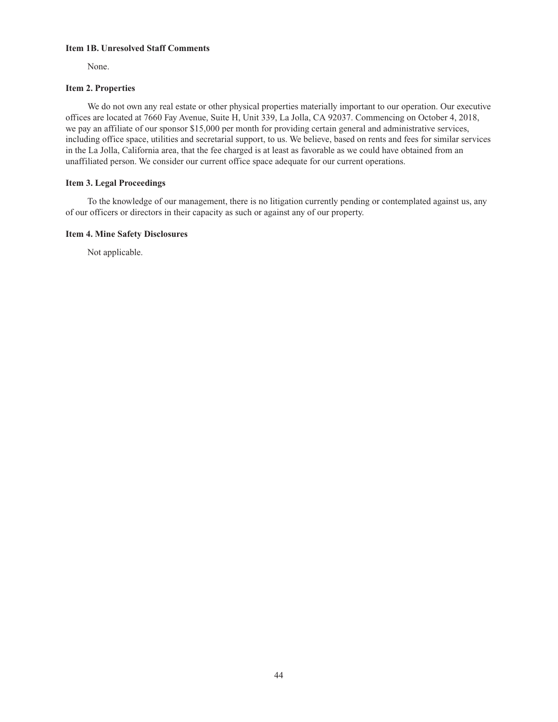### **Item 1B. Unresolved Staff Comments**

None.

## **Item 2. Properties**

We do not own any real estate or other physical properties materially important to our operation. Our executive offices are located at 7660 Fay Avenue, Suite H, Unit 339, La Jolla, CA 92037. Commencing on October 4, 2018, we pay an affiliate of our sponsor \$15,000 per month for providing certain general and administrative services, including office space, utilities and secretarial support, to us. We believe, based on rents and fees for similar services in the La Jolla, California area, that the fee charged is at least as favorable as we could have obtained from an unaffiliated person. We consider our current office space adequate for our current operations.

## **Item 3. Legal Proceedings**

To the knowledge of our management, there is no litigation currently pending or contemplated against us, any of our officers or directors in their capacity as such or against any of our property.

## **Item 4. Mine Safety Disclosures**

Not applicable.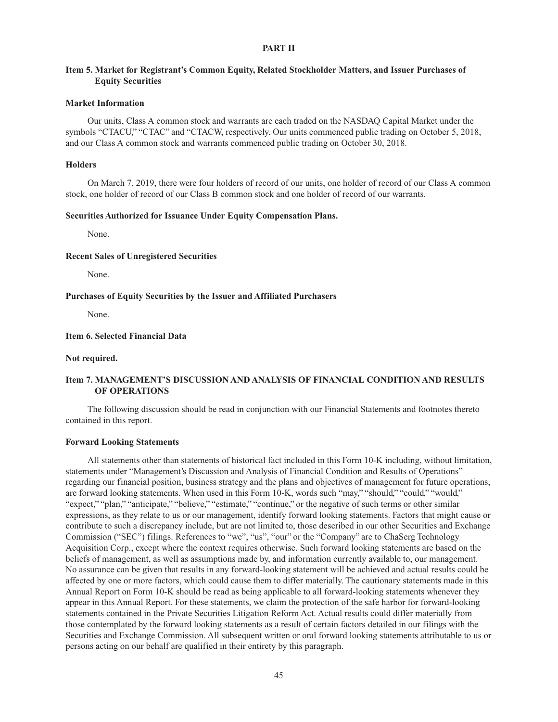### **PART II**

## **Item 5. Market for Registrant's Common Equity, Related Stockholder Matters, and Issuer Purchases of Equity Securities**

#### **Market Information**

Our units, Class A common stock and warrants are each traded on the NASDAQ Capital Market under the symbols "CTACU," "CTAC" and "CTACW, respectively. Our units commenced public trading on October 5, 2018, and our Class A common stock and warrants commenced public trading on October 30, 2018.

### **Holders**

On March 7, 2019, there were four holders of record of our units, one holder of record of our Class A common stock, one holder of record of our Class B common stock and one holder of record of our warrants.

### **Securities Authorized for Issuance Under Equity Compensation Plans.**

None.

### **Recent Sales of Unregistered Securities**

None.

#### **Purchases of Equity Securities by the Issuer and Affiliated Purchasers**

None.

## **Item 6. Selected Financial Data**

#### **Not required.**

## **Item 7. MANAGEMENT'S DISCUSSION AND ANALYSIS OF FINANCIAL CONDITION AND RESULTS OF OPERATIONS**

The following discussion should be read in conjunction with our Financial Statements and footnotes thereto contained in this report.

#### **Forward Looking Statements**

All statements other than statements of historical fact included in this Form 10-K including, without limitation, statements under "Management's Discussion and Analysis of Financial Condition and Results of Operations" regarding our financial position, business strategy and the plans and objectives of management for future operations, are forward looking statements. When used in this Form 10-K, words such "may," "should," "could," "would," "expect," "plan," "anticipate," "believe," "estimate," "continue," or the negative of such terms or other similar expressions, as they relate to us or our management, identify forward looking statements. Factors that might cause or contribute to such a discrepancy include, but are not limited to, those described in our other Securities and Exchange Commission ("SEC") filings. References to "we", "us", "our" or the "Company" are to ChaSerg Technology Acquisition Corp., except where the context requires otherwise. Such forward looking statements are based on the beliefs of management, as well as assumptions made by, and information currently available to, our management. No assurance can be given that results in any forward-looking statement will be achieved and actual results could be affected by one or more factors, which could cause them to differ materially. The cautionary statements made in this Annual Report on Form 10-K should be read as being applicable to all forward-looking statements whenever they appear in this Annual Report. For these statements, we claim the protection of the safe harbor for forward-looking statements contained in the Private Securities Litigation Reform Act. Actual results could differ materially from those contemplated by the forward looking statements as a result of certain factors detailed in our filings with the Securities and Exchange Commission. All subsequent written or oral forward looking statements attributable to us or persons acting on our behalf are qualified in their entirety by this paragraph.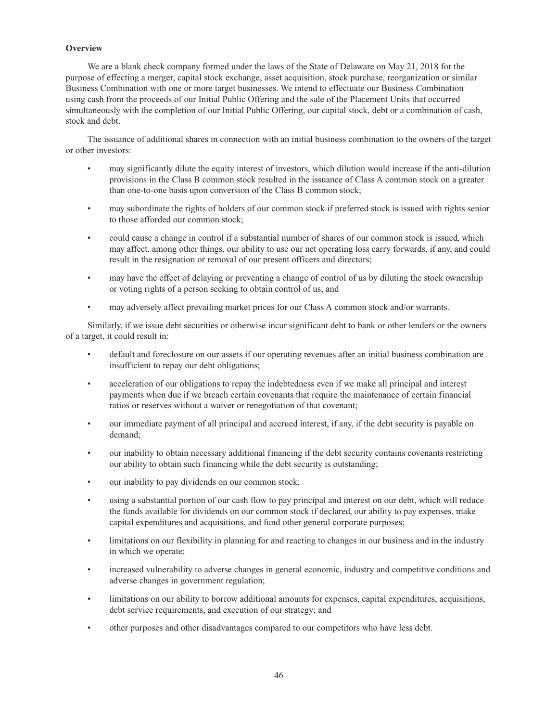## **Overview**

We are a blank check company formed under the laws of the State of Delaware on May 21, 2018 for the purpose of effecting a merger, capital stock exchange, asset acquisition, stock purchase, reorganization or similar Business Combination with one or more target businesses. We intend to effectuate our Business Combination using cash from the proceeds of our Initial Public Offering and the sale of the Placement Units that occurred simultaneously with the completion of our Initial Public Offering, our capital stock, debt or a combination of cash, stock and debt.

The issuance of additional shares in connection with an initial business combination to the owners of the target or other investors:

- may significantly dilute the equity interest of investors, which dilution would increase if the anti-dilution provisions in the Class B common stock resulted in the issuance of Class A common stock on a greater than one-to-one basis upon conversion of the Class B common stock;
- may subordinate the rights of holders of our common stock if preferred stock is issued with rights senior to those afforded our common stock;
- could cause a change in control if a substantial number of shares of our common stock is issued, which may affect, among other things, our ability to use our net operating loss carry forwards, if any, and could result in the resignation or removal of our present officers and directors;
- may have the effect of delaying or preventing a change of control of us by diluting the stock ownership or voting rights of a person seeking to obtain control of us; and
- may adversely affect prevailing market prices for our Class A common stock and/or warrants.

Similarly, if we issue debt securities or otherwise incur significant debt to bank or other lenders or the owners of a target, it could result in:

- default and foreclosure on our assets if our operating revenues after an initial business combination are insufficient to repay our debt obligations;
- acceleration of our obligations to repay the indebtedness even if we make all principal and interest payments when due if we breach certain covenants that require the maintenance of certain financial ratios or reserves without a waiver or renegotiation of that covenant;
- our immediate payment of all principal and accrued interest, if any, if the debt security is payable on demand;
- our inability to obtain necessary additional financing if the debt security contains covenants restricting our ability to obtain such financing while the debt security is outstanding;
- our inability to pay dividends on our common stock;
- using a substantial portion of our cash flow to pay principal and interest on our debt, which will reduce the funds available for dividends on our common stock if declared, our ability to pay expenses, make capital expenditures and acquisitions, and fund other general corporate purposes;
- limitations on our flexibility in planning for and reacting to changes in our business and in the industry in which we operate;
- increased vulnerability to adverse changes in general economic, industry and competitive conditions and adverse changes in government regulation;
- limitations on our ability to borrow additional amounts for expenses, capital expenditures, acquisitions, debt service requirements, and execution of our strategy; and
- other purposes and other disadvantages compared to our competitors who have less debt.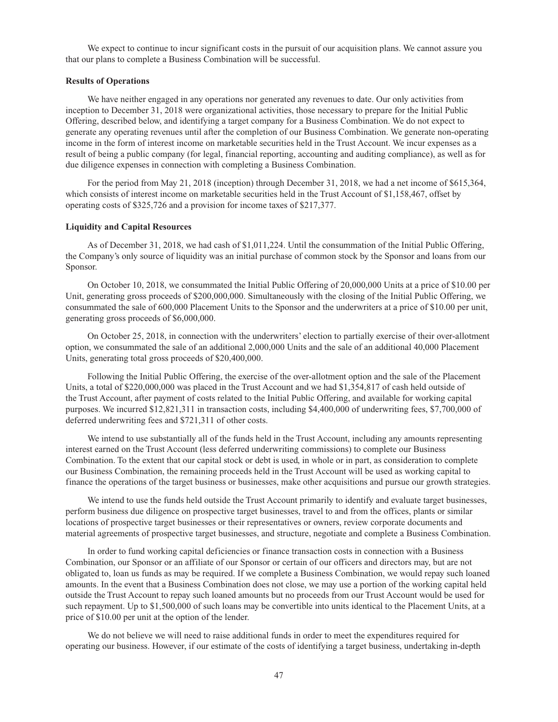We expect to continue to incur significant costs in the pursuit of our acquisition plans. We cannot assure you that our plans to complete a Business Combination will be successful.

#### **Results of Operations**

We have neither engaged in any operations nor generated any revenues to date. Our only activities from inception to December 31, 2018 were organizational activities, those necessary to prepare for the Initial Public Offering, described below, and identifying a target company for a Business Combination. We do not expect to generate any operating revenues until after the completion of our Business Combination. We generate non-operating income in the form of interest income on marketable securities held in the Trust Account. We incur expenses as a result of being a public company (for legal, financial reporting, accounting and auditing compliance), as well as for due diligence expenses in connection with completing a Business Combination.

For the period from May 21, 2018 (inception) through December 31, 2018, we had a net income of \$615,364, which consists of interest income on marketable securities held in the Trust Account of \$1,158,467, offset by operating costs of \$325,726 and a provision for income taxes of \$217,377.

### **Liquidity and Capital Resources**

As of December 31, 2018, we had cash of \$1,011,224. Until the consummation of the Initial Public Offering, the Company's only source of liquidity was an initial purchase of common stock by the Sponsor and loans from our Sponsor.

On October 10, 2018, we consummated the Initial Public Offering of 20,000,000 Units at a price of \$10.00 per Unit, generating gross proceeds of \$200,000,000. Simultaneously with the closing of the Initial Public Offering, we consummated the sale of 600,000 Placement Units to the Sponsor and the underwriters at a price of \$10.00 per unit, generating gross proceeds of \$6,000,000.

On October 25, 2018, in connection with the underwriters' election to partially exercise of their over-allotment option, we consummated the sale of an additional 2,000,000 Units and the sale of an additional 40,000 Placement Units, generating total gross proceeds of \$20,400,000.

Following the Initial Public Offering, the exercise of the over-allotment option and the sale of the Placement Units, a total of \$220,000,000 was placed in the Trust Account and we had \$1,354,817 of cash held outside of the Trust Account, after payment of costs related to the Initial Public Offering, and available for working capital purposes. We incurred \$12,821,311 in transaction costs, including \$4,400,000 of underwriting fees, \$7,700,000 of deferred underwriting fees and \$721,311 of other costs.

We intend to use substantially all of the funds held in the Trust Account, including any amounts representing interest earned on the Trust Account (less deferred underwriting commissions) to complete our Business Combination. To the extent that our capital stock or debt is used, in whole or in part, as consideration to complete our Business Combination, the remaining proceeds held in the Trust Account will be used as working capital to finance the operations of the target business or businesses, make other acquisitions and pursue our growth strategies.

We intend to use the funds held outside the Trust Account primarily to identify and evaluate target businesses, perform business due diligence on prospective target businesses, travel to and from the offices, plants or similar locations of prospective target businesses or their representatives or owners, review corporate documents and material agreements of prospective target businesses, and structure, negotiate and complete a Business Combination.

In order to fund working capital deficiencies or finance transaction costs in connection with a Business Combination, our Sponsor or an affiliate of our Sponsor or certain of our officers and directors may, but are not obligated to, loan us funds as may be required. If we complete a Business Combination, we would repay such loaned amounts. In the event that a Business Combination does not close, we may use a portion of the working capital held outside the Trust Account to repay such loaned amounts but no proceeds from our Trust Account would be used for such repayment. Up to \$1,500,000 of such loans may be convertible into units identical to the Placement Units, at a price of \$10.00 per unit at the option of the lender.

We do not believe we will need to raise additional funds in order to meet the expenditures required for operating our business. However, if our estimate of the costs of identifying a target business, undertaking in-depth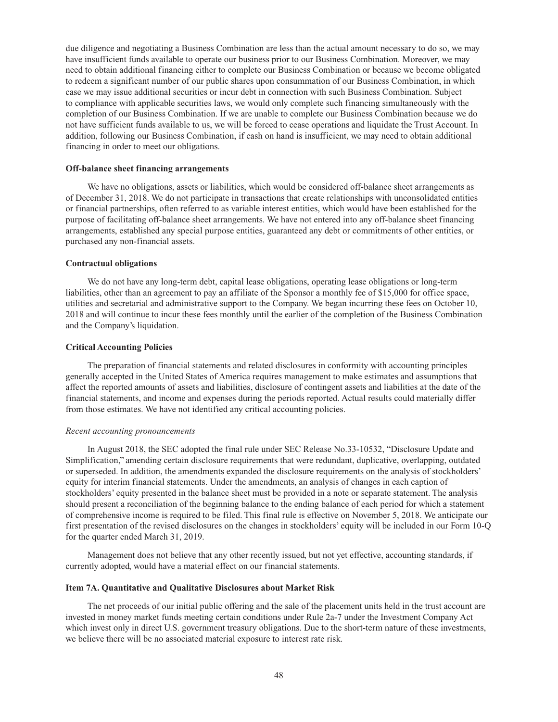due diligence and negotiating a Business Combination are less than the actual amount necessary to do so, we may have insufficient funds available to operate our business prior to our Business Combination. Moreover, we may need to obtain additional financing either to complete our Business Combination or because we become obligated to redeem a significant number of our public shares upon consummation of our Business Combination, in which case we may issue additional securities or incur debt in connection with such Business Combination. Subject to compliance with applicable securities laws, we would only complete such financing simultaneously with the completion of our Business Combination. If we are unable to complete our Business Combination because we do not have sufficient funds available to us, we will be forced to cease operations and liquidate the Trust Account. In addition, following our Business Combination, if cash on hand is insufficient, we may need to obtain additional financing in order to meet our obligations.

#### **Off-balance sheet financing arrangements**

We have no obligations, assets or liabilities, which would be considered off-balance sheet arrangements as of December 31, 2018. We do not participate in transactions that create relationships with unconsolidated entities or financial partnerships, often referred to as variable interest entities, which would have been established for the purpose of facilitating off-balance sheet arrangements. We have not entered into any off-balance sheet financing arrangements, established any special purpose entities, guaranteed any debt or commitments of other entities, or purchased any non-financial assets.

#### **Contractual obligations**

We do not have any long-term debt, capital lease obligations, operating lease obligations or long-term liabilities, other than an agreement to pay an affiliate of the Sponsor a monthly fee of \$15,000 for office space, utilities and secretarial and administrative support to the Company. We began incurring these fees on October 10, 2018 and will continue to incur these fees monthly until the earlier of the completion of the Business Combination and the Company's liquidation.

#### **Critical Accounting Policies**

The preparation of financial statements and related disclosures in conformity with accounting principles generally accepted in the United States of America requires management to make estimates and assumptions that affect the reported amounts of assets and liabilities, disclosure of contingent assets and liabilities at the date of the financial statements, and income and expenses during the periods reported. Actual results could materially differ from those estimates. We have not identified any critical accounting policies.

#### *Recent accounting pronouncements*

In August 2018, the SEC adopted the final rule under SEC Release No.33-10532, "Disclosure Update and Simplification," amending certain disclosure requirements that were redundant, duplicative, overlapping, outdated or superseded. In addition, the amendments expanded the disclosure requirements on the analysis of stockholders' equity for interim financial statements. Under the amendments, an analysis of changes in each caption of stockholders' equity presented in the balance sheet must be provided in a note or separate statement. The analysis should present a reconciliation of the beginning balance to the ending balance of each period for which a statement of comprehensive income is required to be filed. This final rule is effective on November 5, 2018. We anticipate our first presentation of the revised disclosures on the changes in stockholders' equity will be included in our Form 10-Q for the quarter ended March 31, 2019.

Management does not believe that any other recently issued, but not yet effective, accounting standards, if currently adopted, would have a material effect on our financial statements.

#### **Item 7A. Quantitative and Qualitative Disclosures about Market Risk**

The net proceeds of our initial public offering and the sale of the placement units held in the trust account are invested in money market funds meeting certain conditions under Rule 2a-7 under the Investment Company Act which invest only in direct U.S. government treasury obligations. Due to the short-term nature of these investments, we believe there will be no associated material exposure to interest rate risk.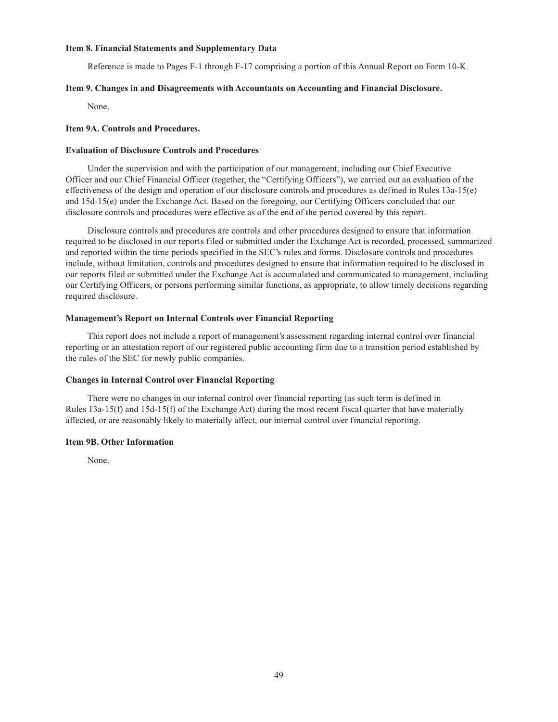### **Item 8. Financial Statements and Supplementary Data**

Reference is made to Pages F-1 through F-17 comprising a portion of this Annual Report on Form 10-K.

#### **Item 9. Changes in and Disagreements with Accountants on Accounting and Financial Disclosure.**

None.

## **Item 9A. Controls and Procedures.**

### **Evaluation of Disclosure Controls and Procedures**

Under the supervision and with the participation of our management, including our Chief Executive Officer and our Chief Financial Officer (together, the "Certifying Officers"), we carried out an evaluation of the effectiveness of the design and operation of our disclosure controls and procedures as defined in Rules 13a-15(e) and 15d-15(e) under the Exchange Act. Based on the foregoing, our Certifying Officers concluded that our disclosure controls and procedures were effective as of the end of the period covered by this report.

Disclosure controls and procedures are controls and other procedures designed to ensure that information required to be disclosed in our reports filed or submitted under the Exchange Act is recorded, processed, summarized and reported within the time periods specified in the SEC's rules and forms. Disclosure controls and procedures include, without limitation, controls and procedures designed to ensure that information required to be disclosed in our reports filed or submitted under the Exchange Act is accumulated and communicated to management, including our Certifying Officers, or persons performing similar functions, as appropriate, to allow timely decisions regarding required disclosure.

### **Management's Report on Internal Controls over Financial Reporting**

This report does not include a report of management's assessment regarding internal control over financial reporting or an attestation report of our registered public accounting firm due to a transition period established by the rules of the SEC for newly public companies.

### **Changes in Internal Control over Financial Reporting**

There were no changes in our internal control over financial reporting (as such term is defined in Rules 13a-15(f) and 15d-15(f) of the Exchange Act) during the most recent fiscal quarter that have materially affected, or are reasonably likely to materially affect, our internal control over financial reporting.

### **Item 9B. Other Information**

None.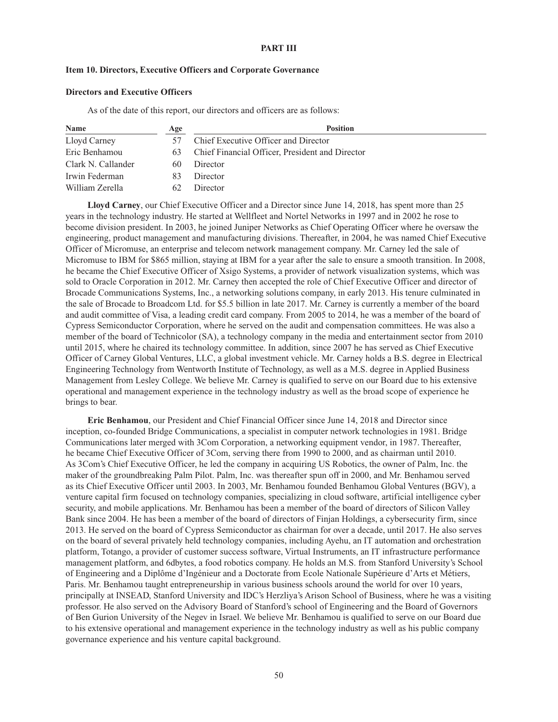### **PART III**

### **Item 10. Directors, Executive Officers and Corporate Governance**

### **Directors and Executive Officers**

As of the date of this report, our directors and officers are as follows:

| Name               | Age | <b>Position</b>                                 |  |  |
|--------------------|-----|-------------------------------------------------|--|--|
| Lloyd Carney       |     | Chief Executive Officer and Director            |  |  |
| Eric Benhamou      | 63  | Chief Financial Officer, President and Director |  |  |
| Clark N. Callander | 60  | Director                                        |  |  |
| Irwin Federman     | 83  | Director                                        |  |  |
| William Zerella    | 62  | Director                                        |  |  |

**Lloyd Carney**, our Chief Executive Officer and a Director since June 14, 2018, has spent more than 25 years in the technology industry. He started at Wellfleet and Nortel Networks in 1997 and in 2002 he rose to become division president. In 2003, he joined Juniper Networks as Chief Operating Officer where he oversaw the engineering, product management and manufacturing divisions. Thereafter, in 2004, he was named Chief Executive Officer of Micromuse, an enterprise and telecom network management company. Mr. Carney led the sale of Micromuse to IBM for \$865 million, staying at IBM for a year after the sale to ensure a smooth transition. In 2008, he became the Chief Executive Officer of Xsigo Systems, a provider of network visualization systems, which was sold to Oracle Corporation in 2012. Mr. Carney then accepted the role of Chief Executive Officer and director of Brocade Communications Systems, Inc., a networking solutions company, in early 2013. His tenure culminated in the sale of Brocade to Broadcom Ltd. for \$5.5 billion in late 2017. Mr. Carney is currently a member of the board and audit committee of Visa, a leading credit card company. From 2005 to 2014, he was a member of the board of Cypress Semiconductor Corporation, where he served on the audit and compensation committees. He was also a member of the board of Technicolor (SA), a technology company in the media and entertainment sector from 2010 until 2015, where he chaired its technology committee. In addition, since 2007 he has served as Chief Executive Officer of Carney Global Ventures, LLC, a global investment vehicle. Mr. Carney holds a B.S. degree in Electrical Engineering Technology from Wentworth Institute of Technology, as well as a M.S. degree in Applied Business Management from Lesley College. We believe Mr. Carney is qualified to serve on our Board due to his extensive operational and management experience in the technology industry as well as the broad scope of experience he brings to bear.

**Eric Benhamou**, our President and Chief Financial Officer since June 14, 2018 and Director since inception, co-founded Bridge Communications, a specialist in computer network technologies in 1981. Bridge Communications later merged with 3Com Corporation, a networking equipment vendor, in 1987. Thereafter, he became Chief Executive Officer of 3Com, serving there from 1990 to 2000, and as chairman until 2010. As 3Com's Chief Executive Officer, he led the company in acquiring US Robotics, the owner of Palm, Inc. the maker of the groundbreaking Palm Pilot. Palm, Inc. was thereafter spun off in 2000, and Mr. Benhamou served as its Chief Executive Officer until 2003. In 2003, Mr. Benhamou founded Benhamou Global Ventures (BGV), a venture capital firm focused on technology companies, specializing in cloud software, artificial intelligence cyber security, and mobile applications. Mr. Benhamou has been a member of the board of directors of Silicon Valley Bank since 2004. He has been a member of the board of directors of Finjan Holdings, a cybersecurity firm, since 2013. He served on the board of Cypress Semiconductor as chairman for over a decade, until 2017. He also serves on the board of several privately held technology companies, including Ayehu, an IT automation and orchestration platform, Totango, a provider of customer success software, Virtual Instruments, an IT infrastructure performance management platform, and 6dbytes, a food robotics company. He holds an M.S. from Stanford University's School of Engineering and a Diplôme d'Ingénieur and a Doctorate from Ecole Nationale Supérieure d'Arts et Métiers, Paris. Mr. Benhamou taught entrepreneurship in various business schools around the world for over 10 years, principally at INSEAD, Stanford University and IDC's Herzliya's Arison School of Business, where he was a visiting professor. He also served on the Advisory Board of Stanford's school of Engineering and the Board of Governors of Ben Gurion University of the Negev in Israel. We believe Mr. Benhamou is qualified to serve on our Board due to his extensive operational and management experience in the technology industry as well as his public company governance experience and his venture capital background.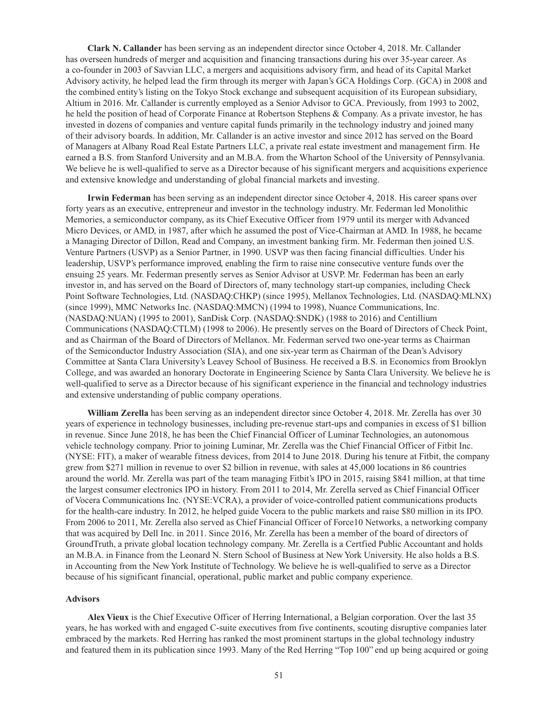**Clark N. Callander** has been serving as an independent director since October 4, 2018. Mr. Callander has overseen hundreds of merger and acquisition and financing transactions during his over 35-year career. As a co-founder in 2003 of Savvian LLC, a mergers and acquisitions advisory firm, and head of its Capital Market Advisory activity, he helped lead the firm through its merger with Japan's GCA Holdings Corp. (GCA) in 2008 and the combined entity's listing on the Tokyo Stock exchange and subsequent acquisition of its European subsidiary, Altium in 2016. Mr. Callander is currently employed as a Senior Advisor to GCA. Previously, from 1993 to 2002, he held the position of head of Corporate Finance at Robertson Stephens & Company. As a private investor, he has invested in dozens of companies and venture capital funds primarily in the technology industry and joined many of their advisory boards. In addition, Mr. Callander is an active investor and since 2012 has served on the Board of Managers at Albany Road Real Estate Partners LLC, a private real estate investment and management firm. He earned a B.S. from Stanford University and an M.B.A. from the Wharton School of the University of Pennsylvania. We believe he is well-qualified to serve as a Director because of his significant mergers and acquisitions experience and extensive knowledge and understanding of global financial markets and investing.

**Irwin Federman** has been serving as an independent director since October 4, 2018. His career spans over forty years as an executive, entrepreneur and investor in the technology industry. Mr. Federman led Monolithic Memories, a semiconductor company, as its Chief Executive Officer from 1979 until its merger with Advanced Micro Devices, or AMD, in 1987, after which he assumed the post of Vice-Chairman at AMD. In 1988, he became a Managing Director of Dillon, Read and Company, an investment banking firm. Mr. Federman then joined U.S. Venture Partners (USVP) as a Senior Partner, in 1990. USVP was then facing financial difficulties. Under his leadership, USVP's performance improved, enabling the firm to raise nine consecutive venture funds over the ensuing 25 years. Mr. Federman presently serves as Senior Advisor at USVP. Mr. Federman has been an early investor in, and has served on the Board of Directors of, many technology start-up companies, including Check Point Software Technologies, Ltd. (NASDAQ:CHKP) (since 1995), Mellanox Technologies, Ltd. (NASDAQ:MLNX) (since 1999), MMC Networks Inc. (NASDAQ:MMCN) (1994 to 1998), Nuance Communications, Inc. (NASDAQ:NUAN) (1995 to 2001), SanDisk Corp. (NASDAQ:SNDK) (1988 to 2016) and Centillium Communications (NASDAQ:CTLM) (1998 to 2006). He presently serves on the Board of Directors of Check Point, and as Chairman of the Board of Directors of Mellanox. Mr. Federman served two one-year terms as Chairman of the Semiconductor Industry Association (SIA), and one six-year term as Chairman of the Dean's Advisory Committee at Santa Clara University's Leavey School of Business. He received a B.S. in Economics from Brooklyn College, and was awarded an honorary Doctorate in Engineering Science by Santa Clara University. We believe he is well-qualified to serve as a Director because of his significant experience in the financial and technology industries and extensive understanding of public company operations.

**William Zerella** has been serving as an independent director since October 4, 2018. Mr. Zerella has over 30 years of experience in technology businesses, including pre-revenue start-ups and companies in excess of \$1 billion in revenue. Since June 2018, he has been the Chief Financial Officer of Luminar Technologies, an autonomous vehicle technology company. Prior to joining Luminar, Mr. Zerella was the Chief Financial Officer of Fitbit Inc. (NYSE: FIT), a maker of wearable fitness devices, from 2014 to June 2018. During his tenure at Fitbit, the company grew from \$271 million in revenue to over \$2 billion in revenue, with sales at 45,000 locations in 86 countries around the world. Mr. Zerella was part of the team managing Fitbit's IPO in 2015, raising \$841 million, at that time the largest consumer electronics IPO in history. From 2011 to 2014, Mr. Zerella served as Chief Financial Officer of Vocera Communications Inc. (NYSE:VCRA), a provider of voice-controlled patient communications products for the health-care industry. In 2012, he helped guide Vocera to the public markets and raise \$80 million in its IPO. From 2006 to 2011, Mr. Zerella also served as Chief Financial Officer of Force10 Networks, a networking company that was acquired by Dell Inc. in 2011. Since 2016, Mr. Zerella has been a member of the board of directors of GroundTruth, a private global location technology company. Mr. Zerella is a Certfied Public Accountant and holds an M.B.A. in Finance from the Leonard N. Stern School of Business at New York University. He also holds a B.S. in Accounting from the New York Institute of Technology. We believe he is well-qualified to serve as a Director because of his significant financial, operational, public market and public company experience.

#### **Advisors**

**Alex Vieux** is the Chief Executive Officer of Herring International, a Belgian corporation. Over the last 35 years, he has worked with and engaged C-suite executives from five continents, scouting disruptive companies later embraced by the markets. Red Herring has ranked the most prominent startups in the global technology industry and featured them in its publication since 1993. Many of the Red Herring "Top 100" end up being acquired or going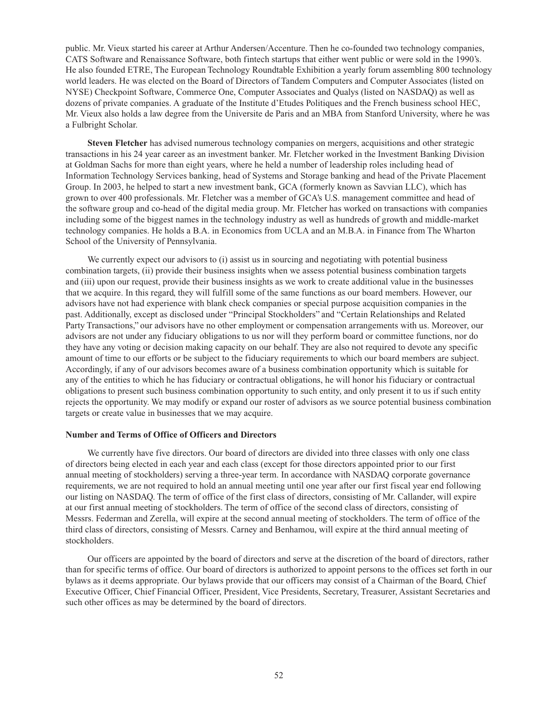public. Mr. Vieux started his career at Arthur Andersen/Accenture. Then he co-founded two technology companies, CATS Software and Renaissance Software, both fintech startups that either went public or were sold in the 1990's. He also founded ETRE, The European Technology Roundtable Exhibition a yearly forum assembling 800 technology world leaders. He was elected on the Board of Directors of Tandem Computers and Computer Associates (listed on NYSE) Checkpoint Software, Commerce One, Computer Associates and Qualys (listed on NASDAQ) as well as dozens of private companies. A graduate of the Institute d'Etudes Politiques and the French business school HEC, Mr. Vieux also holds a law degree from the Universite de Paris and an MBA from Stanford University, where he was a Fulbright Scholar.

**Steven Fletcher** has advised numerous technology companies on mergers, acquisitions and other strategic transactions in his 24 year career as an investment banker. Mr. Fletcher worked in the Investment Banking Division at Goldman Sachs for more than eight years, where he held a number of leadership roles including head of Information Technology Services banking, head of Systems and Storage banking and head of the Private Placement Group. In 2003, he helped to start a new investment bank, GCA (formerly known as Savvian LLC), which has grown to over 400 professionals. Mr. Fletcher was a member of GCA's U.S. management committee and head of the software group and co-head of the digital media group. Mr. Fletcher has worked on transactions with companies including some of the biggest names in the technology industry as well as hundreds of growth and middle-market technology companies. He holds a B.A. in Economics from UCLA and an M.B.A. in Finance from The Wharton School of the University of Pennsylvania.

We currently expect our advisors to (i) assist us in sourcing and negotiating with potential business combination targets, (ii) provide their business insights when we assess potential business combination targets and (iii) upon our request, provide their business insights as we work to create additional value in the businesses that we acquire. In this regard, they will fulfill some of the same functions as our board members. However, our advisors have not had experience with blank check companies or special purpose acquisition companies in the past. Additionally, except as disclosed under "Principal Stockholders" and "Certain Relationships and Related Party Transactions," our advisors have no other employment or compensation arrangements with us. Moreover, our advisors are not under any fiduciary obligations to us nor will they perform board or committee functions, nor do they have any voting or decision making capacity on our behalf. They are also not required to devote any specific amount of time to our efforts or be subject to the fiduciary requirements to which our board members are subject. Accordingly, if any of our advisors becomes aware of a business combination opportunity which is suitable for any of the entities to which he has fiduciary or contractual obligations, he will honor his fiduciary or contractual obligations to present such business combination opportunity to such entity, and only present it to us if such entity rejects the opportunity. We may modify or expand our roster of advisors as we source potential business combination targets or create value in businesses that we may acquire.

#### **Number and Terms of Office of Officers and Directors**

We currently have five directors. Our board of directors are divided into three classes with only one class of directors being elected in each year and each class (except for those directors appointed prior to our first annual meeting of stockholders) serving a three-year term. In accordance with NASDAQ corporate governance requirements, we are not required to hold an annual meeting until one year after our first fiscal year end following our listing on NASDAQ. The term of office of the first class of directors, consisting of Mr. Callander, will expire at our first annual meeting of stockholders. The term of office of the second class of directors, consisting of Messrs. Federman and Zerella, will expire at the second annual meeting of stockholders. The term of office of the third class of directors, consisting of Messrs. Carney and Benhamou, will expire at the third annual meeting of stockholders.

Our officers are appointed by the board of directors and serve at the discretion of the board of directors, rather than for specific terms of office. Our board of directors is authorized to appoint persons to the offices set forth in our bylaws as it deems appropriate. Our bylaws provide that our officers may consist of a Chairman of the Board, Chief Executive Officer, Chief Financial Officer, President, Vice Presidents, Secretary, Treasurer, Assistant Secretaries and such other offices as may be determined by the board of directors.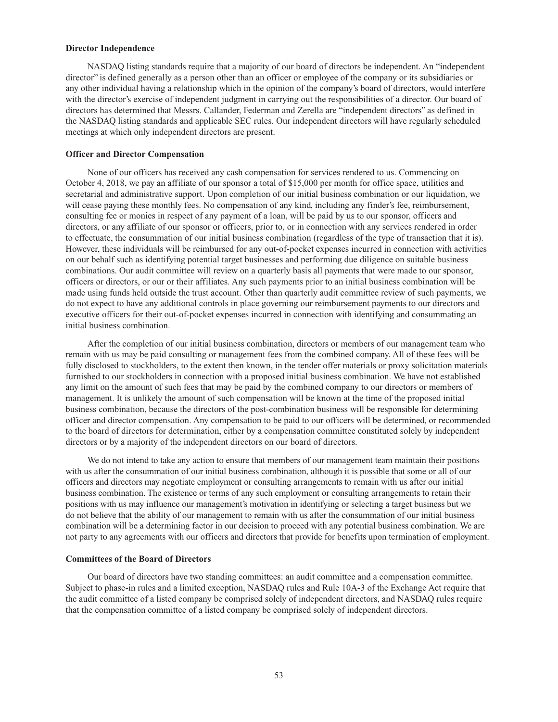#### **Director Independence**

NASDAQ listing standards require that a majority of our board of directors be independent. An "independent director" is defined generally as a person other than an officer or employee of the company or its subsidiaries or any other individual having a relationship which in the opinion of the company's board of directors, would interfere with the director's exercise of independent judgment in carrying out the responsibilities of a director. Our board of directors has determined that Messrs. Callander, Federman and Zerella are "independent directors" as defined in the NASDAQ listing standards and applicable SEC rules. Our independent directors will have regularly scheduled meetings at which only independent directors are present.

#### **Officer and Director Compensation**

None of our officers has received any cash compensation for services rendered to us. Commencing on October 4, 2018, we pay an affiliate of our sponsor a total of \$15,000 per month for office space, utilities and secretarial and administrative support. Upon completion of our initial business combination or our liquidation, we will cease paying these monthly fees. No compensation of any kind, including any finder's fee, reimbursement, consulting fee or monies in respect of any payment of a loan, will be paid by us to our sponsor, officers and directors, or any affiliate of our sponsor or officers, prior to, or in connection with any services rendered in order to effectuate, the consummation of our initial business combination (regardless of the type of transaction that it is). However, these individuals will be reimbursed for any out-of-pocket expenses incurred in connection with activities on our behalf such as identifying potential target businesses and performing due diligence on suitable business combinations. Our audit committee will review on a quarterly basis all payments that were made to our sponsor, officers or directors, or our or their affiliates. Any such payments prior to an initial business combination will be made using funds held outside the trust account. Other than quarterly audit committee review of such payments, we do not expect to have any additional controls in place governing our reimbursement payments to our directors and executive officers for their out-of-pocket expenses incurred in connection with identifying and consummating an initial business combination.

After the completion of our initial business combination, directors or members of our management team who remain with us may be paid consulting or management fees from the combined company. All of these fees will be fully disclosed to stockholders, to the extent then known, in the tender offer materials or proxy solicitation materials furnished to our stockholders in connection with a proposed initial business combination. We have not established any limit on the amount of such fees that may be paid by the combined company to our directors or members of management. It is unlikely the amount of such compensation will be known at the time of the proposed initial business combination, because the directors of the post-combination business will be responsible for determining officer and director compensation. Any compensation to be paid to our officers will be determined, or recommended to the board of directors for determination, either by a compensation committee constituted solely by independent directors or by a majority of the independent directors on our board of directors.

We do not intend to take any action to ensure that members of our management team maintain their positions with us after the consummation of our initial business combination, although it is possible that some or all of our officers and directors may negotiate employment or consulting arrangements to remain with us after our initial business combination. The existence or terms of any such employment or consulting arrangements to retain their positions with us may influence our management's motivation in identifying or selecting a target business but we do not believe that the ability of our management to remain with us after the consummation of our initial business combination will be a determining factor in our decision to proceed with any potential business combination. We are not party to any agreements with our officers and directors that provide for benefits upon termination of employment.

### **Committees of the Board of Directors**

Our board of directors have two standing committees: an audit committee and a compensation committee. Subject to phase-in rules and a limited exception, NASDAQ rules and Rule 10A-3 of the Exchange Act require that the audit committee of a listed company be comprised solely of independent directors, and NASDAQ rules require that the compensation committee of a listed company be comprised solely of independent directors.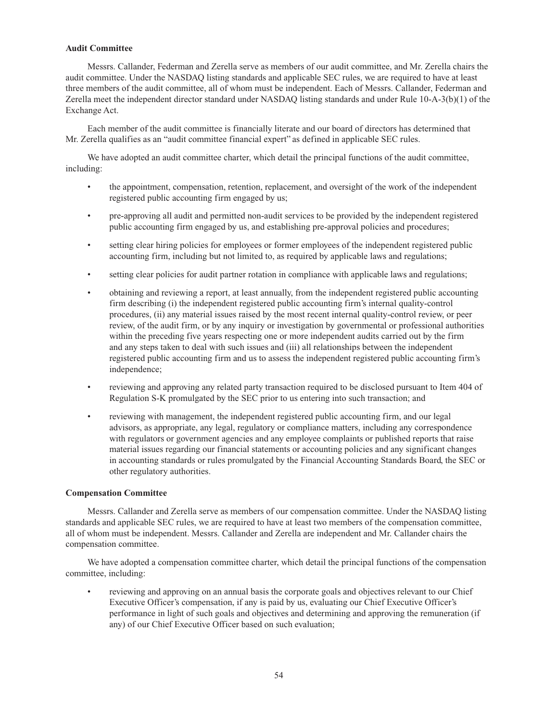### **Audit Committee**

Messrs. Callander, Federman and Zerella serve as members of our audit committee, and Mr. Zerella chairs the audit committee. Under the NASDAQ listing standards and applicable SEC rules, we are required to have at least three members of the audit committee, all of whom must be independent. Each of Messrs. Callander, Federman and Zerella meet the independent director standard under NASDAQ listing standards and under Rule 10-A-3(b)(1) of the Exchange Act.

Each member of the audit committee is financially literate and our board of directors has determined that Mr. Zerella qualifies as an "audit committee financial expert" as defined in applicable SEC rules.

We have adopted an audit committee charter, which detail the principal functions of the audit committee, including:

- the appointment, compensation, retention, replacement, and oversight of the work of the independent registered public accounting firm engaged by us;
- pre-approving all audit and permitted non-audit services to be provided by the independent registered public accounting firm engaged by us, and establishing pre-approval policies and procedures;
- setting clear hiring policies for employees or former employees of the independent registered public accounting firm, including but not limited to, as required by applicable laws and regulations;
- setting clear policies for audit partner rotation in compliance with applicable laws and regulations;
- obtaining and reviewing a report, at least annually, from the independent registered public accounting firm describing (i) the independent registered public accounting firm's internal quality-control procedures, (ii) any material issues raised by the most recent internal quality-control review, or peer review, of the audit firm, or by any inquiry or investigation by governmental or professional authorities within the preceding five years respecting one or more independent audits carried out by the firm and any steps taken to deal with such issues and (iii) all relationships between the independent registered public accounting firm and us to assess the independent registered public accounting firm's independence;
- reviewing and approving any related party transaction required to be disclosed pursuant to Item 404 of Regulation S-K promulgated by the SEC prior to us entering into such transaction; and
- reviewing with management, the independent registered public accounting firm, and our legal advisors, as appropriate, any legal, regulatory or compliance matters, including any correspondence with regulators or government agencies and any employee complaints or published reports that raise material issues regarding our financial statements or accounting policies and any significant changes in accounting standards or rules promulgated by the Financial Accounting Standards Board, the SEC or other regulatory authorities.

### **Compensation Committee**

Messrs. Callander and Zerella serve as members of our compensation committee. Under the NASDAQ listing standards and applicable SEC rules, we are required to have at least two members of the compensation committee, all of whom must be independent. Messrs. Callander and Zerella are independent and Mr. Callander chairs the compensation committee.

We have adopted a compensation committee charter, which detail the principal functions of the compensation committee, including:

reviewing and approving on an annual basis the corporate goals and objectives relevant to our Chief Executive Officer's compensation, if any is paid by us, evaluating our Chief Executive Officer's performance in light of such goals and objectives and determining and approving the remuneration (if any) of our Chief Executive Officer based on such evaluation;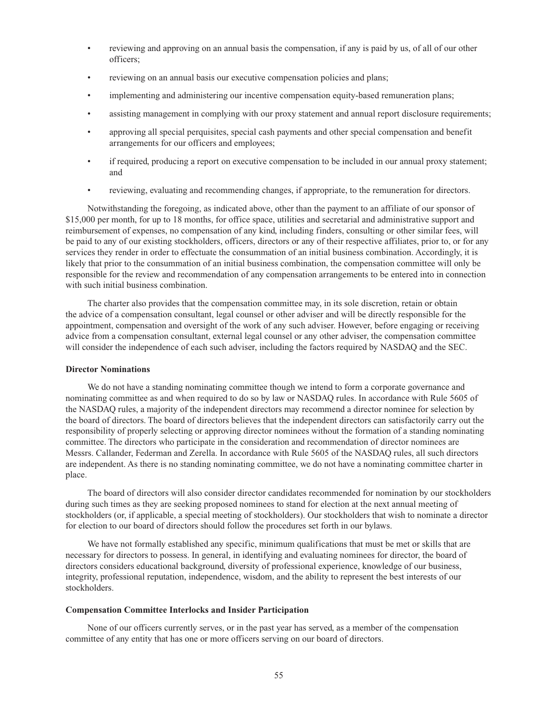- reviewing and approving on an annual basis the compensation, if any is paid by us, of all of our other officers;
- reviewing on an annual basis our executive compensation policies and plans;
- implementing and administering our incentive compensation equity-based remuneration plans;
- assisting management in complying with our proxy statement and annual report disclosure requirements;
- approving all special perquisites, special cash payments and other special compensation and benefit arrangements for our officers and employees;
- if required, producing a report on executive compensation to be included in our annual proxy statement; and
- reviewing, evaluating and recommending changes, if appropriate, to the remuneration for directors.

Notwithstanding the foregoing, as indicated above, other than the payment to an affiliate of our sponsor of \$15,000 per month, for up to 18 months, for office space, utilities and secretarial and administrative support and reimbursement of expenses, no compensation of any kind, including finders, consulting or other similar fees, will be paid to any of our existing stockholders, officers, directors or any of their respective affiliates, prior to, or for any services they render in order to effectuate the consummation of an initial business combination. Accordingly, it is likely that prior to the consummation of an initial business combination, the compensation committee will only be responsible for the review and recommendation of any compensation arrangements to be entered into in connection with such initial business combination.

The charter also provides that the compensation committee may, in its sole discretion, retain or obtain the advice of a compensation consultant, legal counsel or other adviser and will be directly responsible for the appointment, compensation and oversight of the work of any such adviser. However, before engaging or receiving advice from a compensation consultant, external legal counsel or any other adviser, the compensation committee will consider the independence of each such adviser, including the factors required by NASDAQ and the SEC.

#### **Director Nominations**

We do not have a standing nominating committee though we intend to form a corporate governance and nominating committee as and when required to do so by law or NASDAQ rules. In accordance with Rule 5605 of the NASDAQ rules, a majority of the independent directors may recommend a director nominee for selection by the board of directors. The board of directors believes that the independent directors can satisfactorily carry out the responsibility of properly selecting or approving director nominees without the formation of a standing nominating committee. The directors who participate in the consideration and recommendation of director nominees are Messrs. Callander, Federman and Zerella. In accordance with Rule 5605 of the NASDAQ rules, all such directors are independent. As there is no standing nominating committee, we do not have a nominating committee charter in place.

The board of directors will also consider director candidates recommended for nomination by our stockholders during such times as they are seeking proposed nominees to stand for election at the next annual meeting of stockholders (or, if applicable, a special meeting of stockholders). Our stockholders that wish to nominate a director for election to our board of directors should follow the procedures set forth in our bylaws.

We have not formally established any specific, minimum qualifications that must be met or skills that are necessary for directors to possess. In general, in identifying and evaluating nominees for director, the board of directors considers educational background, diversity of professional experience, knowledge of our business, integrity, professional reputation, independence, wisdom, and the ability to represent the best interests of our stockholders.

#### **Compensation Committee Interlocks and Insider Participation**

None of our officers currently serves, or in the past year has served, as a member of the compensation committee of any entity that has one or more officers serving on our board of directors.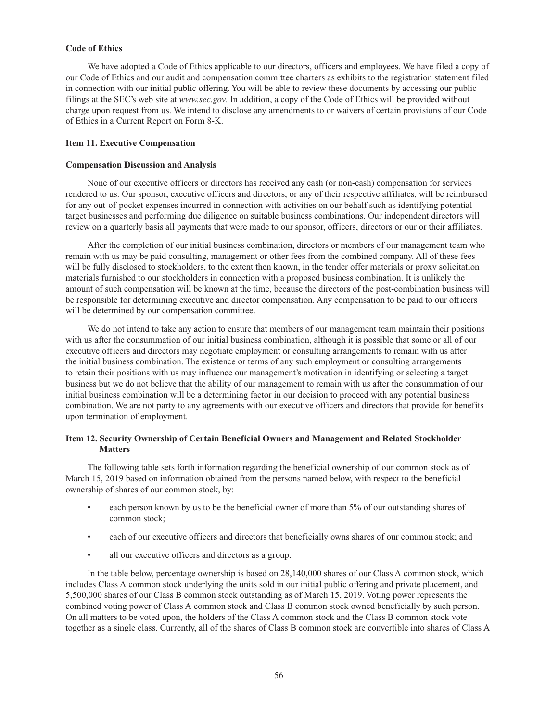### **Code of Ethics**

We have adopted a Code of Ethics applicable to our directors, officers and employees. We have filed a copy of our Code of Ethics and our audit and compensation committee charters as exhibits to the registration statement filed in connection with our initial public offering. You will be able to review these documents by accessing our public filings at the SEC's web site at *www.sec.gov*. In addition, a copy of the Code of Ethics will be provided without charge upon request from us. We intend to disclose any amendments to or waivers of certain provisions of our Code of Ethics in a Current Report on Form 8-K.

#### **Item 11. Executive Compensation**

#### **Compensation Discussion and Analysis**

None of our executive officers or directors has received any cash (or non-cash) compensation for services rendered to us. Our sponsor, executive officers and directors, or any of their respective affiliates, will be reimbursed for any out-of-pocket expenses incurred in connection with activities on our behalf such as identifying potential target businesses and performing due diligence on suitable business combinations. Our independent directors will review on a quarterly basis all payments that were made to our sponsor, officers, directors or our or their affiliates.

After the completion of our initial business combination, directors or members of our management team who remain with us may be paid consulting, management or other fees from the combined company. All of these fees will be fully disclosed to stockholders, to the extent then known, in the tender offer materials or proxy solicitation materials furnished to our stockholders in connection with a proposed business combination. It is unlikely the amount of such compensation will be known at the time, because the directors of the post-combination business will be responsible for determining executive and director compensation. Any compensation to be paid to our officers will be determined by our compensation committee.

We do not intend to take any action to ensure that members of our management team maintain their positions with us after the consummation of our initial business combination, although it is possible that some or all of our executive officers and directors may negotiate employment or consulting arrangements to remain with us after the initial business combination. The existence or terms of any such employment or consulting arrangements to retain their positions with us may influence our management's motivation in identifying or selecting a target business but we do not believe that the ability of our management to remain with us after the consummation of our initial business combination will be a determining factor in our decision to proceed with any potential business combination. We are not party to any agreements with our executive officers and directors that provide for benefits upon termination of employment.

## **Item 12. Security Ownership of Certain Beneficial Owners and Management and Related Stockholder Matters**

The following table sets forth information regarding the beneficial ownership of our common stock as of March 15, 2019 based on information obtained from the persons named below, with respect to the beneficial ownership of shares of our common stock, by:

- each person known by us to be the beneficial owner of more than 5% of our outstanding shares of common stock;
- each of our executive officers and directors that beneficially owns shares of our common stock; and
- all our executive officers and directors as a group.

In the table below, percentage ownership is based on 28,140,000 shares of our Class A common stock, which includes Class A common stock underlying the units sold in our initial public offering and private placement, and 5,500,000 shares of our Class B common stock outstanding as of March 15, 2019. Voting power represents the combined voting power of Class A common stock and Class B common stock owned beneficially by such person. On all matters to be voted upon, the holders of the Class A common stock and the Class B common stock vote together as a single class. Currently, all of the shares of Class B common stock are convertible into shares of Class A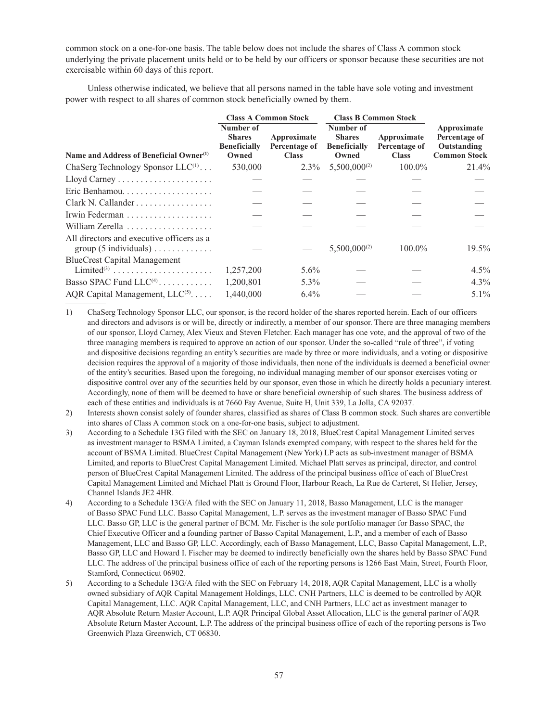common stock on a one-for-one basis. The table below does not include the shares of Class A common stock underlying the private placement units held or to be held by our officers or sponsor because these securities are not exercisable within 60 days of this report.

Unless otherwise indicated, we believe that all persons named in the table have sole voting and investment power with respect to all shares of common stock beneficially owned by them.

|                                                     |                                                            | <b>Class A Common Stock</b>                  | <b>Class B Common Stock</b>                                |                                              |                                                                    |
|-----------------------------------------------------|------------------------------------------------------------|----------------------------------------------|------------------------------------------------------------|----------------------------------------------|--------------------------------------------------------------------|
| Name and Address of Beneficial Owner <sup>(1)</sup> | Number of<br><b>Shares</b><br><b>Beneficially</b><br>Owned | Approximate<br>Percentage of<br><b>Class</b> | Number of<br><b>Shares</b><br><b>Beneficially</b><br>Owned | Approximate<br>Percentage of<br><b>Class</b> | Approximate<br>Percentage of<br>Outstanding<br><b>Common Stock</b> |
| ChaSerg Technology Sponsor $LLC^{(1)}$              | 530,000                                                    | $2.3\%$                                      | $5,500,000^{(2)}$                                          | $100.0\%$                                    | 21.4%                                                              |
|                                                     |                                                            |                                              |                                                            |                                              |                                                                    |
| Eric Benhamou                                       |                                                            |                                              |                                                            |                                              |                                                                    |
| Clark N. Callander                                  |                                                            |                                              |                                                            |                                              |                                                                    |
|                                                     |                                                            |                                              |                                                            |                                              |                                                                    |
| William Zerella                                     |                                                            |                                              |                                                            |                                              |                                                                    |
| All directors and executive officers as a           |                                                            |                                              | $5,500,000^{(2)}$                                          | $100.0\%$                                    | 19.5%                                                              |
| <b>BlueCrest Capital Management</b>                 |                                                            |                                              |                                                            |                                              |                                                                    |
| Limited <sup>(3)</sup>                              | 1,257,200                                                  | $5.6\%$                                      |                                                            |                                              | $4.5\%$                                                            |
| Basso SPAC Fund $LLC(4)$                            | 1,200,801                                                  | $5.3\%$                                      |                                                            |                                              | $4.3\%$                                                            |
| AQR Capital Management, $LLC^{(5)}$                 | 1.440.000                                                  | $6.4\%$                                      |                                                            |                                              | $5.1\%$                                                            |

1) ChaSerg Technology Sponsor LLC, our sponsor, is the record holder of the shares reported herein. Each of our officers and directors and advisors is or will be, directly or indirectly, a member of our sponsor. There are three managing members of our sponsor, Lloyd Carney, Alex Vieux and Steven Fletcher. Each manager has one vote, and the approval of two of the three managing members is required to approve an action of our sponsor. Under the so-called "rule of three", if voting and dispositive decisions regarding an entity's securities are made by three or more individuals, and a voting or dispositive decision requires the approval of a majority of those individuals, then none of the individuals is deemed a beneficial owner of the entity's securities. Based upon the foregoing, no individual managing member of our sponsor exercises voting or dispositive control over any of the securities held by our sponsor, even those in which he directly holds a pecuniary interest. Accordingly, none of them will be deemed to have or share beneficial ownership of such shares. The business address of each of these entities and individuals is at 7660 Fay Avenue, Suite H, Unit 339, La Jolla, CA 92037.

- 2) Interests shown consist solely of founder shares, classified as shares of Class B common stock. Such shares are convertible into shares of Class A common stock on a one-for-one basis, subject to adjustment.
- 3) According to a Schedule 13G filed with the SEC on January 18, 2018, BlueCrest Capital Management Limited serves as investment manager to BSMA Limited, a Cayman Islands exempted company, with respect to the shares held for the account of BSMA Limited. BlueCrest Capital Management (New York) LP acts as sub-investment manager of BSMA Limited, and reports to BlueCrest Capital Management Limited. Michael Platt serves as principal, director, and control person of BlueCrest Capital Management Limited. The address of the principal business office of each of BlueCrest Capital Management Limited and Michael Platt is Ground Floor, Harbour Reach, La Rue de Carteret, St Helier, Jersey, Channel Islands JE2 4HR.
- 4) According to a Schedule 13G/A filed with the SEC on January 11, 2018, Basso Management, LLC is the manager of Basso SPAC Fund LLC. Basso Capital Management, L.P. serves as the investment manager of Basso SPAC Fund LLC. Basso GP, LLC is the general partner of BCM. Mr. Fischer is the sole portfolio manager for Basso SPAC, the Chief Executive Officer and a founding partner of Basso Capital Management, L.P., and a member of each of Basso Management, LLC and Basso GP, LLC. Accordingly, each of Basso Management, LLC, Basso Capital Management, L.P., Basso GP, LLC and Howard I. Fischer may be deemed to indirectly beneficially own the shares held by Basso SPAC Fund LLC. The address of the principal business office of each of the reporting persons is 1266 East Main, Street, Fourth Floor, Stamford, Connecticut 06902.
- 5) According to a Schedule 13G/A filed with the SEC on February 14, 2018, AQR Capital Management, LLC is a wholly owned subsidiary of AQR Capital Management Holdings, LLC. CNH Partners, LLC is deemed to be controlled by AQR Capital Management, LLC. AQR Capital Management, LLC, and CNH Partners, LLC act as investment manager to AQR Absolute Return Master Account, L.P. AQR Principal Global Asset Allocation, LLC is the general partner of AQR Absolute Return Master Account, L.P. The address of the principal business office of each of the reporting persons is Two Greenwich Plaza Greenwich, CT 06830.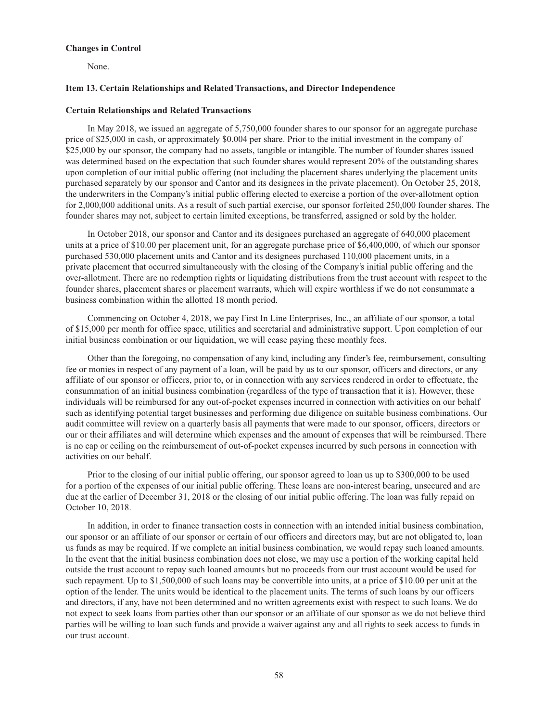#### **Changes in Control**

None.

#### **Item 13. Certain Relationships and Related Transactions, and Director Independence**

#### **Certain Relationships and Related Transactions**

In May 2018, we issued an aggregate of 5,750,000 founder shares to our sponsor for an aggregate purchase price of \$25,000 in cash, or approximately \$0.004 per share. Prior to the initial investment in the company of \$25,000 by our sponsor, the company had no assets, tangible or intangible. The number of founder shares issued was determined based on the expectation that such founder shares would represent 20% of the outstanding shares upon completion of our initial public offering (not including the placement shares underlying the placement units purchased separately by our sponsor and Cantor and its designees in the private placement). On October 25, 2018, the underwriters in the Company's initial public offering elected to exercise a portion of the over-allotment option for 2,000,000 additional units. As a result of such partial exercise, our sponsor forfeited 250,000 founder shares. The founder shares may not, subject to certain limited exceptions, be transferred, assigned or sold by the holder.

In October 2018, our sponsor and Cantor and its designees purchased an aggregate of 640,000 placement units at a price of \$10.00 per placement unit, for an aggregate purchase price of \$6,400,000, of which our sponsor purchased 530,000 placement units and Cantor and its designees purchased 110,000 placement units, in a private placement that occurred simultaneously with the closing of the Company's initial public offering and the over-allotment. There are no redemption rights or liquidating distributions from the trust account with respect to the founder shares, placement shares or placement warrants, which will expire worthless if we do not consummate a business combination within the allotted 18 month period.

Commencing on October 4, 2018, we pay First In Line Enterprises, Inc., an affiliate of our sponsor, a total of \$15,000 per month for office space, utilities and secretarial and administrative support. Upon completion of our initial business combination or our liquidation, we will cease paying these monthly fees.

Other than the foregoing, no compensation of any kind, including any finder's fee, reimbursement, consulting fee or monies in respect of any payment of a loan, will be paid by us to our sponsor, officers and directors, or any affiliate of our sponsor or officers, prior to, or in connection with any services rendered in order to effectuate, the consummation of an initial business combination (regardless of the type of transaction that it is). However, these individuals will be reimbursed for any out-of-pocket expenses incurred in connection with activities on our behalf such as identifying potential target businesses and performing due diligence on suitable business combinations. Our audit committee will review on a quarterly basis all payments that were made to our sponsor, officers, directors or our or their affiliates and will determine which expenses and the amount of expenses that will be reimbursed. There is no cap or ceiling on the reimbursement of out-of-pocket expenses incurred by such persons in connection with activities on our behalf.

Prior to the closing of our initial public offering, our sponsor agreed to loan us up to \$300,000 to be used for a portion of the expenses of our initial public offering. These loans are non-interest bearing, unsecured and are due at the earlier of December 31, 2018 or the closing of our initial public offering. The loan was fully repaid on October 10, 2018.

In addition, in order to finance transaction costs in connection with an intended initial business combination, our sponsor or an affiliate of our sponsor or certain of our officers and directors may, but are not obligated to, loan us funds as may be required. If we complete an initial business combination, we would repay such loaned amounts. In the event that the initial business combination does not close, we may use a portion of the working capital held outside the trust account to repay such loaned amounts but no proceeds from our trust account would be used for such repayment. Up to \$1,500,000 of such loans may be convertible into units, at a price of \$10.00 per unit at the option of the lender. The units would be identical to the placement units. The terms of such loans by our officers and directors, if any, have not been determined and no written agreements exist with respect to such loans. We do not expect to seek loans from parties other than our sponsor or an affiliate of our sponsor as we do not believe third parties will be willing to loan such funds and provide a waiver against any and all rights to seek access to funds in our trust account.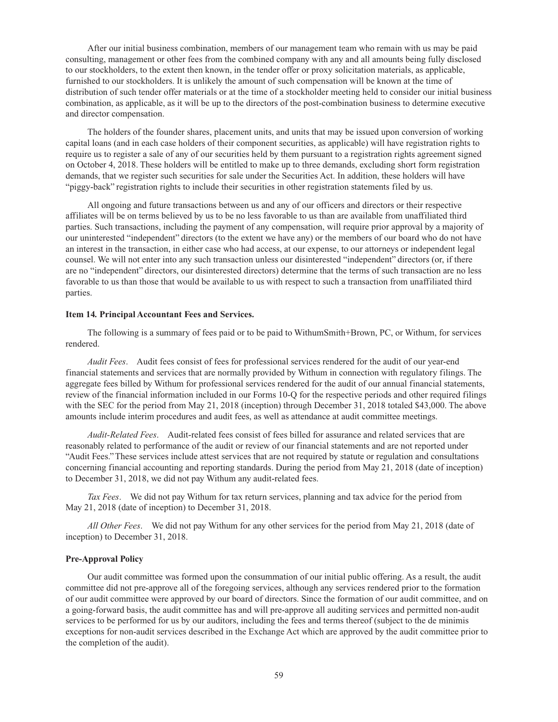After our initial business combination, members of our management team who remain with us may be paid consulting, management or other fees from the combined company with any and all amounts being fully disclosed to our stockholders, to the extent then known, in the tender offer or proxy solicitation materials, as applicable, furnished to our stockholders. It is unlikely the amount of such compensation will be known at the time of distribution of such tender offer materials or at the time of a stockholder meeting held to consider our initial business combination, as applicable, as it will be up to the directors of the post-combination business to determine executive and director compensation.

The holders of the founder shares, placement units, and units that may be issued upon conversion of working capital loans (and in each case holders of their component securities, as applicable) will have registration rights to require us to register a sale of any of our securities held by them pursuant to a registration rights agreement signed on October 4, 2018. These holders will be entitled to make up to three demands, excluding short form registration demands, that we register such securities for sale under the Securities Act. In addition, these holders will have "piggy-back" registration rights to include their securities in other registration statements filed by us.

All ongoing and future transactions between us and any of our officers and directors or their respective affiliates will be on terms believed by us to be no less favorable to us than are available from unaffiliated third parties. Such transactions, including the payment of any compensation, will require prior approval by a majority of our uninterested "independent" directors (to the extent we have any) or the members of our board who do not have an interest in the transaction, in either case who had access, at our expense, to our attorneys or independent legal counsel. We will not enter into any such transaction unless our disinterested "independent" directors (or, if there are no "independent" directors, our disinterested directors) determine that the terms of such transaction are no less favorable to us than those that would be available to us with respect to such a transaction from unaffiliated third parties.

#### **Item 14***.* **Principal Accountant Fees and Services.**

The following is a summary of fees paid or to be paid to WithumSmith+Brown, PC, or Withum, for services rendered.

*Audit Fees*. Audit fees consist of fees for professional services rendered for the audit of our year-end financial statements and services that are normally provided by Withum in connection with regulatory filings. The aggregate fees billed by Withum for professional services rendered for the audit of our annual financial statements, review of the financial information included in our Forms 10-Q for the respective periods and other required filings with the SEC for the period from May 21, 2018 (inception) through December 31, 2018 totaled \$43,000. The above amounts include interim procedures and audit fees, as well as attendance at audit committee meetings.

*Audit-Related Fees*. Audit-related fees consist of fees billed for assurance and related services that are reasonably related to performance of the audit or review of our financial statements and are not reported under "Audit Fees." These services include attest services that are not required by statute or regulation and consultations concerning financial accounting and reporting standards. During the period from May 21, 2018 (date of inception) to December 31, 2018, we did not pay Withum any audit-related fees.

*Tax Fees*. We did not pay Withum for tax return services, planning and tax advice for the period from May 21, 2018 (date of inception) to December 31, 2018.

*All Other Fees*. We did not pay Withum for any other services for the period from May 21, 2018 (date of inception) to December 31, 2018.

### **Pre-Approval Policy**

Our audit committee was formed upon the consummation of our initial public offering. As a result, the audit committee did not pre-approve all of the foregoing services, although any services rendered prior to the formation of our audit committee were approved by our board of directors. Since the formation of our audit committee, and on a going-forward basis, the audit committee has and will pre-approve all auditing services and permitted non-audit services to be performed for us by our auditors, including the fees and terms thereof (subject to the de minimis exceptions for non-audit services described in the Exchange Act which are approved by the audit committee prior to the completion of the audit).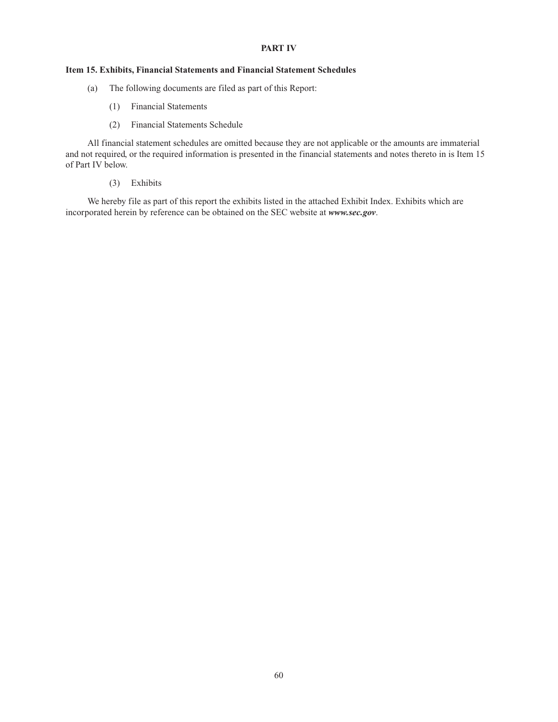### **PART IV**

## **Item 15. Exhibits, Financial Statements and Financial Statement Schedules**

- (a) The following documents are filed as part of this Report:
	- (1) Financial Statements
	- (2) Financial Statements Schedule

All financial statement schedules are omitted because they are not applicable or the amounts are immaterial and not required, or the required information is presented in the financial statements and notes thereto in is Item 15 of Part IV below.

(3) Exhibits

We hereby file as part of this report the exhibits listed in the attached Exhibit Index. Exhibits which are incorporated herein by reference can be obtained on the SEC website at *www.sec.gov*.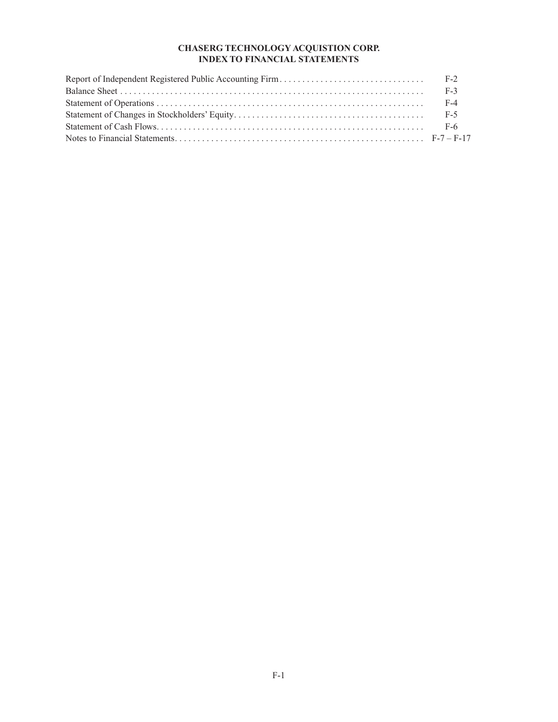## **CHASERG TECHNOLOGY ACQUISTION CORP. INDEX TO FINANCIAL STATEMENTS**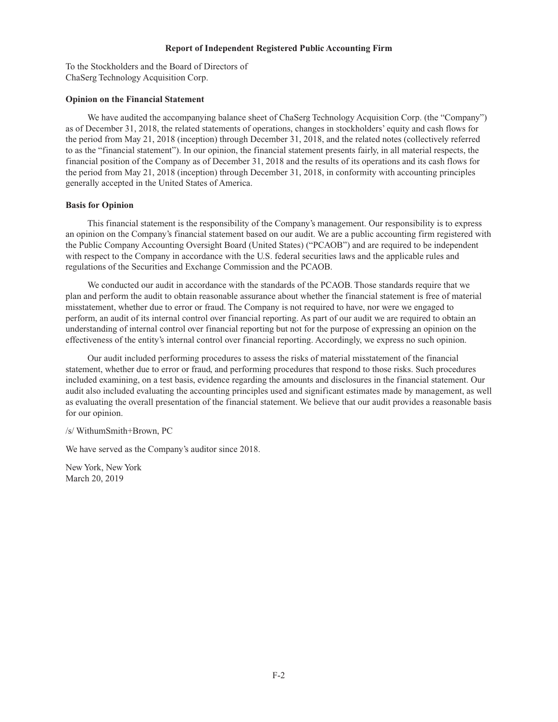#### **Report of Independent Registered Public Accounting Firm**

To the Stockholders and the Board of Directors of ChaSerg Technology Acquisition Corp.

### **Opinion on the Financial Statement**

We have audited the accompanying balance sheet of ChaSerg Technology Acquisition Corp. (the "Company") as of December 31, 2018, the related statements of operations, changes in stockholders' equity and cash flows for the period from May 21, 2018 (inception) through December 31, 2018, and the related notes (collectively referred to as the "financial statement"). In our opinion, the financial statement presents fairly, in all material respects, the financial position of the Company as of December 31, 2018 and the results of its operations and its cash flows for the period from May 21, 2018 (inception) through December 31, 2018, in conformity with accounting principles generally accepted in the United States of America.

### **Basis for Opinion**

This financial statement is the responsibility of the Company's management. Our responsibility is to express an opinion on the Company's financial statement based on our audit. We are a public accounting firm registered with the Public Company Accounting Oversight Board (United States) ("PCAOB") and are required to be independent with respect to the Company in accordance with the U.S. federal securities laws and the applicable rules and regulations of the Securities and Exchange Commission and the PCAOB.

We conducted our audit in accordance with the standards of the PCAOB. Those standards require that we plan and perform the audit to obtain reasonable assurance about whether the financial statement is free of material misstatement, whether due to error or fraud. The Company is not required to have, nor were we engaged to perform, an audit of its internal control over financial reporting. As part of our audit we are required to obtain an understanding of internal control over financial reporting but not for the purpose of expressing an opinion on the effectiveness of the entity's internal control over financial reporting. Accordingly, we express no such opinion.

Our audit included performing procedures to assess the risks of material misstatement of the financial statement, whether due to error or fraud, and performing procedures that respond to those risks. Such procedures included examining, on a test basis, evidence regarding the amounts and disclosures in the financial statement. Our audit also included evaluating the accounting principles used and significant estimates made by management, as well as evaluating the overall presentation of the financial statement. We believe that our audit provides a reasonable basis for our opinion.

/s/ WithumSmith+Brown, PC

We have served as the Company's auditor since 2018.

New York, New York March 20, 2019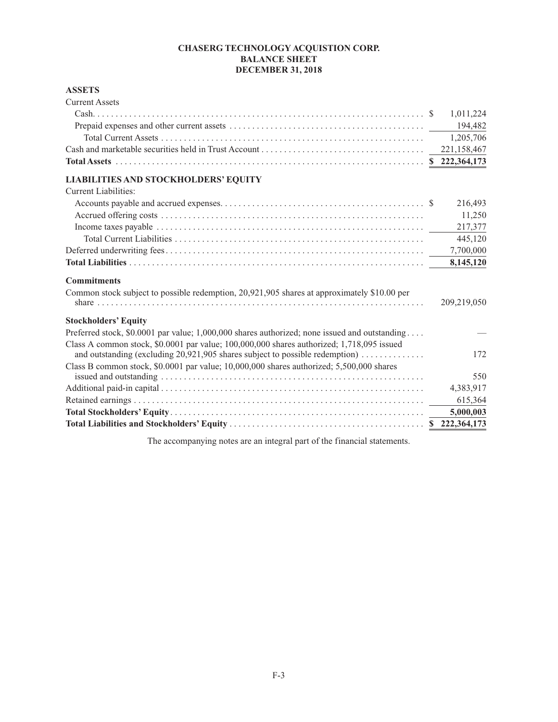# **CHASERG TECHNOLOGY ACQUISTION CORP. BALANCE SHEET DECEMBER 31, 2018**

# **ASSETS**

| <b>Current Assets</b>                                                                                                                                                          |             |
|--------------------------------------------------------------------------------------------------------------------------------------------------------------------------------|-------------|
|                                                                                                                                                                                | 1,011,224   |
|                                                                                                                                                                                | 194,482     |
|                                                                                                                                                                                | 1,205,706   |
|                                                                                                                                                                                | 221,158,467 |
|                                                                                                                                                                                |             |
| <b>LIABILITIES AND STOCKHOLDERS' EQUITY</b>                                                                                                                                    |             |
| Current Liabilities:                                                                                                                                                           |             |
|                                                                                                                                                                                | 216,493     |
|                                                                                                                                                                                | 11,250      |
|                                                                                                                                                                                | 217,377     |
|                                                                                                                                                                                | 445,120     |
|                                                                                                                                                                                | 7,700,000   |
|                                                                                                                                                                                | 8,145,120   |
| <b>Commitments</b>                                                                                                                                                             |             |
| Common stock subject to possible redemption, 20,921,905 shares at approximately \$10.00 per                                                                                    | 209,219,050 |
| <b>Stockholders' Equity</b>                                                                                                                                                    |             |
| Preferred stock, \$0.0001 par value; $1,000,000$ shares authorized; none issued and outstanding                                                                                |             |
| Class A common stock, $$0.0001$ par value; $100,000,000$ shares authorized; 1,718,095 issued<br>and outstanding (excluding $20,921,905$ shares subject to possible redemption) | 172         |
| Class B common stock, \$0.0001 par value; 10,000,000 shares authorized; 5,500,000 shares                                                                                       | 550         |
|                                                                                                                                                                                | 4,383,917   |
|                                                                                                                                                                                | 615,364     |
|                                                                                                                                                                                | 5,000,003   |
|                                                                                                                                                                                |             |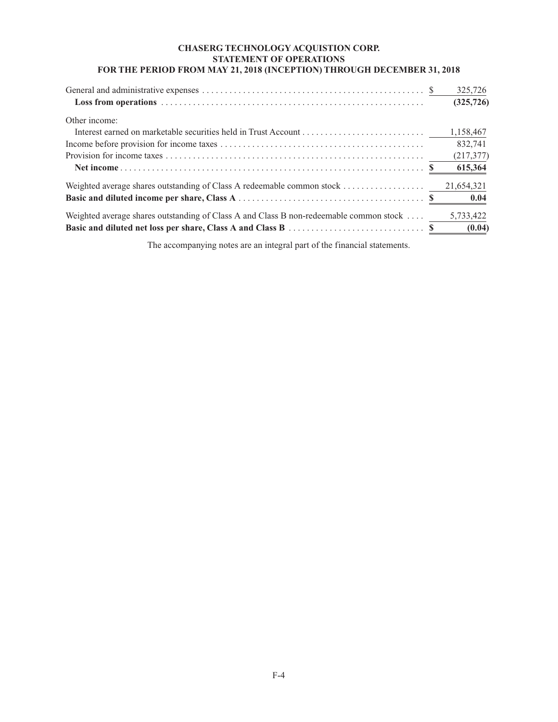# **CHASERG TECHNOLOGY ACQUISTION CORP. STATEMENT OF OPERATIONS FOR THE PERIOD FROM MAY 21, 2018 (INCEPTION) THROUGH DECEMBER 31, 2018**

|                                                                                        | 325,726             |
|----------------------------------------------------------------------------------------|---------------------|
|                                                                                        | (325, 726)          |
| Other income:                                                                          |                     |
|                                                                                        | 1,158,467           |
|                                                                                        | 832,741             |
|                                                                                        | (217, 377)          |
|                                                                                        | 615,364             |
|                                                                                        | 21,654,321          |
| Weighted average shares outstanding of Class A and Class B non-redeemable common stock | 5,733,422<br>(0.04) |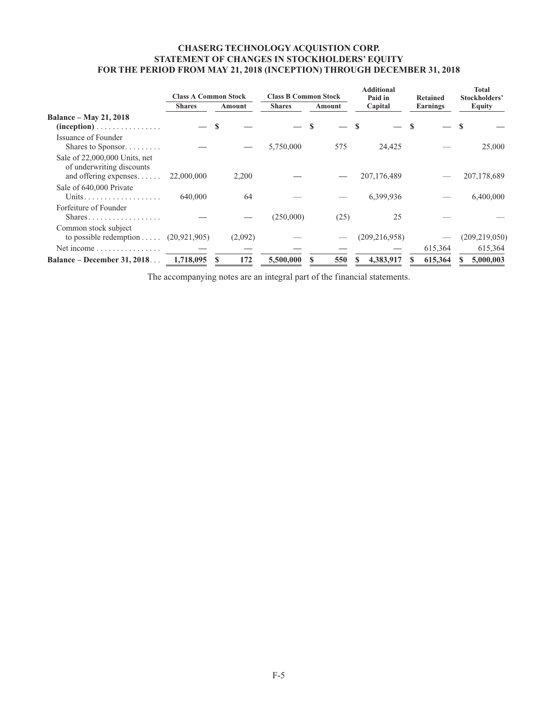# **CHASERG TECHNOLOGY ACQUISTION CORP. STATEMENT OF CHANGES IN STOCKHOLDERS' EQUITY FOR THE PERIOD FROM MAY 21, 2018 (INCEPTION) THROUGH DECEMBER 31, 2018**

|                                                                                     | <b>Class A Common Stock</b> |           | <b>Class B Common Stock</b> |        | <b>Additional</b><br>Paid in | <b>Retained</b> | <b>Total</b><br>Stockholders' |
|-------------------------------------------------------------------------------------|-----------------------------|-----------|-----------------------------|--------|------------------------------|-----------------|-------------------------------|
|                                                                                     | <b>Shares</b>               | Amount    | <b>Shares</b>               | Amount | Capital                      | Earnings        | <b>Equity</b>                 |
| <b>Balance – May 21, 2018</b>                                                       |                             |           |                             |        |                              |                 |                               |
|                                                                                     |                             |           |                             |        |                              |                 |                               |
| Issuance of Founder<br>Shares to Sponsor                                            |                             |           | 5,750,000                   | 575    | 24,425                       |                 | 25,000                        |
| Sale of 22,000,000 Units, net<br>of underwriting discounts<br>and offering expenses | 22,000,000                  | 2,200     |                             |        | 207,176,489                  |                 | 207,178,689                   |
| Sale of 640,000 Private                                                             | 640,000                     | 64        |                             |        | 6,399,936                    |                 | 6,400,000                     |
| Forfeiture of Founder<br>Shares                                                     |                             |           | (250,000)                   | (25)   | 25                           |                 |                               |
| Common stock subject<br>to possible redemption $(20, 921, 905)$                     |                             | (2,092)   |                             |        | (209, 216, 958)              |                 | (209,219,050)                 |
| Net income $\ldots \ldots \ldots \ldots$                                            |                             |           |                             |        |                              | 615,364         | 615,364                       |
| <b>Balance – December 31, 2018</b>                                                  | 1,718,095                   | 172<br>-S | 5,500,000                   | 550    | 4,383,917                    | 615,364         | 5,000,003                     |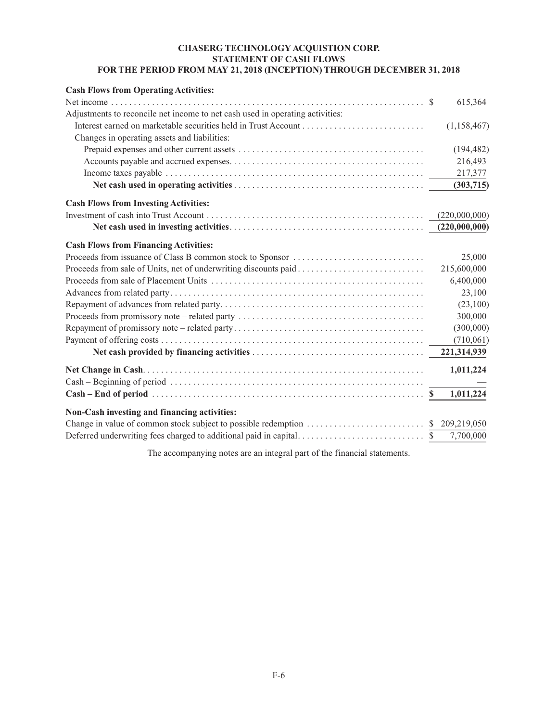# **CHASERG TECHNOLOGY ACQUISTION CORP. STATEMENT OF CASH FLOWS FOR THE PERIOD FROM MAY 21, 2018 (INCEPTION) THROUGH DECEMBER 31, 2018**

| <b>Cash Flows from Operating Activities:</b>                                  |               |
|-------------------------------------------------------------------------------|---------------|
|                                                                               | 615,364       |
| Adjustments to reconcile net income to net cash used in operating activities: |               |
|                                                                               | (1,158,467)   |
| Changes in operating assets and liabilities:                                  |               |
|                                                                               | (194, 482)    |
|                                                                               | 216,493       |
|                                                                               | 217,377       |
|                                                                               | (303,715)     |
| <b>Cash Flows from Investing Activities:</b>                                  |               |
|                                                                               | (220,000,000) |
|                                                                               | (220,000,000) |
| <b>Cash Flows from Financing Activities:</b>                                  |               |
| Proceeds from issuance of Class B common stock to Sponsor                     | 25,000        |
|                                                                               | 215,600,000   |
|                                                                               | 6,400,000     |
|                                                                               | 23,100        |
|                                                                               | (23,100)      |
|                                                                               | 300,000       |
|                                                                               | (300,000)     |
|                                                                               | (710,061)     |
|                                                                               | 221,314,939   |
|                                                                               | 1,011,224     |
|                                                                               |               |
|                                                                               | 1,011,224     |
| Non-Cash investing and financing activities:                                  |               |
|                                                                               | 209,219,050   |
|                                                                               | 7,700,000     |
|                                                                               |               |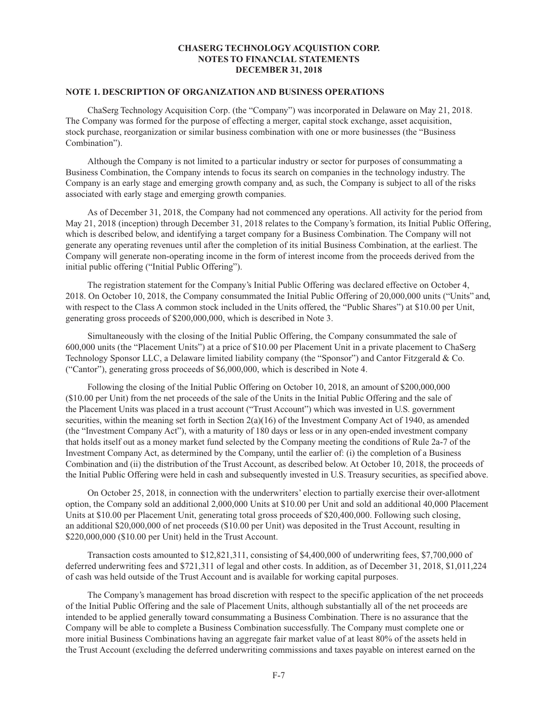### **CHASERG TECHNOLOGY ACQUISTION CORP. NOTES TO FINANCIAL STATEMENTS DECEMBER 31, 2018**

### **NOTE 1. DESCRIPTION OF ORGANIZATION AND BUSINESS OPERATIONS**

ChaSerg Technology Acquisition Corp. (the "Company") was incorporated in Delaware on May 21, 2018. The Company was formed for the purpose of effecting a merger, capital stock exchange, asset acquisition, stock purchase, reorganization or similar business combination with one or more businesses (the "Business Combination").

Although the Company is not limited to a particular industry or sector for purposes of consummating a Business Combination, the Company intends to focus its search on companies in the technology industry. The Company is an early stage and emerging growth company and, as such, the Company is subject to all of the risks associated with early stage and emerging growth companies.

As of December 31, 2018, the Company had not commenced any operations. All activity for the period from May 21, 2018 (inception) through December 31, 2018 relates to the Company's formation, its Initial Public Offering, which is described below, and identifying a target company for a Business Combination. The Company will not generate any operating revenues until after the completion of its initial Business Combination, at the earliest. The Company will generate non-operating income in the form of interest income from the proceeds derived from the initial public offering ("Initial Public Offering").

The registration statement for the Company's Initial Public Offering was declared effective on October 4, 2018. On October 10, 2018, the Company consummated the Initial Public Offering of 20,000,000 units ("Units" and, with respect to the Class A common stock included in the Units offered, the "Public Shares") at \$10.00 per Unit, generating gross proceeds of \$200,000,000, which is described in Note 3.

Simultaneously with the closing of the Initial Public Offering, the Company consummated the sale of 600,000 units (the "Placement Units") at a price of \$10.00 per Placement Unit in a private placement to ChaSerg Technology Sponsor LLC, a Delaware limited liability company (the "Sponsor") and Cantor Fitzgerald & Co. ("Cantor"), generating gross proceeds of \$6,000,000, which is described in Note 4.

Following the closing of the Initial Public Offering on October 10, 2018, an amount of \$200,000,000 (\$10.00 per Unit) from the net proceeds of the sale of the Units in the Initial Public Offering and the sale of the Placement Units was placed in a trust account ("Trust Account") which was invested in U.S. government securities, within the meaning set forth in Section 2(a)(16) of the Investment Company Act of 1940, as amended (the "Investment Company Act"), with a maturity of 180 days or less or in any open-ended investment company that holds itself out as a money market fund selected by the Company meeting the conditions of Rule 2a-7 of the Investment Company Act, as determined by the Company, until the earlier of: (i) the completion of a Business Combination and (ii) the distribution of the Trust Account, as described below. At October 10, 2018, the proceeds of the Initial Public Offering were held in cash and subsequently invested in U.S. Treasury securities, as specified above.

On October 25, 2018, in connection with the underwriters' election to partially exercise their over-allotment option, the Company sold an additional 2,000,000 Units at \$10.00 per Unit and sold an additional 40,000 Placement Units at \$10.00 per Placement Unit, generating total gross proceeds of \$20,400,000. Following such closing, an additional \$20,000,000 of net proceeds (\$10.00 per Unit) was deposited in the Trust Account, resulting in \$220,000,000 (\$10.00 per Unit) held in the Trust Account.

Transaction costs amounted to \$12,821,311, consisting of \$4,400,000 of underwriting fees, \$7,700,000 of deferred underwriting fees and \$721,311 of legal and other costs. In addition, as of December 31, 2018, \$1,011,224 of cash was held outside of the Trust Account and is available for working capital purposes.

The Company's management has broad discretion with respect to the specific application of the net proceeds of the Initial Public Offering and the sale of Placement Units, although substantially all of the net proceeds are intended to be applied generally toward consummating a Business Combination. There is no assurance that the Company will be able to complete a Business Combination successfully. The Company must complete one or more initial Business Combinations having an aggregate fair market value of at least 80% of the assets held in the Trust Account (excluding the deferred underwriting commissions and taxes payable on interest earned on the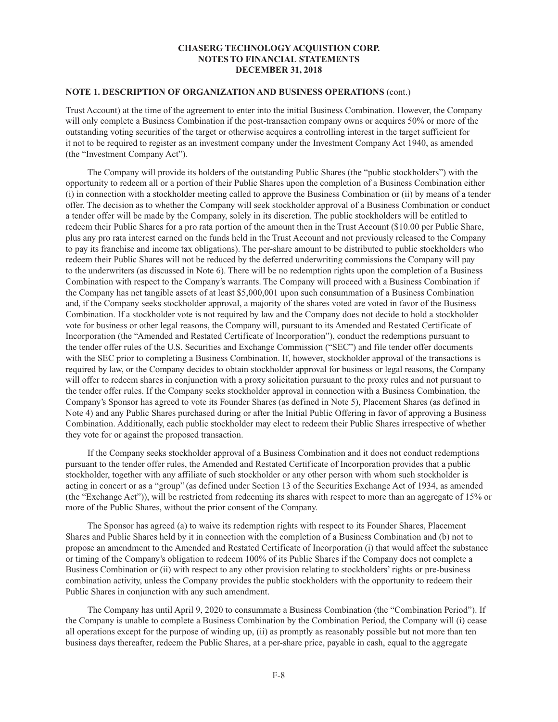### **CHASERG TECHNOLOGY ACQUISTION CORP. NOTES TO FINANCIAL STATEMENTS DECEMBER 31, 2018**

### **NOTE 1. DESCRIPTION OF ORGANIZATION AND BUSINESS OPERATIONS** (cont.)

Trust Account) at the time of the agreement to enter into the initial Business Combination. However, the Company will only complete a Business Combination if the post-transaction company owns or acquires 50% or more of the outstanding voting securities of the target or otherwise acquires a controlling interest in the target sufficient for it not to be required to register as an investment company under the Investment Company Act 1940, as amended (the "Investment Company Act").

The Company will provide its holders of the outstanding Public Shares (the "public stockholders") with the opportunity to redeem all or a portion of their Public Shares upon the completion of a Business Combination either (i) in connection with a stockholder meeting called to approve the Business Combination or (ii) by means of a tender offer. The decision as to whether the Company will seek stockholder approval of a Business Combination or conduct a tender offer will be made by the Company, solely in its discretion. The public stockholders will be entitled to redeem their Public Shares for a pro rata portion of the amount then in the Trust Account (\$10.00 per Public Share, plus any pro rata interest earned on the funds held in the Trust Account and not previously released to the Company to pay its franchise and income tax obligations). The per-share amount to be distributed to public stockholders who redeem their Public Shares will not be reduced by the deferred underwriting commissions the Company will pay to the underwriters (as discussed in Note 6). There will be no redemption rights upon the completion of a Business Combination with respect to the Company's warrants. The Company will proceed with a Business Combination if the Company has net tangible assets of at least \$5,000,001 upon such consummation of a Business Combination and, if the Company seeks stockholder approval, a majority of the shares voted are voted in favor of the Business Combination. If a stockholder vote is not required by law and the Company does not decide to hold a stockholder vote for business or other legal reasons, the Company will, pursuant to its Amended and Restated Certificate of Incorporation (the "Amended and Restated Certificate of Incorporation"), conduct the redemptions pursuant to the tender offer rules of the U.S. Securities and Exchange Commission ("SEC") and file tender offer documents with the SEC prior to completing a Business Combination. If, however, stockholder approval of the transactions is required by law, or the Company decides to obtain stockholder approval for business or legal reasons, the Company will offer to redeem shares in conjunction with a proxy solicitation pursuant to the proxy rules and not pursuant to the tender offer rules. If the Company seeks stockholder approval in connection with a Business Combination, the Company's Sponsor has agreed to vote its Founder Shares (as defined in Note 5), Placement Shares (as defined in Note 4) and any Public Shares purchased during or after the Initial Public Offering in favor of approving a Business Combination. Additionally, each public stockholder may elect to redeem their Public Shares irrespective of whether they vote for or against the proposed transaction.

If the Company seeks stockholder approval of a Business Combination and it does not conduct redemptions pursuant to the tender offer rules, the Amended and Restated Certificate of Incorporation provides that a public stockholder, together with any affiliate of such stockholder or any other person with whom such stockholder is acting in concert or as a "group" (as defined under Section 13 of the Securities Exchange Act of 1934, as amended (the "Exchange Act")), will be restricted from redeeming its shares with respect to more than an aggregate of 15% or more of the Public Shares, without the prior consent of the Company.

The Sponsor has agreed (a) to waive its redemption rights with respect to its Founder Shares, Placement Shares and Public Shares held by it in connection with the completion of a Business Combination and (b) not to propose an amendment to the Amended and Restated Certificate of Incorporation (i) that would affect the substance or timing of the Company's obligation to redeem 100% of its Public Shares if the Company does not complete a Business Combination or (ii) with respect to any other provision relating to stockholders' rights or pre-business combination activity, unless the Company provides the public stockholders with the opportunity to redeem their Public Shares in conjunction with any such amendment.

The Company has until April 9, 2020 to consummate a Business Combination (the "Combination Period"). If the Company is unable to complete a Business Combination by the Combination Period, the Company will (i) cease all operations except for the purpose of winding up, (ii) as promptly as reasonably possible but not more than ten business days thereafter, redeem the Public Shares, at a per-share price, payable in cash, equal to the aggregate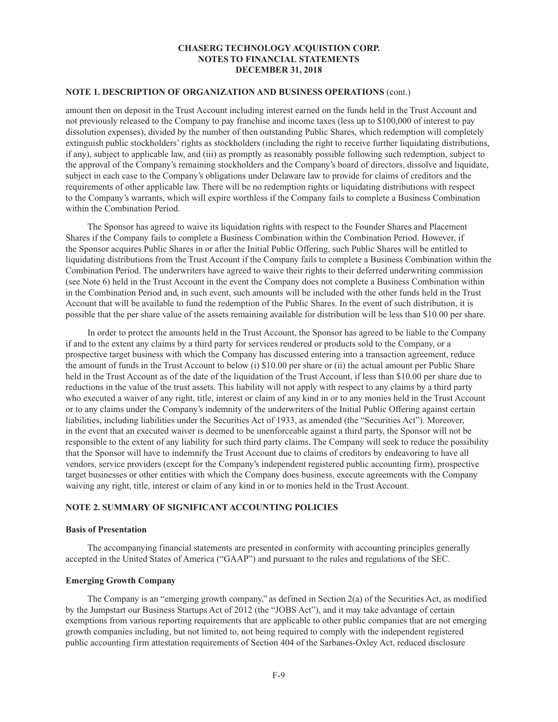## **NOTE 1. DESCRIPTION OF ORGANIZATION AND BUSINESS OPERATIONS** (cont.)

amount then on deposit in the Trust Account including interest earned on the funds held in the Trust Account and not previously released to the Company to pay franchise and income taxes (less up to \$100,000 of interest to pay dissolution expenses), divided by the number of then outstanding Public Shares, which redemption will completely extinguish public stockholders' rights as stockholders (including the right to receive further liquidating distributions, if any), subject to applicable law, and (iii) as promptly as reasonably possible following such redemption, subject to the approval of the Company's remaining stockholders and the Company's board of directors, dissolve and liquidate, subject in each case to the Company's obligations under Delaware law to provide for claims of creditors and the requirements of other applicable law. There will be no redemption rights or liquidating distributions with respect to the Company's warrants, which will expire worthless if the Company fails to complete a Business Combination within the Combination Period.

The Sponsor has agreed to waive its liquidation rights with respect to the Founder Shares and Placement Shares if the Company fails to complete a Business Combination within the Combination Period. However, if the Sponsor acquires Public Shares in or after the Initial Public Offering, such Public Shares will be entitled to liquidating distributions from the Trust Account if the Company fails to complete a Business Combination within the Combination Period. The underwriters have agreed to waive their rights to their deferred underwriting commission (see Note 6) held in the Trust Account in the event the Company does not complete a Business Combination within in the Combination Period and, in such event, such amounts will be included with the other funds held in the Trust Account that will be available to fund the redemption of the Public Shares. In the event of such distribution, it is possible that the per share value of the assets remaining available for distribution will be less than \$10.00 per share.

In order to protect the amounts held in the Trust Account, the Sponsor has agreed to be liable to the Company if and to the extent any claims by a third party for services rendered or products sold to the Company, or a prospective target business with which the Company has discussed entering into a transaction agreement, reduce the amount of funds in the Trust Account to below (i) \$10.00 per share or (ii) the actual amount per Public Share held in the Trust Account as of the date of the liquidation of the Trust Account, if less than \$10.00 per share due to reductions in the value of the trust assets. This liability will not apply with respect to any claims by a third party who executed a waiver of any right, title, interest or claim of any kind in or to any monies held in the Trust Account or to any claims under the Company's indemnity of the underwriters of the Initial Public Offering against certain liabilities, including liabilities under the Securities Act of 1933, as amended (the "Securities Act"). Moreover, in the event that an executed waiver is deemed to be unenforceable against a third party, the Sponsor will not be responsible to the extent of any liability for such third party claims. The Company will seek to reduce the possibility that the Sponsor will have to indemnify the Trust Account due to claims of creditors by endeavoring to have all vendors, service providers (except for the Company's independent registered public accounting firm), prospective target businesses or other entities with which the Company does business, execute agreements with the Company waiving any right, title, interest or claim of any kind in or to monies held in the Trust Account.

## **NOTE 2. SUMMARY OF SIGNIFICANT ACCOUNTING POLICIES**

#### **Basis of Presentation**

The accompanying financial statements are presented in conformity with accounting principles generally accepted in the United States of America ("GAAP") and pursuant to the rules and regulations of the SEC.

## **Emerging Growth Company**

The Company is an "emerging growth company," as defined in Section 2(a) of the Securities Act, as modified by the Jumpstart our Business Startups Act of 2012 (the "JOBS Act"), and it may take advantage of certain exemptions from various reporting requirements that are applicable to other public companies that are not emerging growth companies including, but not limited to, not being required to comply with the independent registered public accounting firm attestation requirements of Section 404 of the Sarbanes-Oxley Act, reduced disclosure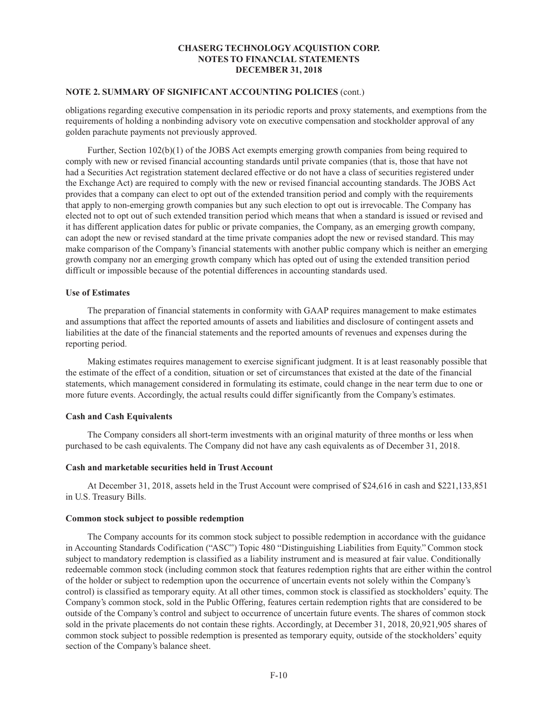## **NOTE 2. SUMMARY OF SIGNIFICANT ACCOUNTING POLICIES** (cont.)

obligations regarding executive compensation in its periodic reports and proxy statements, and exemptions from the requirements of holding a nonbinding advisory vote on executive compensation and stockholder approval of any golden parachute payments not previously approved.

Further, Section 102(b)(1) of the JOBS Act exempts emerging growth companies from being required to comply with new or revised financial accounting standards until private companies (that is, those that have not had a Securities Act registration statement declared effective or do not have a class of securities registered under the Exchange Act) are required to comply with the new or revised financial accounting standards. The JOBS Act provides that a company can elect to opt out of the extended transition period and comply with the requirements that apply to non-emerging growth companies but any such election to opt out is irrevocable. The Company has elected not to opt out of such extended transition period which means that when a standard is issued or revised and it has different application dates for public or private companies, the Company, as an emerging growth company, can adopt the new or revised standard at the time private companies adopt the new or revised standard. This may make comparison of the Company's financial statements with another public company which is neither an emerging growth company nor an emerging growth company which has opted out of using the extended transition period difficult or impossible because of the potential differences in accounting standards used.

## **Use of Estimates**

The preparation of financial statements in conformity with GAAP requires management to make estimates and assumptions that affect the reported amounts of assets and liabilities and disclosure of contingent assets and liabilities at the date of the financial statements and the reported amounts of revenues and expenses during the reporting period.

Making estimates requires management to exercise significant judgment. It is at least reasonably possible that the estimate of the effect of a condition, situation or set of circumstances that existed at the date of the financial statements, which management considered in formulating its estimate, could change in the near term due to one or more future events. Accordingly, the actual results could differ significantly from the Company's estimates.

## **Cash and Cash Equivalents**

The Company considers all short-term investments with an original maturity of three months or less when purchased to be cash equivalents. The Company did not have any cash equivalents as of December 31, 2018.

## **Cash and marketable securities held in Trust Account**

At December 31, 2018, assets held in the Trust Account were comprised of \$24,616 in cash and \$221,133,851 in U.S. Treasury Bills.

#### **Common stock subject to possible redemption**

The Company accounts for its common stock subject to possible redemption in accordance with the guidance in Accounting Standards Codification ("ASC") Topic 480 "Distinguishing Liabilities from Equity." Common stock subject to mandatory redemption is classified as a liability instrument and is measured at fair value. Conditionally redeemable common stock (including common stock that features redemption rights that are either within the control of the holder or subject to redemption upon the occurrence of uncertain events not solely within the Company's control) is classified as temporary equity. At all other times, common stock is classified as stockholders' equity. The Company's common stock, sold in the Public Offering, features certain redemption rights that are considered to be outside of the Company's control and subject to occurrence of uncertain future events. The shares of common stock sold in the private placements do not contain these rights. Accordingly, at December 31, 2018, 20,921,905 shares of common stock subject to possible redemption is presented as temporary equity, outside of the stockholders' equity section of the Company's balance sheet.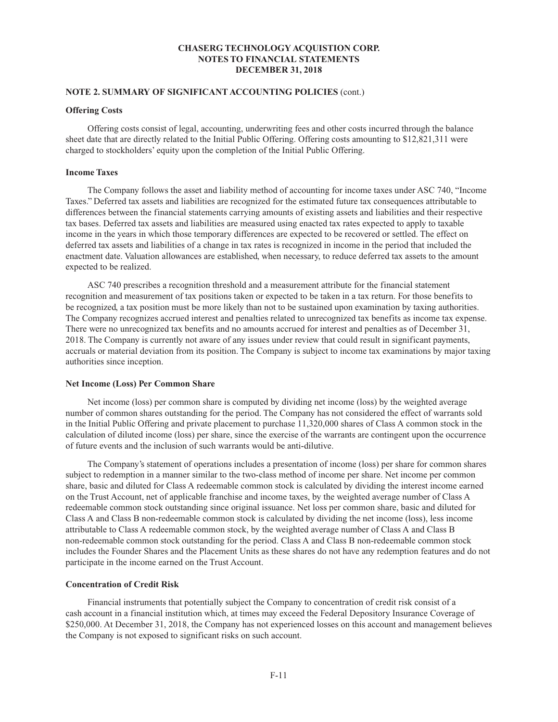## **NOTE 2. SUMMARY OF SIGNIFICANT ACCOUNTING POLICIES** (cont.)

## **Offering Costs**

Offering costs consist of legal, accounting, underwriting fees and other costs incurred through the balance sheet date that are directly related to the Initial Public Offering. Offering costs amounting to \$12,821,311 were charged to stockholders' equity upon the completion of the Initial Public Offering.

## **Income Taxes**

The Company follows the asset and liability method of accounting for income taxes under ASC 740, "Income Taxes." Deferred tax assets and liabilities are recognized for the estimated future tax consequences attributable to differences between the financial statements carrying amounts of existing assets and liabilities and their respective tax bases. Deferred tax assets and liabilities are measured using enacted tax rates expected to apply to taxable income in the years in which those temporary differences are expected to be recovered or settled. The effect on deferred tax assets and liabilities of a change in tax rates is recognized in income in the period that included the enactment date. Valuation allowances are established, when necessary, to reduce deferred tax assets to the amount expected to be realized.

ASC 740 prescribes a recognition threshold and a measurement attribute for the financial statement recognition and measurement of tax positions taken or expected to be taken in a tax return. For those benefits to be recognized, a tax position must be more likely than not to be sustained upon examination by taxing authorities. The Company recognizes accrued interest and penalties related to unrecognized tax benefits as income tax expense. There were no unrecognized tax benefits and no amounts accrued for interest and penalties as of December 31, 2018. The Company is currently not aware of any issues under review that could result in significant payments, accruals or material deviation from its position. The Company is subject to income tax examinations by major taxing authorities since inception.

#### **Net Income (Loss) Per Common Share**

Net income (loss) per common share is computed by dividing net income (loss) by the weighted average number of common shares outstanding for the period. The Company has not considered the effect of warrants sold in the Initial Public Offering and private placement to purchase 11,320,000 shares of Class A common stock in the calculation of diluted income (loss) per share, since the exercise of the warrants are contingent upon the occurrence of future events and the inclusion of such warrants would be anti-dilutive.

The Company's statement of operations includes a presentation of income (loss) per share for common shares subject to redemption in a manner similar to the two-class method of income per share. Net income per common share, basic and diluted for Class A redeemable common stock is calculated by dividing the interest income earned on the Trust Account, net of applicable franchise and income taxes, by the weighted average number of Class A redeemable common stock outstanding since original issuance. Net loss per common share, basic and diluted for Class A and Class B non-redeemable common stock is calculated by dividing the net income (loss), less income attributable to Class A redeemable common stock, by the weighted average number of Class A and Class B non-redeemable common stock outstanding for the period. Class A and Class B non-redeemable common stock includes the Founder Shares and the Placement Units as these shares do not have any redemption features and do not participate in the income earned on the Trust Account.

#### **Concentration of Credit Risk**

Financial instruments that potentially subject the Company to concentration of credit risk consist of a cash account in a financial institution which, at times may exceed the Federal Depository Insurance Coverage of \$250,000. At December 31, 2018, the Company has not experienced losses on this account and management believes the Company is not exposed to significant risks on such account.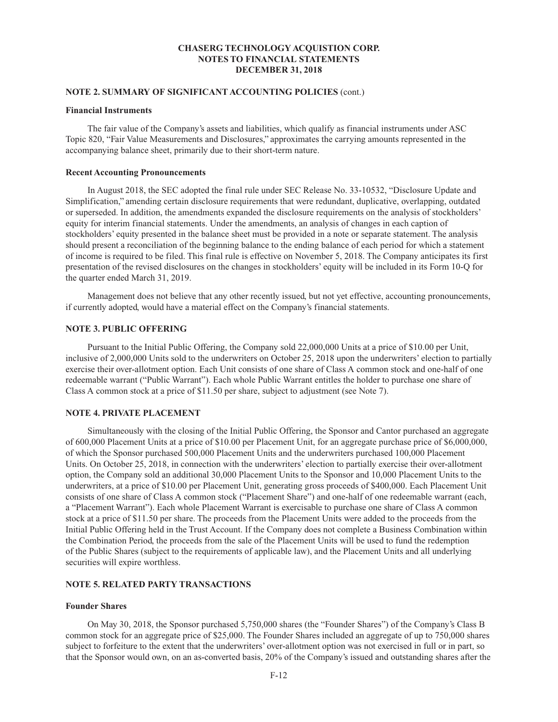## **NOTE 2. SUMMARY OF SIGNIFICANT ACCOUNTING POLICIES** (cont.)

#### **Financial Instruments**

The fair value of the Company's assets and liabilities, which qualify as financial instruments under ASC Topic 820, "Fair Value Measurements and Disclosures," approximates the carrying amounts represented in the accompanying balance sheet, primarily due to their short-term nature.

#### **Recent Accounting Pronouncements**

In August 2018, the SEC adopted the final rule under SEC Release No. 33-10532, "Disclosure Update and Simplification," amending certain disclosure requirements that were redundant, duplicative, overlapping, outdated or superseded. In addition, the amendments expanded the disclosure requirements on the analysis of stockholders' equity for interim financial statements. Under the amendments, an analysis of changes in each caption of stockholders' equity presented in the balance sheet must be provided in a note or separate statement. The analysis should present a reconciliation of the beginning balance to the ending balance of each period for which a statement of income is required to be filed. This final rule is effective on November 5, 2018. The Company anticipates its first presentation of the revised disclosures on the changes in stockholders' equity will be included in its Form 10-Q for the quarter ended March 31, 2019.

Management does not believe that any other recently issued, but not yet effective, accounting pronouncements, if currently adopted, would have a material effect on the Company's financial statements.

## **NOTE 3. PUBLIC OFFERING**

Pursuant to the Initial Public Offering, the Company sold 22,000,000 Units at a price of \$10.00 per Unit, inclusive of 2,000,000 Units sold to the underwriters on October 25, 2018 upon the underwriters' election to partially exercise their over-allotment option. Each Unit consists of one share of Class A common stock and one-half of one redeemable warrant ("Public Warrant"). Each whole Public Warrant entitles the holder to purchase one share of Class A common stock at a price of \$11.50 per share, subject to adjustment (see Note 7).

## **NOTE 4. PRIVATE PLACEMENT**

Simultaneously with the closing of the Initial Public Offering, the Sponsor and Cantor purchased an aggregate of 600,000 Placement Units at a price of \$10.00 per Placement Unit, for an aggregate purchase price of \$6,000,000, of which the Sponsor purchased 500,000 Placement Units and the underwriters purchased 100,000 Placement Units. On October 25, 2018, in connection with the underwriters' election to partially exercise their over-allotment option, the Company sold an additional 30,000 Placement Units to the Sponsor and 10,000 Placement Units to the underwriters, at a price of \$10.00 per Placement Unit, generating gross proceeds of \$400,000. Each Placement Unit consists of one share of Class A common stock ("Placement Share") and one-half of one redeemable warrant (each, a "Placement Warrant"). Each whole Placement Warrant is exercisable to purchase one share of Class A common stock at a price of \$11.50 per share. The proceeds from the Placement Units were added to the proceeds from the Initial Public Offering held in the Trust Account. If the Company does not complete a Business Combination within the Combination Period, the proceeds from the sale of the Placement Units will be used to fund the redemption of the Public Shares (subject to the requirements of applicable law), and the Placement Units and all underlying securities will expire worthless.

## **NOTE 5. RELATED PARTY TRANSACTIONS**

#### **Founder Shares**

On May 30, 2018, the Sponsor purchased 5,750,000 shares (the "Founder Shares") of the Company's Class B common stock for an aggregate price of \$25,000. The Founder Shares included an aggregate of up to 750,000 shares subject to forfeiture to the extent that the underwriters' over-allotment option was not exercised in full or in part, so that the Sponsor would own, on an as-converted basis, 20% of the Company's issued and outstanding shares after the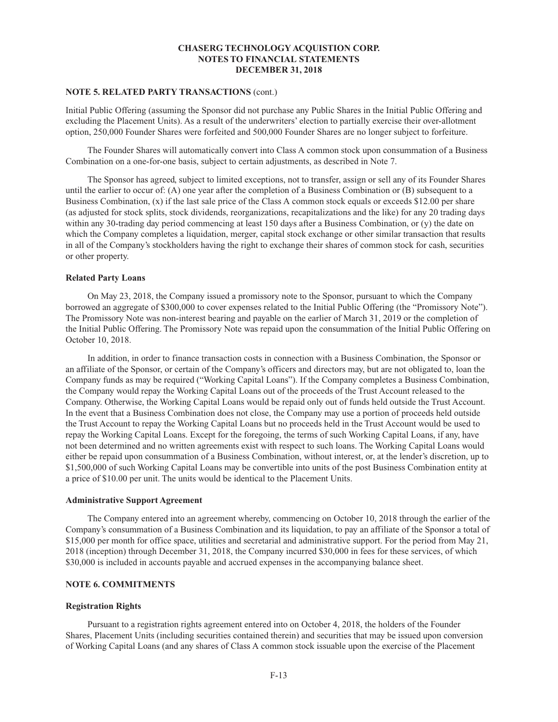# **NOTE 5. RELATED PARTY TRANSACTIONS** (cont.)

Initial Public Offering (assuming the Sponsor did not purchase any Public Shares in the Initial Public Offering and excluding the Placement Units). As a result of the underwriters' election to partially exercise their over-allotment option, 250,000 Founder Shares were forfeited and 500,000 Founder Shares are no longer subject to forfeiture.

The Founder Shares will automatically convert into Class A common stock upon consummation of a Business Combination on a one-for-one basis, subject to certain adjustments, as described in Note 7.

The Sponsor has agreed, subject to limited exceptions, not to transfer, assign or sell any of its Founder Shares until the earlier to occur of: (A) one year after the completion of a Business Combination or (B) subsequent to a Business Combination, (x) if the last sale price of the Class A common stock equals or exceeds \$12.00 per share (as adjusted for stock splits, stock dividends, reorganizations, recapitalizations and the like) for any 20 trading days within any 30-trading day period commencing at least 150 days after a Business Combination, or (y) the date on which the Company completes a liquidation, merger, capital stock exchange or other similar transaction that results in all of the Company's stockholders having the right to exchange their shares of common stock for cash, securities or other property.

#### **Related Party Loans**

On May 23, 2018, the Company issued a promissory note to the Sponsor, pursuant to which the Company borrowed an aggregate of \$300,000 to cover expenses related to the Initial Public Offering (the "Promissory Note"). The Promissory Note was non-interest bearing and payable on the earlier of March 31, 2019 or the completion of the Initial Public Offering. The Promissory Note was repaid upon the consummation of the Initial Public Offering on October 10, 2018.

In addition, in order to finance transaction costs in connection with a Business Combination, the Sponsor or an affiliate of the Sponsor, or certain of the Company's officers and directors may, but are not obligated to, loan the Company funds as may be required ("Working Capital Loans"). If the Company completes a Business Combination, the Company would repay the Working Capital Loans out of the proceeds of the Trust Account released to the Company. Otherwise, the Working Capital Loans would be repaid only out of funds held outside the Trust Account. In the event that a Business Combination does not close, the Company may use a portion of proceeds held outside the Trust Account to repay the Working Capital Loans but no proceeds held in the Trust Account would be used to repay the Working Capital Loans. Except for the foregoing, the terms of such Working Capital Loans, if any, have not been determined and no written agreements exist with respect to such loans. The Working Capital Loans would either be repaid upon consummation of a Business Combination, without interest, or, at the lender's discretion, up to \$1,500,000 of such Working Capital Loans may be convertible into units of the post Business Combination entity at a price of \$10.00 per unit. The units would be identical to the Placement Units.

#### **Administrative Support Agreement**

The Company entered into an agreement whereby, commencing on October 10, 2018 through the earlier of the Company's consummation of a Business Combination and its liquidation, to pay an affiliate of the Sponsor a total of \$15,000 per month for office space, utilities and secretarial and administrative support. For the period from May 21, 2018 (inception) through December 31, 2018, the Company incurred \$30,000 in fees for these services, of which \$30,000 is included in accounts payable and accrued expenses in the accompanying balance sheet.

#### **NOTE 6. COMMITMENTS**

#### **Registration Rights**

Pursuant to a registration rights agreement entered into on October 4, 2018, the holders of the Founder Shares, Placement Units (including securities contained therein) and securities that may be issued upon conversion of Working Capital Loans (and any shares of Class A common stock issuable upon the exercise of the Placement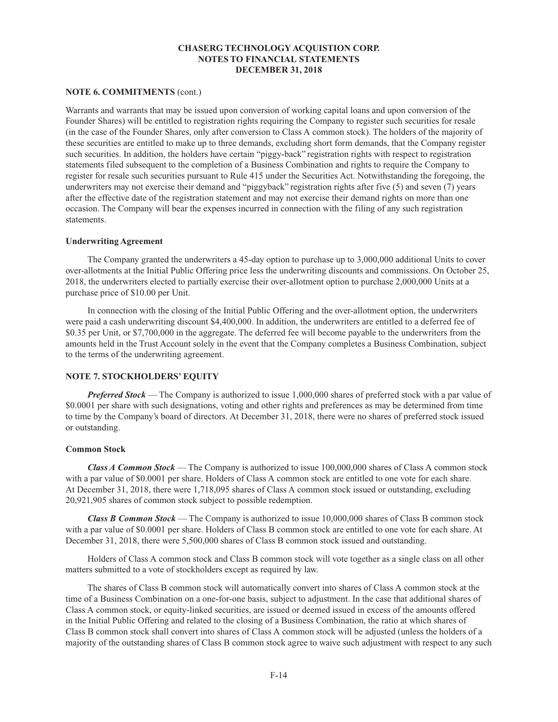## **NOTE 6. COMMITMENTS** (cont.)

Warrants and warrants that may be issued upon conversion of working capital loans and upon conversion of the Founder Shares) will be entitled to registration rights requiring the Company to register such securities for resale (in the case of the Founder Shares, only after conversion to Class A common stock). The holders of the majority of these securities are entitled to make up to three demands, excluding short form demands, that the Company register such securities. In addition, the holders have certain "piggy-back" registration rights with respect to registration statements filed subsequent to the completion of a Business Combination and rights to require the Company to register for resale such securities pursuant to Rule 415 under the Securities Act. Notwithstanding the foregoing, the underwriters may not exercise their demand and "piggyback" registration rights after five (5) and seven (7) years after the effective date of the registration statement and may not exercise their demand rights on more than one occasion. The Company will bear the expenses incurred in connection with the filing of any such registration statements.

#### **Underwriting Agreement**

The Company granted the underwriters a 45-day option to purchase up to 3,000,000 additional Units to cover over-allotments at the Initial Public Offering price less the underwriting discounts and commissions. On October 25, 2018, the underwriters elected to partially exercise their over-allotment option to purchase 2,000,000 Units at a purchase price of \$10.00 per Unit.

In connection with the closing of the Initial Public Offering and the over-allotment option, the underwriters were paid a cash underwriting discount \$4,400,000. In addition, the underwriters are entitled to a deferred fee of \$0.35 per Unit, or \$7,700,000 in the aggregate. The deferred fee will become payable to the underwriters from the amounts held in the Trust Account solely in the event that the Company completes a Business Combination, subject to the terms of the underwriting agreement.

## **NOTE 7. STOCKHOLDERS' EQUITY**

*Preferred Stock* — The Company is authorized to issue 1,000,000 shares of preferred stock with a par value of \$0.0001 per share with such designations, voting and other rights and preferences as may be determined from time to time by the Company's board of directors. At December 31, 2018, there were no shares of preferred stock issued or outstanding.

#### **Common Stock**

*Class A Common Stock* — The Company is authorized to issue 100,000,000 shares of Class A common stock with a par value of \$0.0001 per share. Holders of Class A common stock are entitled to one vote for each share. At December 31, 2018, there were 1,718,095 shares of Class A common stock issued or outstanding, excluding 20,921,905 shares of common stock subject to possible redemption.

*Class B Common Stock* — The Company is authorized to issue 10,000,000 shares of Class B common stock with a par value of \$0.0001 per share. Holders of Class B common stock are entitled to one vote for each share. At December 31, 2018, there were 5,500,000 shares of Class B common stock issued and outstanding.

Holders of Class A common stock and Class B common stock will vote together as a single class on all other matters submitted to a vote of stockholders except as required by law.

The shares of Class B common stock will automatically convert into shares of Class A common stock at the time of a Business Combination on a one-for-one basis, subject to adjustment. In the case that additional shares of Class A common stock, or equity-linked securities, are issued or deemed issued in excess of the amounts offered in the Initial Public Offering and related to the closing of a Business Combination, the ratio at which shares of Class B common stock shall convert into shares of Class A common stock will be adjusted (unless the holders of a majority of the outstanding shares of Class B common stock agree to waive such adjustment with respect to any such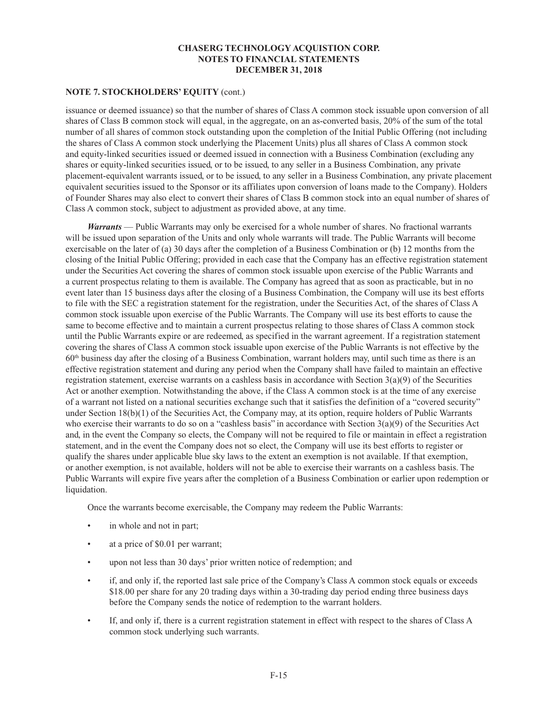## **NOTE 7. STOCKHOLDERS' EQUITY** (cont.)

issuance or deemed issuance) so that the number of shares of Class A common stock issuable upon conversion of all shares of Class B common stock will equal, in the aggregate, on an as-converted basis, 20% of the sum of the total number of all shares of common stock outstanding upon the completion of the Initial Public Offering (not including the shares of Class A common stock underlying the Placement Units) plus all shares of Class A common stock and equity-linked securities issued or deemed issued in connection with a Business Combination (excluding any shares or equity-linked securities issued, or to be issued, to any seller in a Business Combination, any private placement-equivalent warrants issued, or to be issued, to any seller in a Business Combination, any private placement equivalent securities issued to the Sponsor or its affiliates upon conversion of loans made to the Company). Holders of Founder Shares may also elect to convert their shares of Class B common stock into an equal number of shares of Class A common stock, subject to adjustment as provided above, at any time.

*Warrants* — Public Warrants may only be exercised for a whole number of shares. No fractional warrants will be issued upon separation of the Units and only whole warrants will trade. The Public Warrants will become exercisable on the later of (a) 30 days after the completion of a Business Combination or (b) 12 months from the closing of the Initial Public Offering; provided in each case that the Company has an effective registration statement under the Securities Act covering the shares of common stock issuable upon exercise of the Public Warrants and a current prospectus relating to them is available. The Company has agreed that as soon as practicable, but in no event later than 15 business days after the closing of a Business Combination, the Company will use its best efforts to file with the SEC a registration statement for the registration, under the Securities Act, of the shares of Class A common stock issuable upon exercise of the Public Warrants. The Company will use its best efforts to cause the same to become effective and to maintain a current prospectus relating to those shares of Class A common stock until the Public Warrants expire or are redeemed, as specified in the warrant agreement. If a registration statement covering the shares of Class A common stock issuable upon exercise of the Public Warrants is not effective by the  $60<sup>th</sup>$  business day after the closing of a Business Combination, warrant holders may, until such time as there is an effective registration statement and during any period when the Company shall have failed to maintain an effective registration statement, exercise warrants on a cashless basis in accordance with Section 3(a)(9) of the Securities Act or another exemption. Notwithstanding the above, if the Class A common stock is at the time of any exercise of a warrant not listed on a national securities exchange such that it satisfies the definition of a "covered security" under Section 18(b)(1) of the Securities Act, the Company may, at its option, require holders of Public Warrants who exercise their warrants to do so on a "cashless basis" in accordance with Section 3(a)(9) of the Securities Act and, in the event the Company so elects, the Company will not be required to file or maintain in effect a registration statement, and in the event the Company does not so elect, the Company will use its best efforts to register or qualify the shares under applicable blue sky laws to the extent an exemption is not available. If that exemption, or another exemption, is not available, holders will not be able to exercise their warrants on a cashless basis. The Public Warrants will expire five years after the completion of a Business Combination or earlier upon redemption or liquidation.

Once the warrants become exercisable, the Company may redeem the Public Warrants:

- in whole and not in part;
- at a price of \$0.01 per warrant;
- upon not less than 30 days' prior written notice of redemption; and
- if, and only if, the reported last sale price of the Company's Class A common stock equals or exceeds \$18.00 per share for any 20 trading days within a 30-trading day period ending three business days before the Company sends the notice of redemption to the warrant holders.
- If, and only if, there is a current registration statement in effect with respect to the shares of Class A common stock underlying such warrants.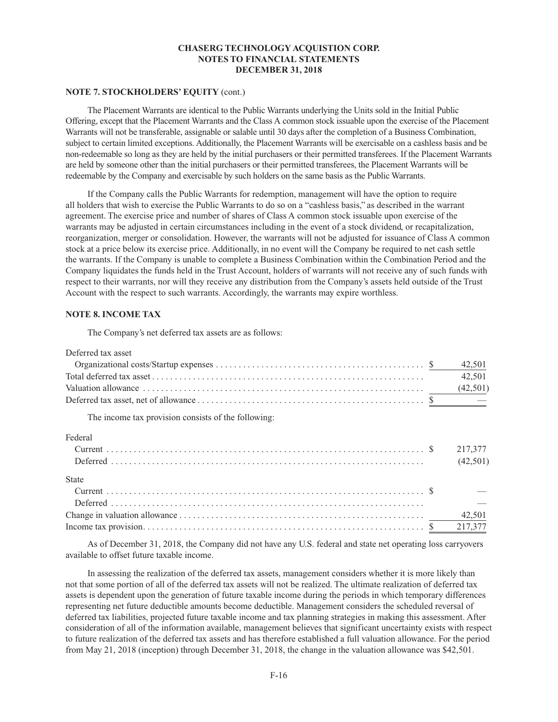## **NOTE 7. STOCKHOLDERS' EQUITY** (cont.)

The Placement Warrants are identical to the Public Warrants underlying the Units sold in the Initial Public Offering, except that the Placement Warrants and the Class A common stock issuable upon the exercise of the Placement Warrants will not be transferable, assignable or salable until 30 days after the completion of a Business Combination, subject to certain limited exceptions. Additionally, the Placement Warrants will be exercisable on a cashless basis and be non-redeemable so long as they are held by the initial purchasers or their permitted transferees. If the Placement Warrants are held by someone other than the initial purchasers or their permitted transferees, the Placement Warrants will be redeemable by the Company and exercisable by such holders on the same basis as the Public Warrants.

If the Company calls the Public Warrants for redemption, management will have the option to require all holders that wish to exercise the Public Warrants to do so on a "cashless basis," as described in the warrant agreement. The exercise price and number of shares of Class A common stock issuable upon exercise of the warrants may be adjusted in certain circumstances including in the event of a stock dividend, or recapitalization, reorganization, merger or consolidation. However, the warrants will not be adjusted for issuance of Class A common stock at a price below its exercise price. Additionally, in no event will the Company be required to net cash settle the warrants. If the Company is unable to complete a Business Combination within the Combination Period and the Company liquidates the funds held in the Trust Account, holders of warrants will not receive any of such funds with respect to their warrants, nor will they receive any distribution from the Company's assets held outside of the Trust Account with the respect to such warrants. Accordingly, the warrants may expire worthless.

## **NOTE 8. INCOME TAX**

The Company's net deferred tax assets are as follows:

| Deferred tax asset                                  |          |
|-----------------------------------------------------|----------|
|                                                     | 42,501   |
|                                                     | 42,501   |
|                                                     |          |
|                                                     |          |
| The income tax provision consists of the following: |          |
| Federal                                             |          |
|                                                     | 217,377  |
|                                                     | (42,501) |
| <b>State</b>                                        |          |
|                                                     |          |
|                                                     |          |
|                                                     | 42,501   |
|                                                     | 217,377  |

As of December 31, 2018, the Company did not have any U.S. federal and state net operating loss carryovers available to offset future taxable income.

In assessing the realization of the deferred tax assets, management considers whether it is more likely than not that some portion of all of the deferred tax assets will not be realized. The ultimate realization of deferred tax assets is dependent upon the generation of future taxable income during the periods in which temporary differences representing net future deductible amounts become deductible. Management considers the scheduled reversal of deferred tax liabilities, projected future taxable income and tax planning strategies in making this assessment. After consideration of all of the information available, management believes that significant uncertainty exists with respect to future realization of the deferred tax assets and has therefore established a full valuation allowance. For the period from May 21, 2018 (inception) through December 31, 2018, the change in the valuation allowance was \$42,501.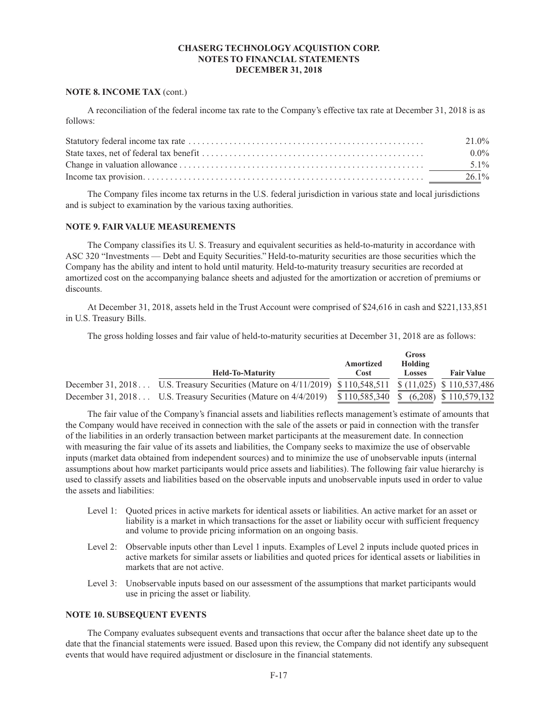### **NOTE 8. INCOME TAX** (cont.)

A reconciliation of the federal income tax rate to the Company's effective tax rate at December 31, 2018 is as follows:

| 21.0%    |
|----------|
| $0.0\%$  |
| $5.1\%$  |
| $26.1\%$ |

The Company files income tax returns in the U.S. federal jurisdiction in various state and local jurisdictions and is subject to examination by the various taxing authorities.

## **NOTE 9. FAIR VALUE MEASUREMENTS**

The Company classifies its U. S. Treasury and equivalent securities as held-to-maturity in accordance with ASC 320 "Investments — Debt and Equity Securities." Held-to-maturity securities are those securities which the Company has the ability and intent to hold until maturity. Held-to-maturity treasury securities are recorded at amortized cost on the accompanying balance sheets and adjusted for the amortization or accretion of premiums or discounts.

At December 31, 2018, assets held in the Trust Account were comprised of \$24,616 in cash and \$221,133,851 in U.S. Treasury Bills.

The gross holding losses and fair value of held-to-maturity securities at December 31, 2018 are as follows:

| <b>Held-To-Maturity</b>                                                                                  | Amortized<br>Cost | Gross<br>Holding<br><b>Losses</b> | <b>Fair Value</b> |
|----------------------------------------------------------------------------------------------------------|-------------------|-----------------------------------|-------------------|
| December 31, 2018 U.S. Treasury Securities (Mature on 4/11/2019) \$110,548,511 \$ (11,025) \$110,537,486 |                   |                                   |                   |
| December 31, 2018 U.S. Treasury Securities (Mature on 4/4/2019) \$110,585,340 \$ (6,208) \$110,579,132   |                   |                                   |                   |

The fair value of the Company's financial assets and liabilities reflects management's estimate of amounts that the Company would have received in connection with the sale of the assets or paid in connection with the transfer of the liabilities in an orderly transaction between market participants at the measurement date. In connection with measuring the fair value of its assets and liabilities, the Company seeks to maximize the use of observable inputs (market data obtained from independent sources) and to minimize the use of unobservable inputs (internal assumptions about how market participants would price assets and liabilities). The following fair value hierarchy is used to classify assets and liabilities based on the observable inputs and unobservable inputs used in order to value the assets and liabilities:

- Level 1: Quoted prices in active markets for identical assets or liabilities. An active market for an asset or liability is a market in which transactions for the asset or liability occur with sufficient frequency and volume to provide pricing information on an ongoing basis.
- Level 2: Observable inputs other than Level 1 inputs. Examples of Level 2 inputs include quoted prices in active markets for similar assets or liabilities and quoted prices for identical assets or liabilities in markets that are not active.
- Level 3: Unobservable inputs based on our assessment of the assumptions that market participants would use in pricing the asset or liability.

# **NOTE 10. SUBSEQUENT EVENTS**

The Company evaluates subsequent events and transactions that occur after the balance sheet date up to the date that the financial statements were issued. Based upon this review, the Company did not identify any subsequent events that would have required adjustment or disclosure in the financial statements.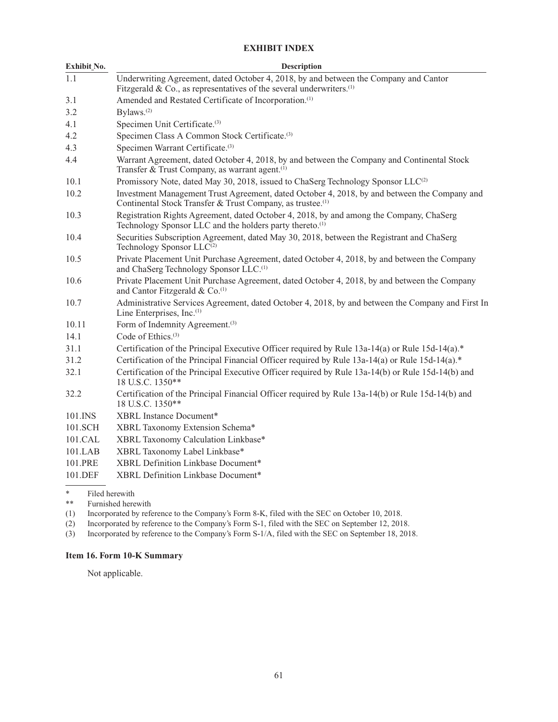# **EXHIBIT INDEX**

| Exhibit_No. | <b>Description</b>                                                                                                                                                       |
|-------------|--------------------------------------------------------------------------------------------------------------------------------------------------------------------------|
| 1.1         | Underwriting Agreement, dated October 4, 2018, by and between the Company and Cantor<br>Fitzgerald & Co., as representatives of the several underwriters. <sup>(1)</sup> |
| 3.1         | Amended and Restated Certificate of Incorporation. <sup>(1)</sup>                                                                                                        |
| 3.2         | Bylaws. <sup>(2)</sup>                                                                                                                                                   |
| 4.1         | Specimen Unit Certificate. <sup>(3)</sup>                                                                                                                                |
| 4.2         | Specimen Class A Common Stock Certificate. <sup>(3)</sup>                                                                                                                |
| 4.3         | Specimen Warrant Certificate. <sup>(3)</sup>                                                                                                                             |
| 4.4         | Warrant Agreement, dated October 4, 2018, by and between the Company and Continental Stock<br>Transfer & Trust Company, as warrant agent. <sup>(1)</sup>                 |
| 10.1        | Promissory Note, dated May 30, 2018, issued to ChaSerg Technology Sponsor LLC <sup>(2)</sup>                                                                             |
| 10.2        | Investment Management Trust Agreement, dated October 4, 2018, by and between the Company and<br>Continental Stock Transfer & Trust Company, as trustee. <sup>(1)</sup>   |
| 10.3        | Registration Rights Agreement, dated October 4, 2018, by and among the Company, ChaSerg<br>Technology Sponsor LLC and the holders party thereto. <sup>(1)</sup>          |
| 10.4        | Securities Subscription Agreement, dated May 30, 2018, between the Registrant and ChaSerg<br>Technology Sponsor LLC <sup>(2)</sup>                                       |
| 10.5        | Private Placement Unit Purchase Agreement, dated October 4, 2018, by and between the Company<br>and ChaSerg Technology Sponsor LLC. <sup>(1)</sup>                       |
| 10.6        | Private Placement Unit Purchase Agreement, dated October 4, 2018, by and between the Company<br>and Cantor Fitzgerald & Co. <sup>(1)</sup>                               |
| 10.7        | Administrative Services Agreement, dated October 4, 2018, by and between the Company and First In<br>Line Enterprises, Inc. <sup>(1)</sup>                               |
| 10.11       | Form of Indemnity Agreement. <sup>(3)</sup>                                                                                                                              |
| 14.1        | Code of Ethics. <sup>(3)</sup>                                                                                                                                           |
| 31.1        | Certification of the Principal Executive Officer required by Rule 13a-14(a) or Rule 15d-14(a).*                                                                          |
| 31.2        | Certification of the Principal Financial Officer required by Rule 13a-14(a) or Rule 15d-14(a).*                                                                          |
| 32.1        | Certification of the Principal Executive Officer required by Rule 13a-14(b) or Rule 15d-14(b) and<br>18 U.S.C. 1350**                                                    |
| 32.2        | Certification of the Principal Financial Officer required by Rule 13a-14(b) or Rule 15d-14(b) and<br>18 U.S.C. 1350**                                                    |
| 101.INS     | XBRL Instance Document*                                                                                                                                                  |
| 101.SCH     | XBRL Taxonomy Extension Schema*                                                                                                                                          |
| 101.CAL     | XBRL Taxonomy Calculation Linkbase*                                                                                                                                      |
| 101.LAB     | XBRL Taxonomy Label Linkbase*                                                                                                                                            |
| 101.PRE     | XBRL Definition Linkbase Document*                                                                                                                                       |
| 101.DEF     | XBRL Definition Linkbase Document*                                                                                                                                       |
|             |                                                                                                                                                                          |

\* Filed herewith<br>\*\* Furnished here

Furnished herewith

(1) Incorporated by reference to the Company's Form 8-K, filed with the SEC on October 10, 2018.

(2) Incorporated by reference to the Company's Form S-1, filed with the SEC on September 12, 2018.

(3) Incorporated by reference to the Company's Form S-1/A, filed with the SEC on September 18, 2018.

# **Item 16. Form 10-K Summary**

Not applicable.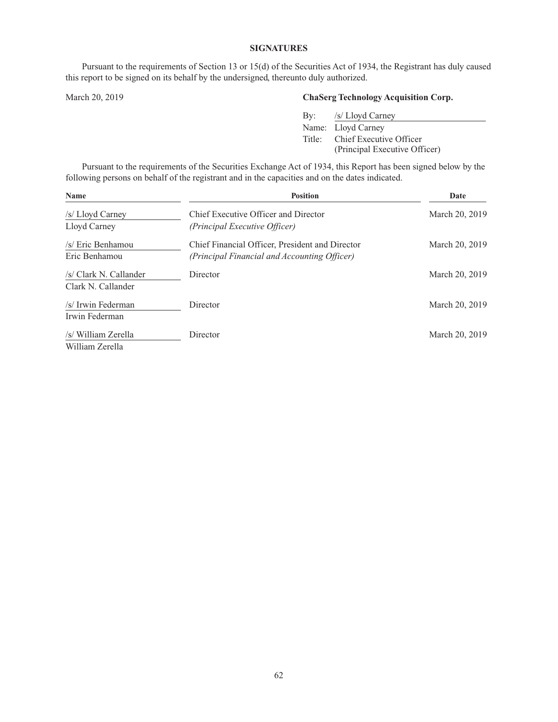## **SIGNATURES**

Pursuant to the requirements of Section 13 or 15(d) of the Securities Act of 1934, the Registrant has duly caused this report to be signed on its behalf by the undersigned, thereunto duly authorized.

# March 20, 2019 **ChaSerg Technology Acquisition Corp.**

| By: /s/ Lloyd Carney           |
|--------------------------------|
| Name: Lloyd Carney             |
| Title: Chief Executive Officer |
| (Principal Executive Officer)  |

Pursuant to the requirements of the Securities Exchange Act of 1934, this Report has been signed below by the following persons on behalf of the registrant and in the capacities and on the dates indicated.

| Name                                         | <b>Position</b>                                                                                 | Date           |
|----------------------------------------------|-------------------------------------------------------------------------------------------------|----------------|
| /s/ Lloyd Carney                             | Chief Executive Officer and Director                                                            | March 20, 2019 |
| Lloyd Carney                                 | (Principal Executive Officer)                                                                   |                |
| /s/ Eric Benhamou<br>Eric Benhamou           | Chief Financial Officer, President and Director<br>(Principal Financial and Accounting Officer) | March 20, 2019 |
| /s/ Clark N. Callander<br>Clark N. Callander | Director                                                                                        | March 20, 2019 |
| /s/ Irwin Federman<br>Irwin Federman         | Director                                                                                        | March 20, 2019 |
| /s/ William Zerella<br>William Zerella       | Director                                                                                        | March 20, 2019 |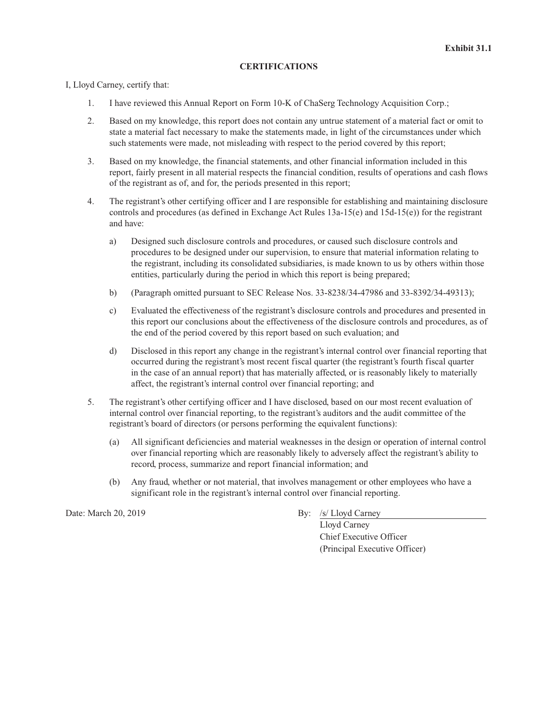## **CERTIFICATIONS**

I, Lloyd Carney, certify that:

- 1. I have reviewed this Annual Report on Form 10-K of ChaSerg Technology Acquisition Corp.;
- 2. Based on my knowledge, this report does not contain any untrue statement of a material fact or omit to state a material fact necessary to make the statements made, in light of the circumstances under which such statements were made, not misleading with respect to the period covered by this report;
- 3. Based on my knowledge, the financial statements, and other financial information included in this report, fairly present in all material respects the financial condition, results of operations and cash flows of the registrant as of, and for, the periods presented in this report;
- 4. The registrant's other certifying officer and I are responsible for establishing and maintaining disclosure controls and procedures (as defined in Exchange Act Rules 13a-15(e) and 15d-15(e)) for the registrant and have:
	- a) Designed such disclosure controls and procedures, or caused such disclosure controls and procedures to be designed under our supervision, to ensure that material information relating to the registrant, including its consolidated subsidiaries, is made known to us by others within those entities, particularly during the period in which this report is being prepared;
	- b) (Paragraph omitted pursuant to SEC Release Nos. 33-8238/34-47986 and 33-8392/34-49313);
	- c) Evaluated the effectiveness of the registrant's disclosure controls and procedures and presented in this report our conclusions about the effectiveness of the disclosure controls and procedures, as of the end of the period covered by this report based on such evaluation; and
	- d) Disclosed in this report any change in the registrant's internal control over financial reporting that occurred during the registrant's most recent fiscal quarter (the registrant's fourth fiscal quarter in the case of an annual report) that has materially affected, or is reasonably likely to materially affect, the registrant's internal control over financial reporting; and
- 5. The registrant's other certifying officer and I have disclosed, based on our most recent evaluation of internal control over financial reporting, to the registrant's auditors and the audit committee of the registrant's board of directors (or persons performing the equivalent functions):
	- (a) All significant deficiencies and material weaknesses in the design or operation of internal control over financial reporting which are reasonably likely to adversely affect the registrant's ability to record, process, summarize and report financial information; and
	- (b) Any fraud, whether or not material, that involves management or other employees who have a significant role in the registrant's internal control over financial reporting.

Date: March 20, 2019 By: /s/ Lloyd Carney

Lloyd Carney Chief Executive Officer (Principal Executive Officer)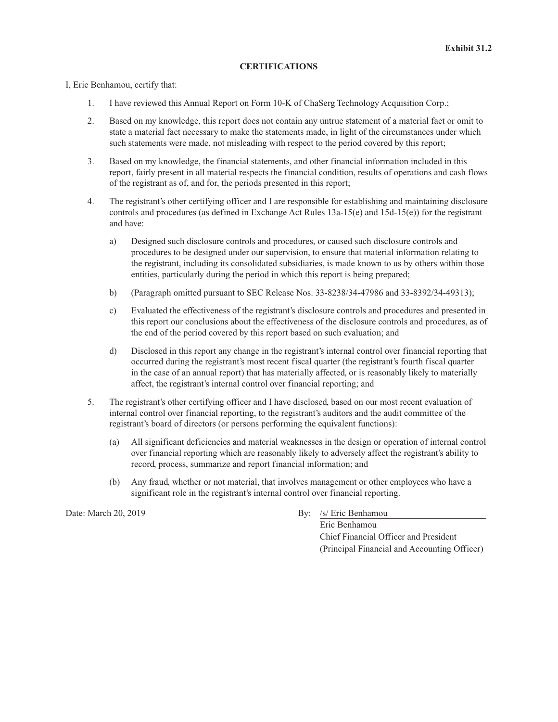## **CERTIFICATIONS**

I, Eric Benhamou, certify that:

- 1. I have reviewed this Annual Report on Form 10-K of ChaSerg Technology Acquisition Corp.;
- 2. Based on my knowledge, this report does not contain any untrue statement of a material fact or omit to state a material fact necessary to make the statements made, in light of the circumstances under which such statements were made, not misleading with respect to the period covered by this report;
- 3. Based on my knowledge, the financial statements, and other financial information included in this report, fairly present in all material respects the financial condition, results of operations and cash flows of the registrant as of, and for, the periods presented in this report;
- 4. The registrant's other certifying officer and I are responsible for establishing and maintaining disclosure controls and procedures (as defined in Exchange Act Rules 13a-15(e) and 15d-15(e)) for the registrant and have:
	- a) Designed such disclosure controls and procedures, or caused such disclosure controls and procedures to be designed under our supervision, to ensure that material information relating to the registrant, including its consolidated subsidiaries, is made known to us by others within those entities, particularly during the period in which this report is being prepared;
	- b) (Paragraph omitted pursuant to SEC Release Nos. 33-8238/34-47986 and 33-8392/34-49313);
	- c) Evaluated the effectiveness of the registrant's disclosure controls and procedures and presented in this report our conclusions about the effectiveness of the disclosure controls and procedures, as of the end of the period covered by this report based on such evaluation; and
	- d) Disclosed in this report any change in the registrant's internal control over financial reporting that occurred during the registrant's most recent fiscal quarter (the registrant's fourth fiscal quarter in the case of an annual report) that has materially affected, or is reasonably likely to materially affect, the registrant's internal control over financial reporting; and
- 5. The registrant's other certifying officer and I have disclosed, based on our most recent evaluation of internal control over financial reporting, to the registrant's auditors and the audit committee of the registrant's board of directors (or persons performing the equivalent functions):
	- (a) All significant deficiencies and material weaknesses in the design or operation of internal control over financial reporting which are reasonably likely to adversely affect the registrant's ability to record, process, summarize and report financial information; and
	- (b) Any fraud, whether or not material, that involves management or other employees who have a significant role in the registrant's internal control over financial reporting.

Date: March 20, 2019 By: /s/ Eric Benhamou

Eric Benhamou Chief Financial Officer and President (Principal Financial and Accounting Officer)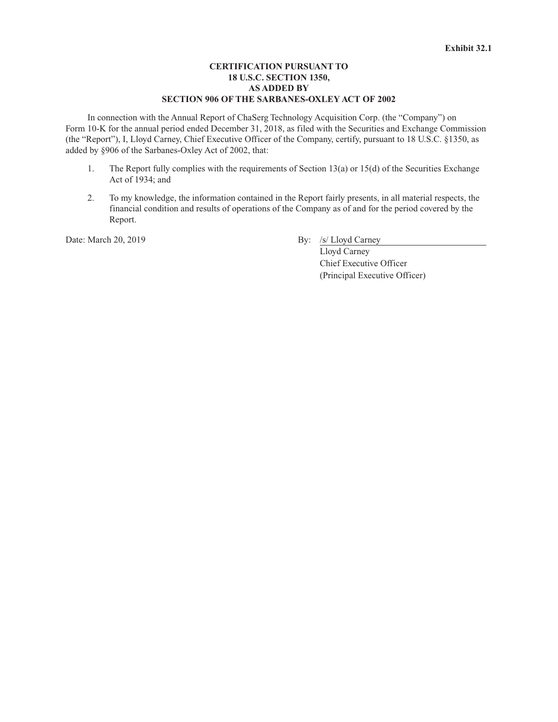# **CERTIFICATION PURSUANT TO 18 U.S.C. SECTION 1350, AS ADDED BY SECTION 906 OF THE SARBANES-OXLEY ACT OF 2002**

In connection with the Annual Report of ChaSerg Technology Acquisition Corp. (the "Company") on Form 10-K for the annual period ended December 31, 2018, as filed with the Securities and Exchange Commission (the "Report"), I, Lloyd Carney, Chief Executive Officer of the Company, certify, pursuant to 18 U.S.C. §1350, as added by §906 of the Sarbanes-Oxley Act of 2002, that:

- 1. The Report fully complies with the requirements of Section 13(a) or 15(d) of the Securities Exchange Act of 1934; and
- 2. To my knowledge, the information contained in the Report fairly presents, in all material respects, the financial condition and results of operations of the Company as of and for the period covered by the Report.

Date: March 20, 2019 By: /s/ Lloyd Carney

Lloyd Carney Chief Executive Officer (Principal Executive Officer)